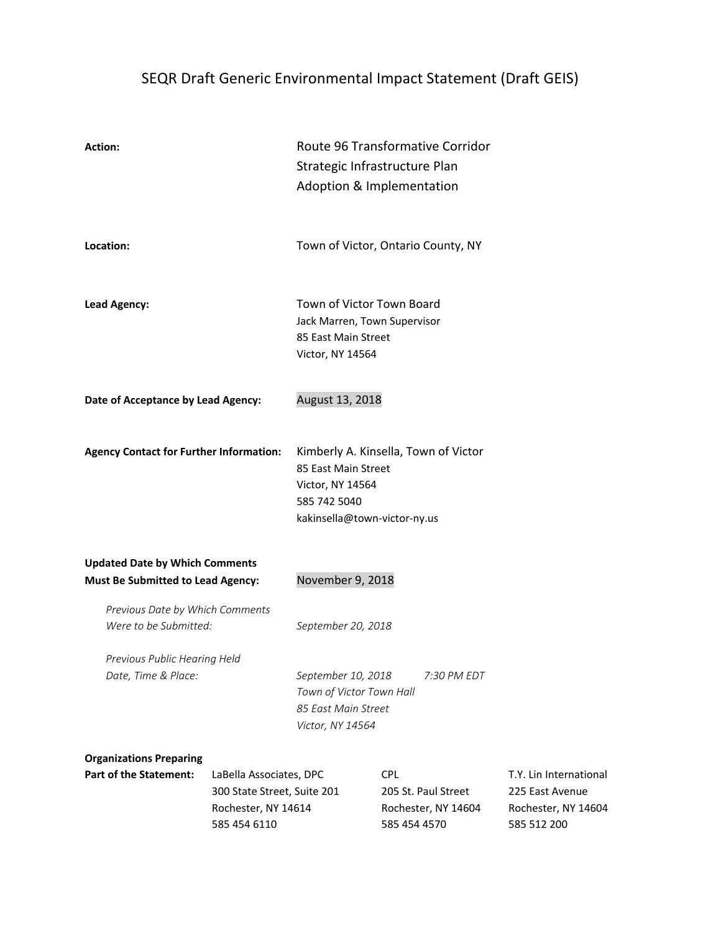# SEQR Draft Generic Environmental Impact Statement (Draft GEIS)

| <b>Action:</b>                                                                    |                                                                                               | Route 96 Transformative Corridor<br>Strategic Infrastructure Plan<br>Adoption & Implementation       |                                                                          |                                                                                 |  |  |
|-----------------------------------------------------------------------------------|-----------------------------------------------------------------------------------------------|------------------------------------------------------------------------------------------------------|--------------------------------------------------------------------------|---------------------------------------------------------------------------------|--|--|
| Location:                                                                         |                                                                                               |                                                                                                      | Town of Victor, Ontario County, NY                                       |                                                                                 |  |  |
| <b>Lead Agency:</b>                                                               |                                                                                               | Town of Victor Town Board<br>Jack Marren, Town Supervisor<br>85 East Main Street<br>Victor, NY 14564 |                                                                          |                                                                                 |  |  |
| Date of Acceptance by Lead Agency:                                                |                                                                                               | August 13, 2018                                                                                      |                                                                          |                                                                                 |  |  |
| <b>Agency Contact for Further Information:</b>                                    |                                                                                               | 85 East Main Street<br>Victor, NY 14564<br>585 742 5040<br>kakinsella@town-victor-ny.us              | Kimberly A. Kinsella, Town of Victor                                     |                                                                                 |  |  |
| <b>Updated Date by Which Comments</b><br><b>Must Be Submitted to Lead Agency:</b> |                                                                                               | November 9, 2018                                                                                     |                                                                          |                                                                                 |  |  |
| Previous Date by Which Comments<br>Were to be Submitted:                          |                                                                                               | September 20, 2018                                                                                   |                                                                          |                                                                                 |  |  |
| Previous Public Hearing Held<br>Date, Time & Place:                               |                                                                                               | September 10, 2018<br>Town of Victor Town Hall<br>85 East Main Street<br>Victor, NY 14564            | 7:30 PM EDT                                                              |                                                                                 |  |  |
| <b>Organizations Preparing</b><br><b>Part of the Statement:</b>                   | LaBella Associates, DPC<br>300 State Street, Suite 201<br>Rochester, NY 14614<br>585 454 6110 |                                                                                                      | <b>CPL</b><br>205 St. Paul Street<br>Rochester, NY 14604<br>585 454 4570 | T.Y. Lin International<br>225 East Avenue<br>Rochester, NY 14604<br>585 512 200 |  |  |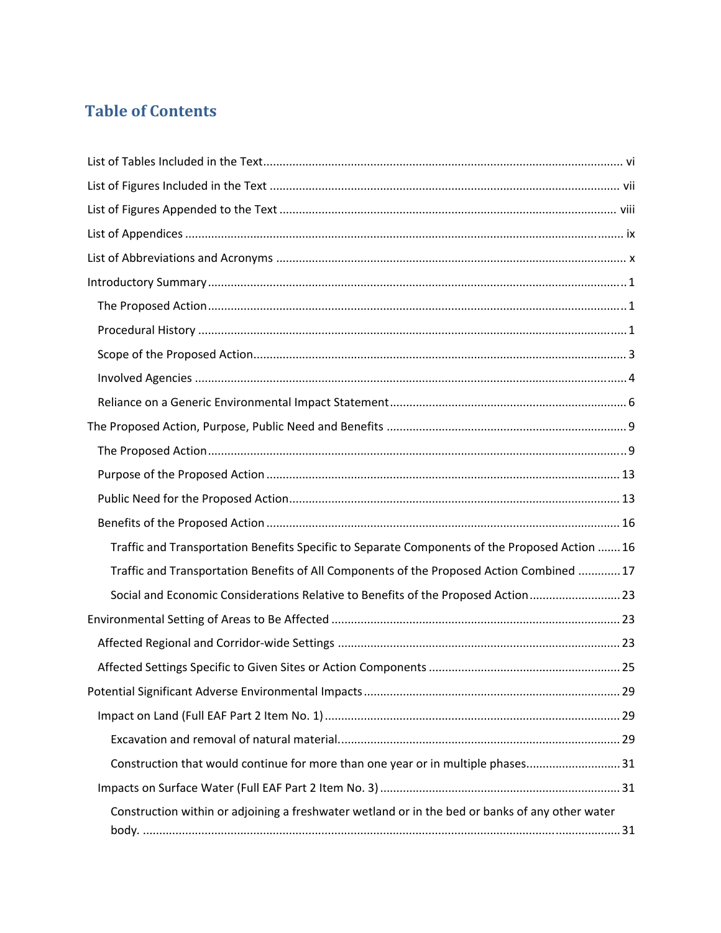# **Table of Contents**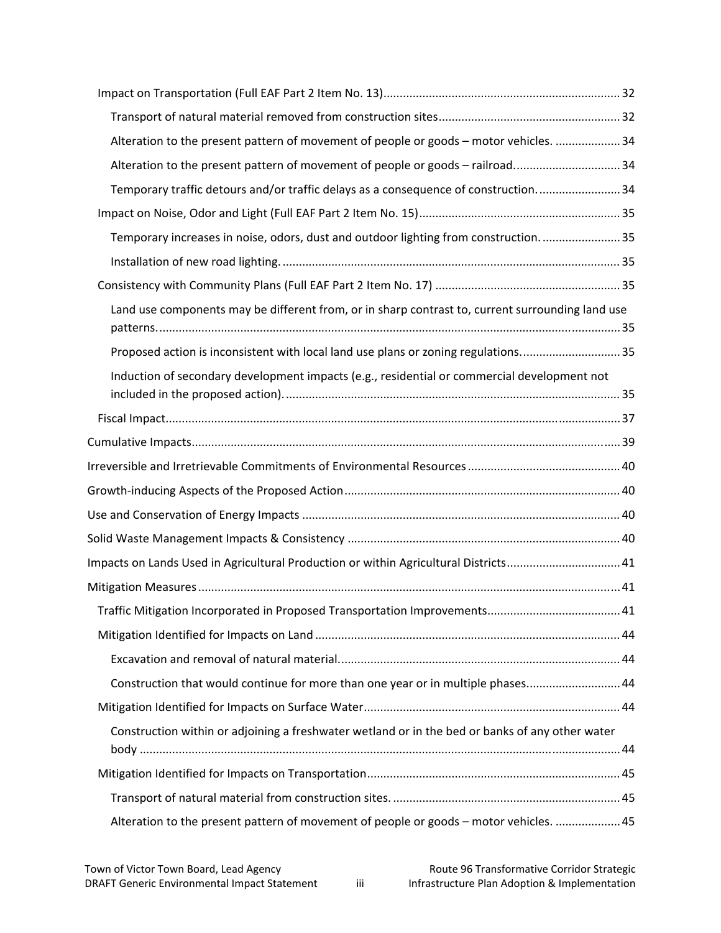| Alteration to the present pattern of movement of people or goods - motor vehicles. 34            |  |
|--------------------------------------------------------------------------------------------------|--|
| Alteration to the present pattern of movement of people or goods - railroad 34                   |  |
| Temporary traffic detours and/or traffic delays as a consequence of construction34               |  |
|                                                                                                  |  |
| Temporary increases in noise, odors, dust and outdoor lighting from construction35               |  |
|                                                                                                  |  |
|                                                                                                  |  |
| Land use components may be different from, or in sharp contrast to, current surrounding land use |  |
| Proposed action is inconsistent with local land use plans or zoning regulations35                |  |
| Induction of secondary development impacts (e.g., residential or commercial development not      |  |
|                                                                                                  |  |
|                                                                                                  |  |
|                                                                                                  |  |
|                                                                                                  |  |
|                                                                                                  |  |
|                                                                                                  |  |
| Impacts on Lands Used in Agricultural Production or within Agricultural Districts 41             |  |
|                                                                                                  |  |
|                                                                                                  |  |
|                                                                                                  |  |
|                                                                                                  |  |
| Construction that would continue for more than one year or in multiple phases 44                 |  |
|                                                                                                  |  |
| Construction within or adjoining a freshwater wetland or in the bed or banks of any other water  |  |
|                                                                                                  |  |
|                                                                                                  |  |
| Alteration to the present pattern of movement of people or goods - motor vehicles.  45           |  |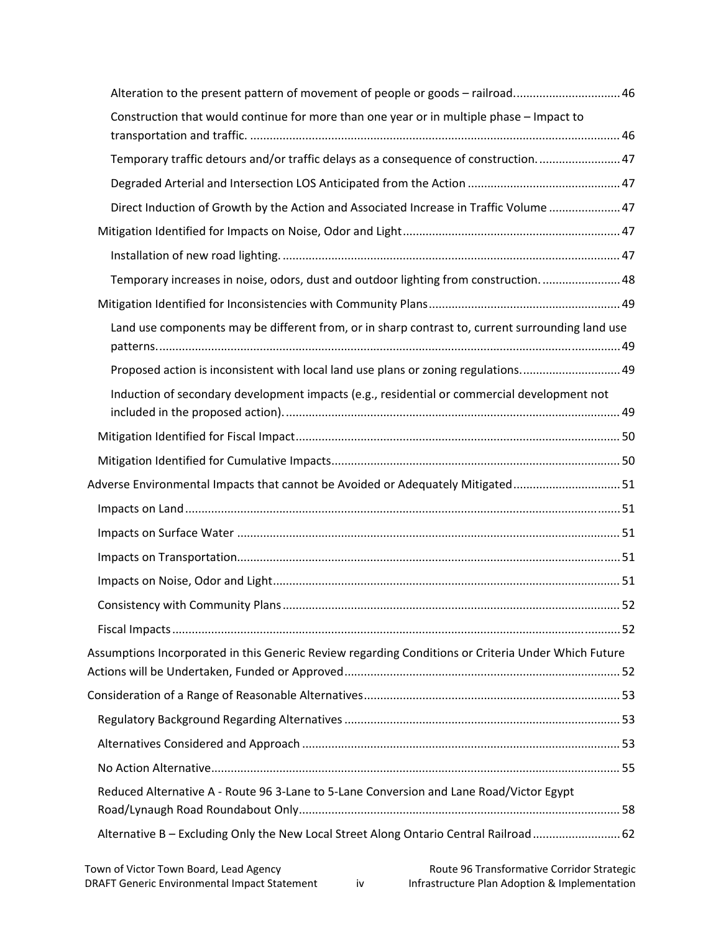| Alteration to the present pattern of movement of people or goods - railroad 46                      |  |
|-----------------------------------------------------------------------------------------------------|--|
| Construction that would continue for more than one year or in multiple phase - Impact to            |  |
| Temporary traffic detours and/or traffic delays as a consequence of construction 47                 |  |
|                                                                                                     |  |
| Direct Induction of Growth by the Action and Associated Increase in Traffic Volume  47              |  |
|                                                                                                     |  |
|                                                                                                     |  |
| Temporary increases in noise, odors, dust and outdoor lighting from construction 48                 |  |
|                                                                                                     |  |
| Land use components may be different from, or in sharp contrast to, current surrounding land use    |  |
| Proposed action is inconsistent with local land use plans or zoning regulations 49                  |  |
| Induction of secondary development impacts (e.g., residential or commercial development not         |  |
|                                                                                                     |  |
|                                                                                                     |  |
| Adverse Environmental Impacts that cannot be Avoided or Adequately Mitigated 51                     |  |
|                                                                                                     |  |
|                                                                                                     |  |
|                                                                                                     |  |
|                                                                                                     |  |
|                                                                                                     |  |
|                                                                                                     |  |
| Assumptions Incorporated in this Generic Review regarding Conditions or Criteria Under Which Future |  |
|                                                                                                     |  |
|                                                                                                     |  |
|                                                                                                     |  |
|                                                                                                     |  |
| Reduced Alternative A - Route 96 3-Lane to 5-Lane Conversion and Lane Road/Victor Egypt             |  |
| Alternative B - Excluding Only the New Local Street Along Ontario Central Railroad  62              |  |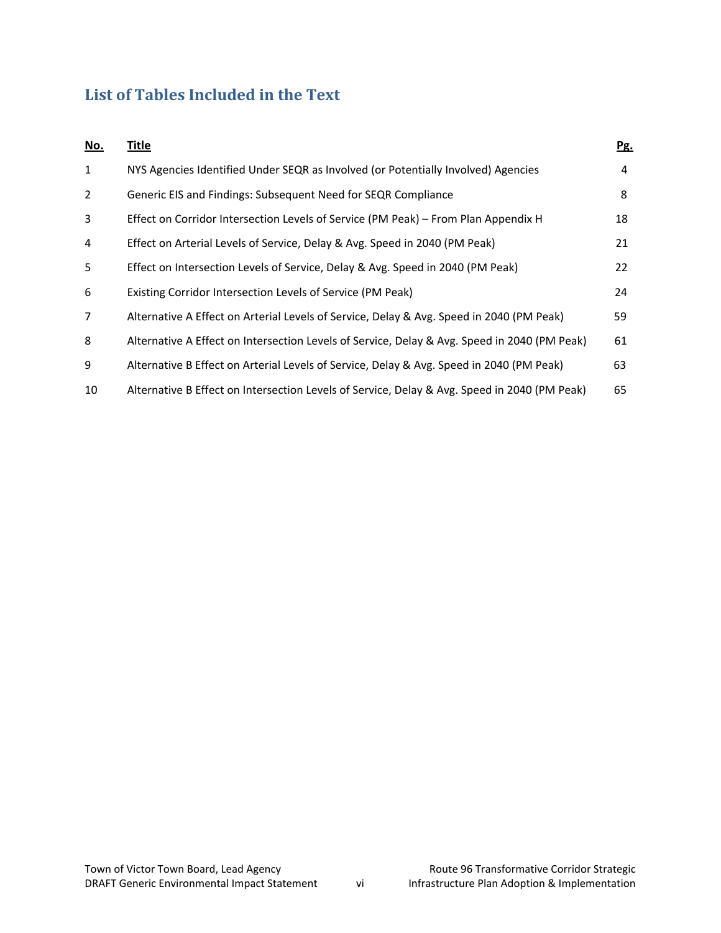# **List of Tables Included in the Text**

| <u>No.</u>   | <b>Title</b>                                                                                 | Pg. |
|--------------|----------------------------------------------------------------------------------------------|-----|
| $\mathbf{1}$ | NYS Agencies Identified Under SEQR as Involved (or Potentially Involved) Agencies            | 4   |
| 2            | Generic EIS and Findings: Subsequent Need for SEQR Compliance                                | 8   |
| 3            | Effect on Corridor Intersection Levels of Service (PM Peak) – From Plan Appendix H           | 18  |
| 4            | Effect on Arterial Levels of Service, Delay & Avg. Speed in 2040 (PM Peak)                   | 21  |
| 5            | Effect on Intersection Levels of Service, Delay & Avg. Speed in 2040 (PM Peak)               | 22  |
| 6            | Existing Corridor Intersection Levels of Service (PM Peak)                                   | 24  |
| 7            | Alternative A Effect on Arterial Levels of Service, Delay & Avg. Speed in 2040 (PM Peak)     | 59  |
| 8            | Alternative A Effect on Intersection Levels of Service, Delay & Avg. Speed in 2040 (PM Peak) | 61  |
| 9            | Alternative B Effect on Arterial Levels of Service, Delay & Avg. Speed in 2040 (PM Peak)     | 63  |
| 10           | Alternative B Effect on Intersection Levels of Service, Delay & Avg. Speed in 2040 (PM Peak) | 65  |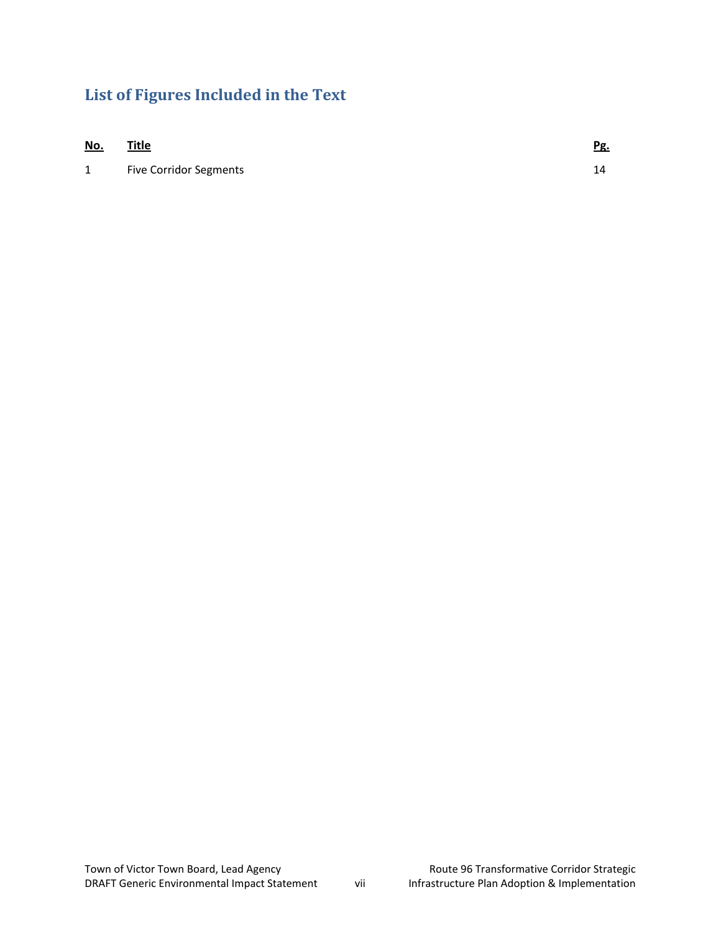# **List of Figures Included in the Text**

| <u>No.</u>   | <b>Title</b>                  | <u>Pg.</u> |
|--------------|-------------------------------|------------|
| $\mathbf{1}$ | <b>Five Corridor Segments</b> | 14         |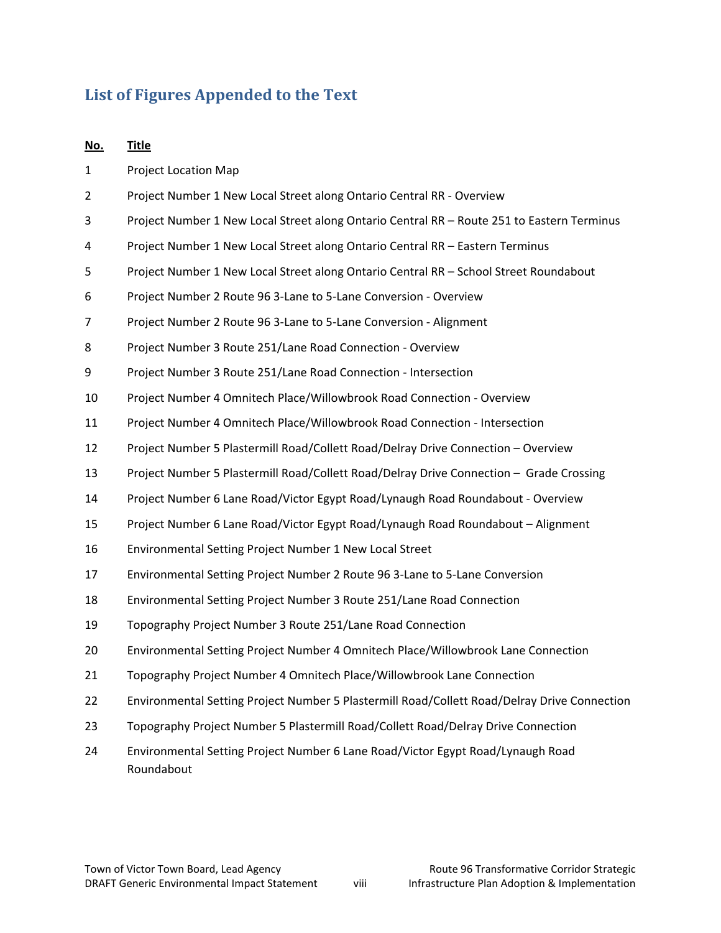# **List of Figures Appended to the Text**

| No. | <b>Title</b>                                                                                 |
|-----|----------------------------------------------------------------------------------------------|
| 1   | <b>Project Location Map</b>                                                                  |
| 2   | Project Number 1 New Local Street along Ontario Central RR - Overview                        |
| 3   | Project Number 1 New Local Street along Ontario Central RR - Route 251 to Eastern Terminus   |
| 4   | Project Number 1 New Local Street along Ontario Central RR - Eastern Terminus                |
| 5   | Project Number 1 New Local Street along Ontario Central RR - School Street Roundabout        |
| 6   | Project Number 2 Route 96 3-Lane to 5-Lane Conversion - Overview                             |
| 7   | Project Number 2 Route 96 3-Lane to 5-Lane Conversion - Alignment                            |
| 8   | Project Number 3 Route 251/Lane Road Connection - Overview                                   |
| 9   | Project Number 3 Route 251/Lane Road Connection - Intersection                               |
| 10  | Project Number 4 Omnitech Place/Willowbrook Road Connection - Overview                       |
| 11  | Project Number 4 Omnitech Place/Willowbrook Road Connection - Intersection                   |
| 12  | Project Number 5 Plastermill Road/Collett Road/Delray Drive Connection - Overview            |
| 13  | Project Number 5 Plastermill Road/Collett Road/Delray Drive Connection - Grade Crossing      |
| 14  | Project Number 6 Lane Road/Victor Egypt Road/Lynaugh Road Roundabout - Overview              |
| 15  | Project Number 6 Lane Road/Victor Egypt Road/Lynaugh Road Roundabout - Alignment             |
| 16  | Environmental Setting Project Number 1 New Local Street                                      |
| 17  | Environmental Setting Project Number 2 Route 96 3-Lane to 5-Lane Conversion                  |
| 18  | Environmental Setting Project Number 3 Route 251/Lane Road Connection                        |
| 19  | Topography Project Number 3 Route 251/Lane Road Connection                                   |
| 20  | Environmental Setting Project Number 4 Omnitech Place/Willowbrook Lane Connection            |
| 21  | Topography Project Number 4 Omnitech Place/Willowbrook Lane Connection                       |
| 22  | Environmental Setting Project Number 5 Plastermill Road/Collett Road/Delray Drive Connection |
| 23  | Topography Project Number 5 Plastermill Road/Collett Road/Delray Drive Connection            |
| 24  | Environmental Setting Project Number 6 Lane Road/Victor Egypt Road/Lynaugh Road              |

Roundabout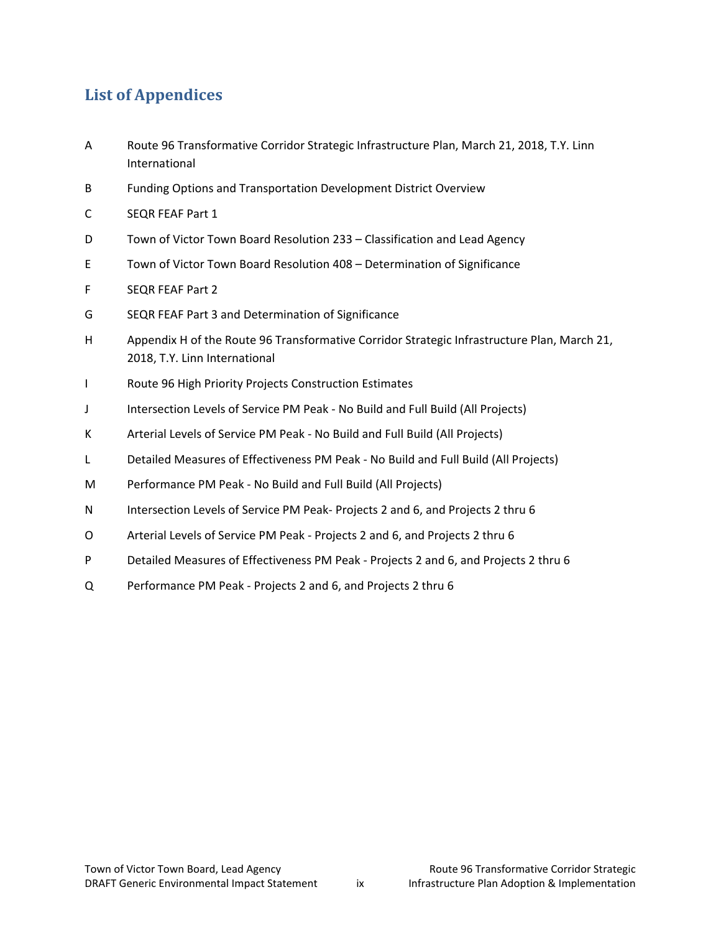# **List of Appendices**

- A Route 96 Transformative Corridor Strategic Infrastructure Plan, March 21, 2018, T.Y. Linn International
- B Funding Options and Transportation Development District Overview
- C SEQR FEAF Part 1
- D Town of Victor Town Board Resolution 233 Classification and Lead Agency
- E Town of Victor Town Board Resolution 408 Determination of Significance
- F SEQR FEAF Part 2
- G SEQR FEAF Part 3 and Determination of Significance
- H Appendix H of the Route 96 Transformative Corridor Strategic Infrastructure Plan, March 21, 2018, T.Y. Linn International
- I Route 96 High Priority Projects Construction Estimates
- J Intersection Levels of Service PM Peak ‐ No Build and Full Build (All Projects)
- K Arterial Levels of Service PM Peak No Build and Full Build (All Projects)
- L Detailed Measures of Effectiveness PM Peak ‐ No Build and Full Build (All Projects)
- M Performance PM Peak ‐ No Build and Full Build (All Projects)
- N Intersection Levels of Service PM Peak-Projects 2 and 6, and Projects 2 thru 6
- O Arterial Levels of Service PM Peak ‐ Projects 2 and 6, and Projects 2 thru 6
- P Detailed Measures of Effectiveness PM Peak ‐ Projects 2 and 6, and Projects 2 thru 6
- Q Performance PM Peak ‐ Projects 2 and 6, and Projects 2 thru 6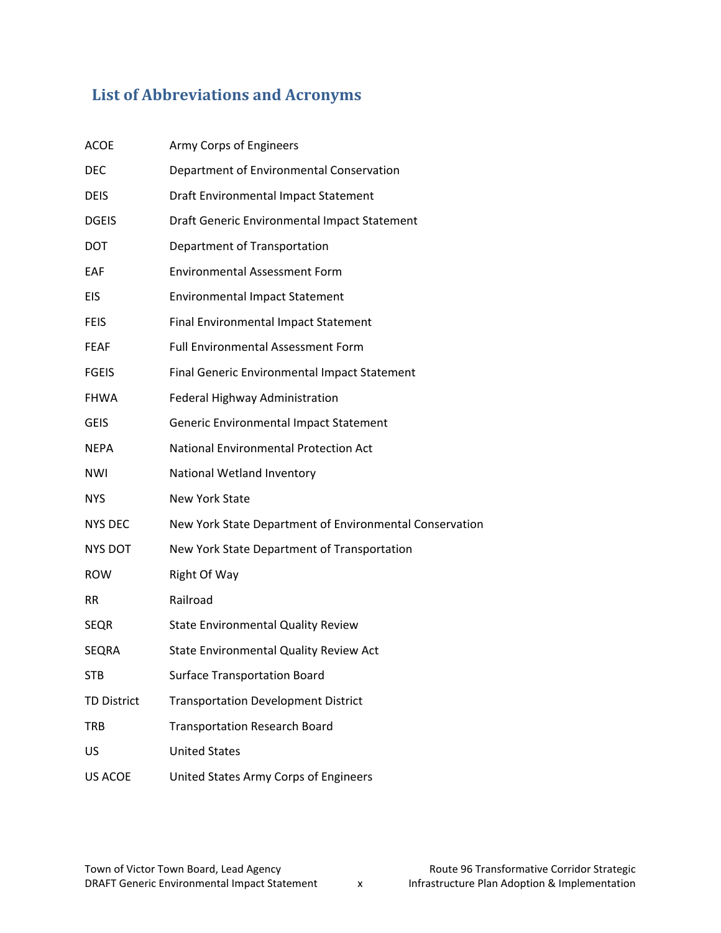# **List of Abbreviations and Acronyms**

| <b>ACOE</b>        | Army Corps of Engineers                                 |
|--------------------|---------------------------------------------------------|
| DEC                | Department of Environmental Conservation                |
| <b>DEIS</b>        | Draft Environmental Impact Statement                    |
| <b>DGEIS</b>       | Draft Generic Environmental Impact Statement            |
| <b>DOT</b>         | Department of Transportation                            |
| EAF                | <b>Environmental Assessment Form</b>                    |
| EIS                | <b>Environmental Impact Statement</b>                   |
| <b>FEIS</b>        | Final Environmental Impact Statement                    |
| <b>FEAF</b>        | <b>Full Environmental Assessment Form</b>               |
| <b>FGEIS</b>       | Final Generic Environmental Impact Statement            |
| <b>FHWA</b>        | Federal Highway Administration                          |
| <b>GEIS</b>        | Generic Environmental Impact Statement                  |
| <b>NEPA</b>        | National Environmental Protection Act                   |
| <b>NWI</b>         | National Wetland Inventory                              |
| <b>NYS</b>         | <b>New York State</b>                                   |
| <b>NYS DEC</b>     | New York State Department of Environmental Conservation |
| <b>NYS DOT</b>     | New York State Department of Transportation             |
| <b>ROW</b>         | Right Of Way                                            |
| <b>RR</b>          | Railroad                                                |
| <b>SEQR</b>        | <b>State Environmental Quality Review</b>               |
| <b>SEQRA</b>       | State Environmental Quality Review Act                  |
| STB                | <b>Surface Transportation Board</b>                     |
| <b>TD District</b> | <b>Transportation Development District</b>              |
| TRB                | <b>Transportation Research Board</b>                    |
| US                 | <b>United States</b>                                    |
| US ACOE            | United States Army Corps of Engineers                   |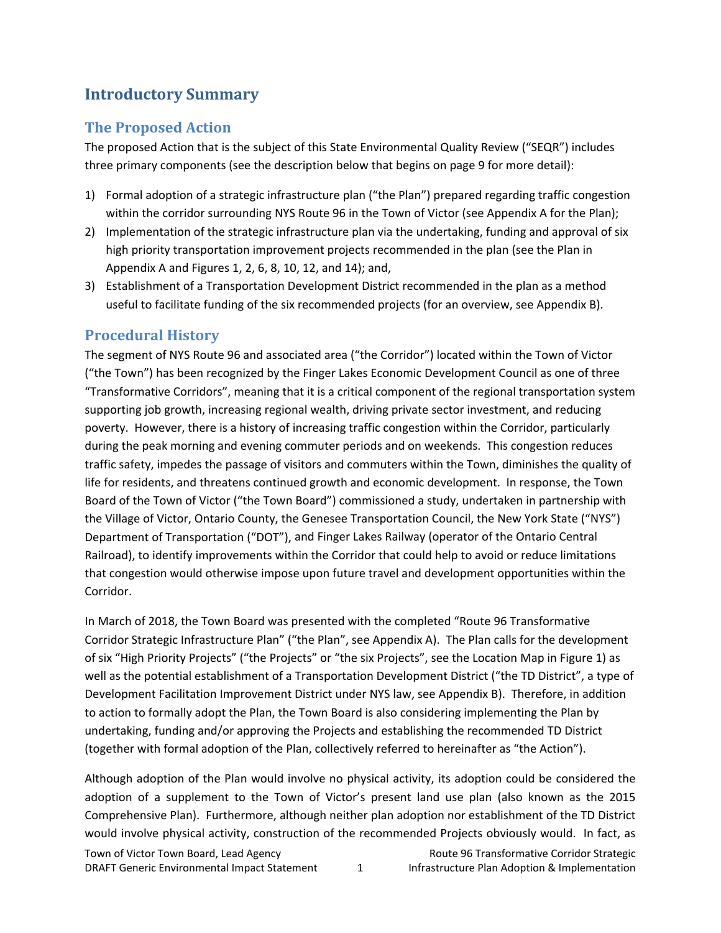# **Introductory Summary**

### **The Proposed Action**

The proposed Action that is the subject of this State Environmental Quality Review ("SEQR") includes three primary components (see the description below that begins on page 9 for more detail):

- 1) Formal adoption of a strategic infrastructure plan ("the Plan") prepared regarding traffic congestion within the corridor surrounding NYS Route 96 in the Town of Victor (see Appendix A for the Plan);
- 2) Implementation of the strategic infrastructure plan via the undertaking, funding and approval of six high priority transportation improvement projects recommended in the plan (see the Plan in Appendix A and Figures 1, 2, 6, 8, 10, 12, and 14); and,
- 3) Establishment of a Transportation Development District recommended in the plan as a method useful to facilitate funding of the six recommended projects (for an overview, see Appendix B).

### **Procedural History**

The segment of NYS Route 96 and associated area ("the Corridor") located within the Town of Victor ("the Town") has been recognized by the Finger Lakes Economic Development Council as one of three "Transformative Corridors", meaning that it is a critical component of the regional transportation system supporting job growth, increasing regional wealth, driving private sector investment, and reducing poverty. However, there is a history of increasing traffic congestion within the Corridor, particularly during the peak morning and evening commuter periods and on weekends. This congestion reduces traffic safety, impedes the passage of visitors and commuters within the Town, diminishes the quality of life for residents, and threatens continued growth and economic development. In response, the Town Board of the Town of Victor ("the Town Board") commissioned a study, undertaken in partnership with the Village of Victor, Ontario County, the Genesee Transportation Council, the New York State ("NYS") Department of Transportation ("DOT"), and Finger Lakes Railway (operator of the Ontario Central Railroad), to identify improvements within the Corridor that could help to avoid or reduce limitations that congestion would otherwise impose upon future travel and development opportunities within the Corridor.

In March of 2018, the Town Board was presented with the completed "Route 96 Transformative Corridor Strategic Infrastructure Plan" ("the Plan", see Appendix A). The Plan calls for the development of six "High Priority Projects" ("the Projects" or "the six Projects", see the Location Map in Figure 1) as well as the potential establishment of a Transportation Development District ("the TD District", a type of Development Facilitation Improvement District under NYS law, see Appendix B). Therefore, in addition to action to formally adopt the Plan, the Town Board is also considering implementing the Plan by undertaking, funding and/or approving the Projects and establishing the recommended TD District (together with formal adoption of the Plan, collectively referred to hereinafter as "the Action").

Although adoption of the Plan would involve no physical activity, its adoption could be considered the adoption of a supplement to the Town of Victor's present land use plan (also known as the 2015 Comprehensive Plan). Furthermore, although neither plan adoption nor establishment of the TD District would involve physical activity, construction of the recommended Projects obviously would. In fact, as

Town of Victor Town Board, Lead Agency **Route 96 Transformative Corridor Strategic** DRAFT Generic Environmental Impact Statement 1 Infrastructure Plan Adoption & Implementation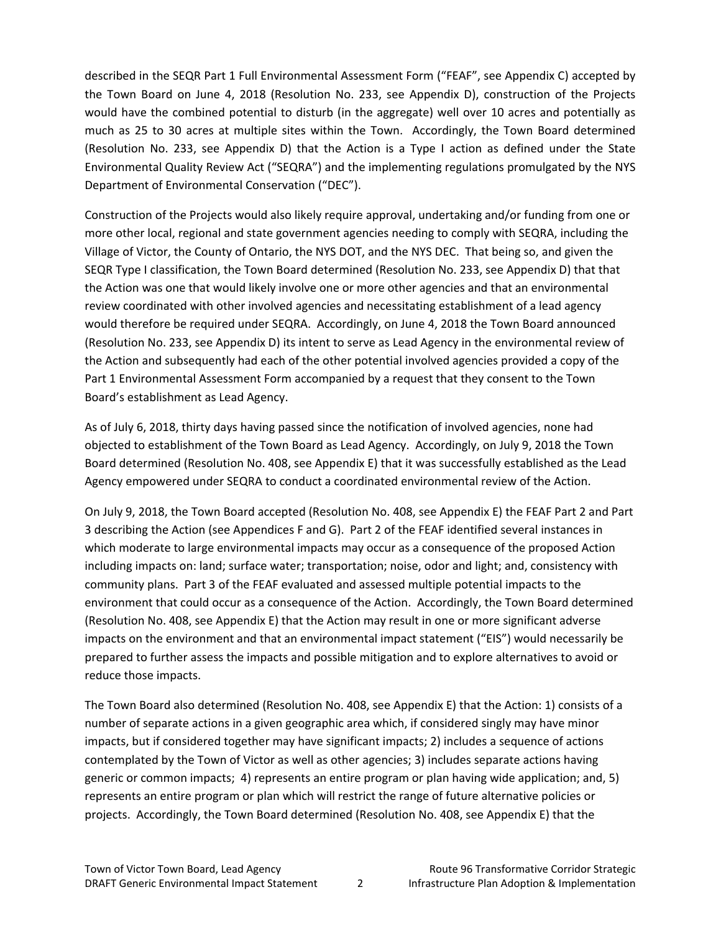described in the SEQR Part 1 Full Environmental Assessment Form ("FEAF", see Appendix C) accepted by the Town Board on June 4, 2018 (Resolution No. 233, see Appendix D), construction of the Projects would have the combined potential to disturb (in the aggregate) well over 10 acres and potentially as much as 25 to 30 acres at multiple sites within the Town. Accordingly, the Town Board determined (Resolution No. 233, see Appendix D) that the Action is a Type I action as defined under the State Environmental Quality Review Act ("SEQRA") and the implementing regulations promulgated by the NYS Department of Environmental Conservation ("DEC").

Construction of the Projects would also likely require approval, undertaking and/or funding from one or more other local, regional and state government agencies needing to comply with SEQRA, including the Village of Victor, the County of Ontario, the NYS DOT, and the NYS DEC. That being so, and given the SEQR Type I classification, the Town Board determined (Resolution No. 233, see Appendix D) that that the Action was one that would likely involve one or more other agencies and that an environmental review coordinated with other involved agencies and necessitating establishment of a lead agency would therefore be required under SEQRA. Accordingly, on June 4, 2018 the Town Board announced (Resolution No. 233, see Appendix D) its intent to serve as Lead Agency in the environmental review of the Action and subsequently had each of the other potential involved agencies provided a copy of the Part 1 Environmental Assessment Form accompanied by a request that they consent to the Town Board's establishment as Lead Agency.

As of July 6, 2018, thirty days having passed since the notification of involved agencies, none had objected to establishment of the Town Board as Lead Agency. Accordingly, on July 9, 2018 the Town Board determined (Resolution No. 408, see Appendix E) that it was successfully established as the Lead Agency empowered under SEQRA to conduct a coordinated environmental review of the Action.

On July 9, 2018, the Town Board accepted (Resolution No. 408, see Appendix E) the FEAF Part 2 and Part 3 describing the Action (see Appendices F and G). Part 2 of the FEAF identified several instances in which moderate to large environmental impacts may occur as a consequence of the proposed Action including impacts on: land; surface water; transportation; noise, odor and light; and, consistency with community plans. Part 3 of the FEAF evaluated and assessed multiple potential impacts to the environment that could occur as a consequence of the Action. Accordingly, the Town Board determined (Resolution No. 408, see Appendix E) that the Action may result in one or more significant adverse impacts on the environment and that an environmental impact statement ("EIS") would necessarily be prepared to further assess the impacts and possible mitigation and to explore alternatives to avoid or reduce those impacts.

The Town Board also determined (Resolution No. 408, see Appendix E) that the Action: 1) consists of a number of separate actions in a given geographic area which, if considered singly may have minor impacts, but if considered together may have significant impacts; 2) includes a sequence of actions contemplated by the Town of Victor as well as other agencies; 3) includes separate actions having generic or common impacts; 4) represents an entire program or plan having wide application; and, 5) represents an entire program or plan which will restrict the range of future alternative policies or projects. Accordingly, the Town Board determined (Resolution No. 408, see Appendix E) that the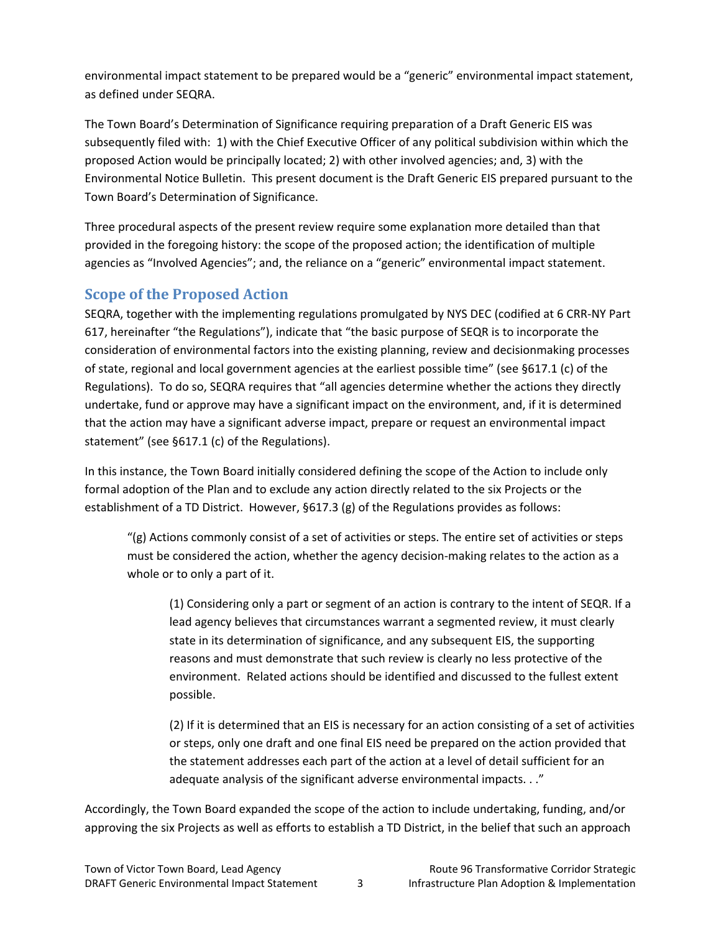environmental impact statement to be prepared would be a "generic" environmental impact statement, as defined under SEQRA.

The Town Board's Determination of Significance requiring preparation of a Draft Generic EIS was subsequently filed with: 1) with the Chief Executive Officer of any political subdivision within which the proposed Action would be principally located; 2) with other involved agencies; and, 3) with the Environmental Notice Bulletin. This present document is the Draft Generic EIS prepared pursuant to the Town Board's Determination of Significance.

Three procedural aspects of the present review require some explanation more detailed than that provided in the foregoing history: the scope of the proposed action; the identification of multiple agencies as "Involved Agencies"; and, the reliance on a "generic" environmental impact statement.

### **Scope of the Proposed Action**

SEQRA, together with the implementing regulations promulgated by NYS DEC (codified at 6 CRR‐NY Part 617, hereinafter "the Regulations"), indicate that "the basic purpose of SEQR is to incorporate the consideration of environmental factors into the existing planning, review and decisionmaking processes of state, regional and local government agencies at the earliest possible time" (see §617.1 (c) of the Regulations). To do so, SEQRA requires that "all agencies determine whether the actions they directly undertake, fund or approve may have a significant impact on the environment, and, if it is determined that the action may have a significant adverse impact, prepare or request an environmental impact statement" (see §617.1 (c) of the Regulations).

In this instance, the Town Board initially considered defining the scope of the Action to include only formal adoption of the Plan and to exclude any action directly related to the six Projects or the establishment of a TD District. However, §617.3 (g) of the Regulations provides as follows:

"(g) Actions commonly consist of a set of activities or steps. The entire set of activities or steps must be considered the action, whether the agency decision‐making relates to the action as a whole or to only a part of it.

(1) Considering only a part or segment of an action is contrary to the intent of SEQR. If a lead agency believes that circumstances warrant a segmented review, it must clearly state in its determination of significance, and any subsequent EIS, the supporting reasons and must demonstrate that such review is clearly no less protective of the environment. Related actions should be identified and discussed to the fullest extent possible.

(2) If it is determined that an EIS is necessary for an action consisting of a set of activities or steps, only one draft and one final EIS need be prepared on the action provided that the statement addresses each part of the action at a level of detail sufficient for an adequate analysis of the significant adverse environmental impacts. . ."

Accordingly, the Town Board expanded the scope of the action to include undertaking, funding, and/or approving the six Projects as well as efforts to establish a TD District, in the belief that such an approach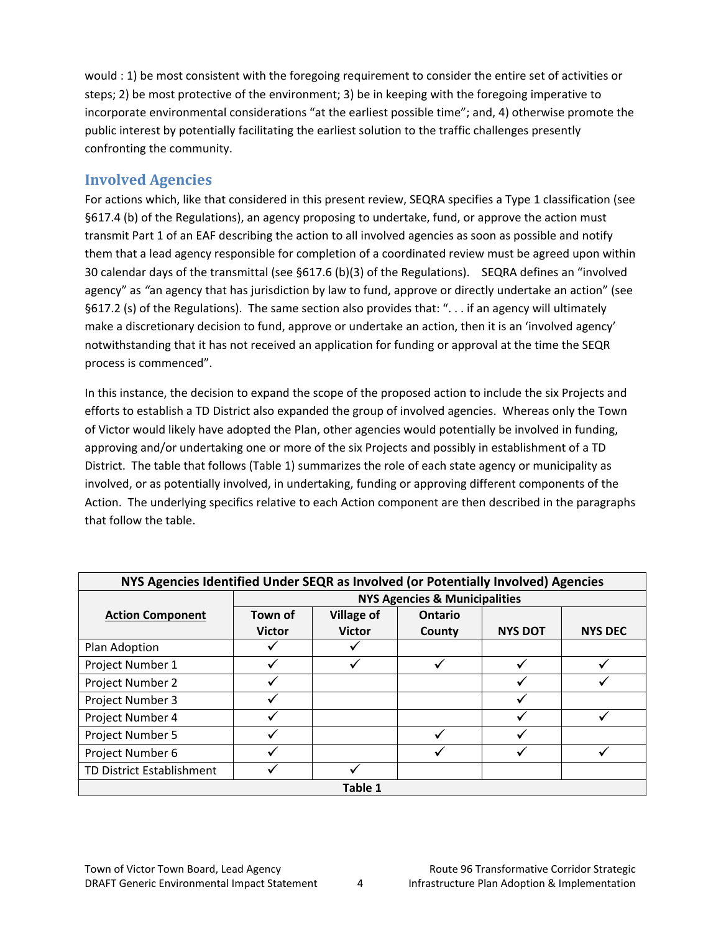would : 1) be most consistent with the foregoing requirement to consider the entire set of activities or steps; 2) be most protective of the environment; 3) be in keeping with the foregoing imperative to incorporate environmental considerations "at the earliest possible time"; and, 4) otherwise promote the public interest by potentially facilitating the earliest solution to the traffic challenges presently confronting the community.

### **Involved Agencies**

For actions which, like that considered in this present review, SEQRA specifies a Type 1 classification (see §617.4 (b) of the Regulations), an agency proposing to undertake, fund, or approve the action must transmit Part 1 of an EAF describing the action to all involved agencies as soon as possible and notify them that a lead agency responsible for completion of a coordinated review must be agreed upon within 30 calendar days of the transmittal (see §617.6 (b)(3) of the Regulations). SEQRA defines an "involved agency" as *"*an agency that has jurisdiction by law to fund, approve or directly undertake an action" (see §617.2 (s) of the Regulations). The same section also provides that: ". . . if an agency will ultimately make a discretionary decision to fund, approve or undertake an action, then it is an 'involved agency' notwithstanding that it has not received an application for funding or approval at the time the SEQR process is commenced".

In this instance, the decision to expand the scope of the proposed action to include the six Projects and efforts to establish a TD District also expanded the group of involved agencies. Whereas only the Town of Victor would likely have adopted the Plan, other agencies would potentially be involved in funding, approving and/or undertaking one or more of the six Projects and possibly in establishment of a TD District. The table that follows (Table 1) summarizes the role of each state agency or municipality as involved, or as potentially involved, in undertaking, funding or approving different components of the Action. The underlying specifics relative to each Action component are then described in the paragraphs that follow the table.

| NYS Agencies Identified Under SEQR as Involved (or Potentially Involved) Agencies |               |                   |                |                |                |  |  |
|-----------------------------------------------------------------------------------|---------------|-------------------|----------------|----------------|----------------|--|--|
| <b>NYS Agencies &amp; Municipalities</b>                                          |               |                   |                |                |                |  |  |
| <b>Action Component</b>                                                           | Town of       | <b>Village of</b> | <b>Ontario</b> |                |                |  |  |
|                                                                                   | <b>Victor</b> | <b>Victor</b>     | County         | <b>NYS DOT</b> | <b>NYS DEC</b> |  |  |
| Plan Adoption                                                                     |               |                   |                |                |                |  |  |
| Project Number 1                                                                  |               |                   |                |                |                |  |  |
| Project Number 2                                                                  |               |                   |                |                |                |  |  |
| Project Number 3                                                                  |               |                   |                |                |                |  |  |
| Project Number 4                                                                  |               |                   |                |                |                |  |  |
| Project Number 5                                                                  |               |                   |                |                |                |  |  |
| Project Number 6                                                                  |               |                   |                |                |                |  |  |
| TD District Establishment                                                         |               |                   |                |                |                |  |  |
| Table 1                                                                           |               |                   |                |                |                |  |  |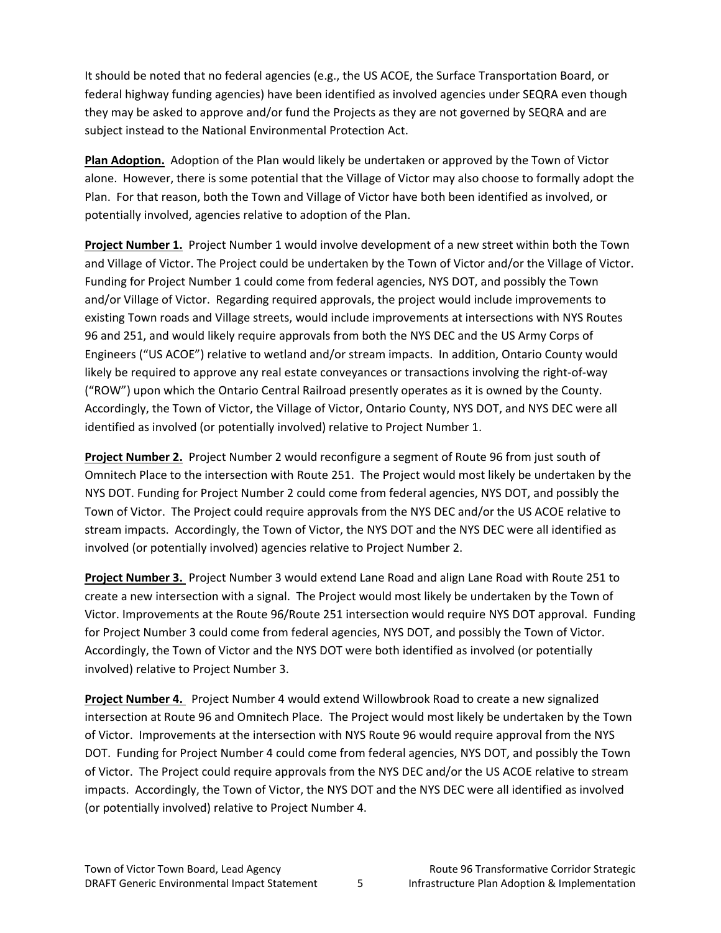It should be noted that no federal agencies (e.g., the US ACOE, the Surface Transportation Board, or federal highway funding agencies) have been identified as involved agencies under SEQRA even though they may be asked to approve and/or fund the Projects as they are not governed by SEQRA and are subject instead to the National Environmental Protection Act.

**Plan Adoption.** Adoption of the Plan would likely be undertaken or approved by the Town of Victor alone. However, there is some potential that the Village of Victor may also choose to formally adopt the Plan. For that reason, both the Town and Village of Victor have both been identified as involved, or potentially involved, agencies relative to adoption of the Plan.

**Project Number 1.** Project Number 1 would involve development of a new street within both the Town and Village of Victor. The Project could be undertaken by the Town of Victor and/or the Village of Victor. Funding for Project Number 1 could come from federal agencies, NYS DOT, and possibly the Town and/or Village of Victor. Regarding required approvals, the project would include improvements to existing Town roads and Village streets, would include improvements at intersections with NYS Routes 96 and 251, and would likely require approvals from both the NYS DEC and the US Army Corps of Engineers ("US ACOE") relative to wetland and/or stream impacts. In addition, Ontario County would likely be required to approve any real estate conveyances or transactions involving the right‐of‐way ("ROW") upon which the Ontario Central Railroad presently operates as it is owned by the County. Accordingly, the Town of Victor, the Village of Victor, Ontario County, NYS DOT, and NYS DEC were all identified as involved (or potentially involved) relative to Project Number 1.

**Project Number 2.** Project Number 2 would reconfigure a segment of Route 96 from just south of Omnitech Place to the intersection with Route 251. The Project would most likely be undertaken by the NYS DOT. Funding for Project Number 2 could come from federal agencies, NYS DOT, and possibly the Town of Victor. The Project could require approvals from the NYS DEC and/or the US ACOE relative to stream impacts. Accordingly, the Town of Victor, the NYS DOT and the NYS DEC were all identified as involved (or potentially involved) agencies relative to Project Number 2.

**Project Number 3.** Project Number 3 would extend Lane Road and align Lane Road with Route 251 to create a new intersection with a signal. The Project would most likely be undertaken by the Town of Victor. Improvements at the Route 96/Route 251 intersection would require NYS DOT approval. Funding for Project Number 3 could come from federal agencies, NYS DOT, and possibly the Town of Victor. Accordingly, the Town of Victor and the NYS DOT were both identified as involved (or potentially involved) relative to Project Number 3.

**Project Number 4.** Project Number 4 would extend Willowbrook Road to create a new signalized intersection at Route 96 and Omnitech Place. The Project would most likely be undertaken by the Town of Victor. Improvements at the intersection with NYS Route 96 would require approval from the NYS DOT. Funding for Project Number 4 could come from federal agencies, NYS DOT, and possibly the Town of Victor. The Project could require approvals from the NYS DEC and/or the US ACOE relative to stream impacts. Accordingly, the Town of Victor, the NYS DOT and the NYS DEC were all identified as involved (or potentially involved) relative to Project Number 4.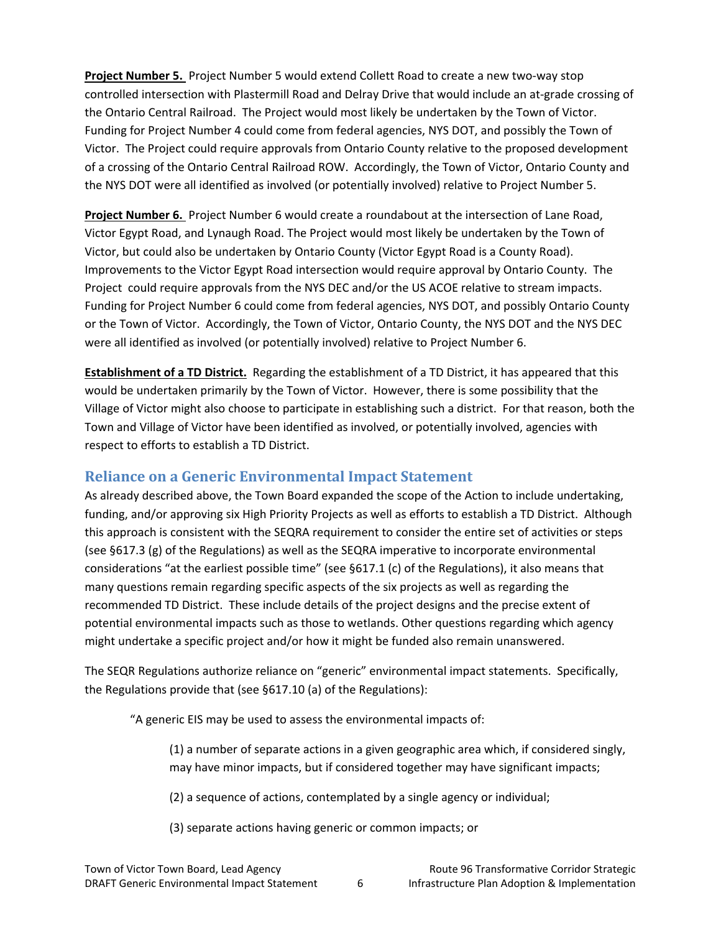**Project Number 5.** Project Number 5 would extend Collett Road to create a new two‐way stop controlled intersection with Plastermill Road and Delray Drive that would include an at‐grade crossing of the Ontario Central Railroad. The Project would most likely be undertaken by the Town of Victor. Funding for Project Number 4 could come from federal agencies, NYS DOT, and possibly the Town of Victor. The Project could require approvals from Ontario County relative to the proposed development of a crossing of the Ontario Central Railroad ROW. Accordingly, the Town of Victor, Ontario County and the NYS DOT were all identified as involved (or potentially involved) relative to Project Number 5.

**Project Number 6.** Project Number 6 would create a roundabout at the intersection of Lane Road, Victor Egypt Road, and Lynaugh Road. The Project would most likely be undertaken by the Town of Victor, but could also be undertaken by Ontario County (Victor Egypt Road is a County Road). Improvements to the Victor Egypt Road intersection would require approval by Ontario County. The Project could require approvals from the NYS DEC and/or the US ACOE relative to stream impacts. Funding for Project Number 6 could come from federal agencies, NYS DOT, and possibly Ontario County or the Town of Victor. Accordingly, the Town of Victor, Ontario County, the NYS DOT and the NYS DEC were all identified as involved (or potentially involved) relative to Project Number 6.

**Establishment of a TD District.** Regarding the establishment of a TD District, it has appeared that this would be undertaken primarily by the Town of Victor. However, there is some possibility that the Village of Victor might also choose to participate in establishing such a district. For that reason, both the Town and Village of Victor have been identified as involved, or potentially involved, agencies with respect to efforts to establish a TD District.

### **Reliance on a Generic Environmental Impact Statement**

As already described above, the Town Board expanded the scope of the Action to include undertaking, funding, and/or approving six High Priority Projects as well as efforts to establish a TD District. Although this approach is consistent with the SEQRA requirement to consider the entire set of activities or steps (see §617.3 (g) of the Regulations) as well as the SEQRA imperative to incorporate environmental considerations "at the earliest possible time" (see §617.1 (c) of the Regulations), it also means that many questions remain regarding specific aspects of the six projects as well as regarding the recommended TD District. These include details of the project designs and the precise extent of potential environmental impacts such as those to wetlands. Other questions regarding which agency might undertake a specific project and/or how it might be funded also remain unanswered.

The SEQR Regulations authorize reliance on "generic" environmental impact statements. Specifically, the Regulations provide that (see §617.10 (a) of the Regulations):

"A generic EIS may be used to assess the environmental impacts of:

(1) a number of separate actions in a given geographic area which, if considered singly, may have minor impacts, but if considered together may have significant impacts;

(2) a sequence of actions, contemplated by a single agency or individual;

(3) separate actions having generic or common impacts; or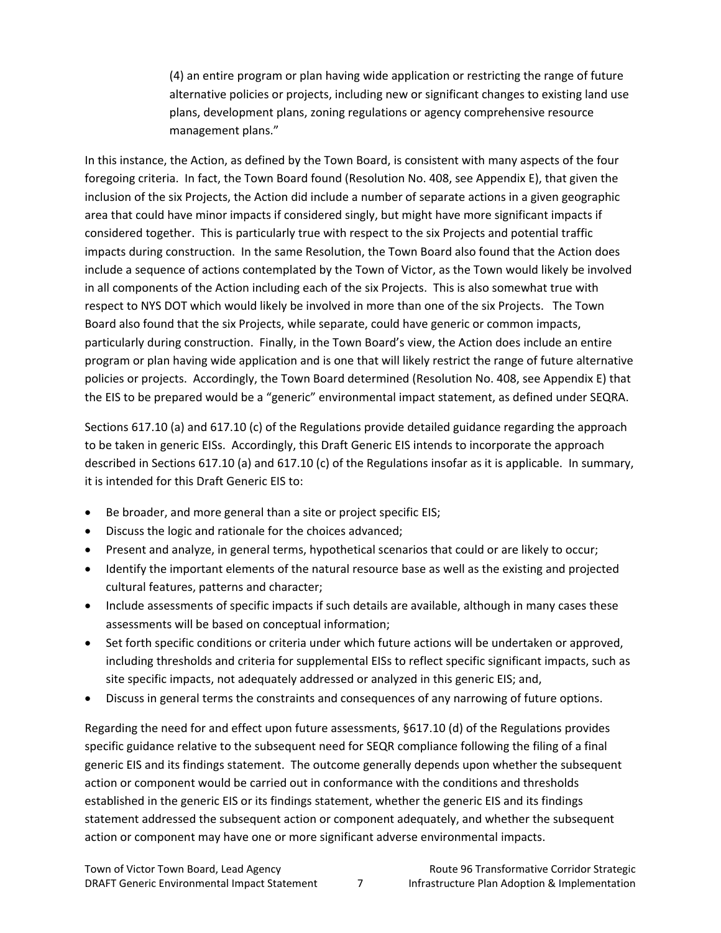(4) an entire program or plan having wide application or restricting the range of future alternative policies or projects, including new or significant changes to existing land use plans, development plans, zoning regulations or agency comprehensive resource management plans."

In this instance, the Action, as defined by the Town Board, is consistent with many aspects of the four foregoing criteria. In fact, the Town Board found (Resolution No. 408, see Appendix E), that given the inclusion of the six Projects, the Action did include a number of separate actions in a given geographic area that could have minor impacts if considered singly, but might have more significant impacts if considered together. This is particularly true with respect to the six Projects and potential traffic impacts during construction. In the same Resolution, the Town Board also found that the Action does include a sequence of actions contemplated by the Town of Victor, as the Town would likely be involved in all components of the Action including each of the six Projects. This is also somewhat true with respect to NYS DOT which would likely be involved in more than one of the six Projects. The Town Board also found that the six Projects, while separate, could have generic or common impacts, particularly during construction. Finally, in the Town Board's view, the Action does include an entire program or plan having wide application and is one that will likely restrict the range of future alternative policies or projects. Accordingly, the Town Board determined (Resolution No. 408, see Appendix E) that the EIS to be prepared would be a "generic" environmental impact statement, as defined under SEQRA.

Sections 617.10 (a) and 617.10 (c) of the Regulations provide detailed guidance regarding the approach to be taken in generic EISs. Accordingly, this Draft Generic EIS intends to incorporate the approach described in Sections 617.10 (a) and 617.10 (c) of the Regulations insofar as it is applicable. In summary, it is intended for this Draft Generic EIS to:

- Be broader, and more general than a site or project specific EIS;
- Discuss the logic and rationale for the choices advanced;
- Present and analyze, in general terms, hypothetical scenarios that could or are likely to occur;
- Identify the important elements of the natural resource base as well as the existing and projected cultural features, patterns and character;
- Include assessments of specific impacts if such details are available, although in many cases these assessments will be based on conceptual information;
- Set forth specific conditions or criteria under which future actions will be undertaken or approved, including thresholds and criteria for supplemental EISs to reflect specific significant impacts, such as site specific impacts, not adequately addressed or analyzed in this generic EIS; and,
- Discuss in general terms the constraints and consequences of any narrowing of future options.

Regarding the need for and effect upon future assessments, §617.10 (d) of the Regulations provides specific guidance relative to the subsequent need for SEQR compliance following the filing of a final generic EIS and its findings statement. The outcome generally depends upon whether the subsequent action or component would be carried out in conformance with the conditions and thresholds established in the generic EIS or its findings statement, whether the generic EIS and its findings statement addressed the subsequent action or component adequately, and whether the subsequent action or component may have one or more significant adverse environmental impacts.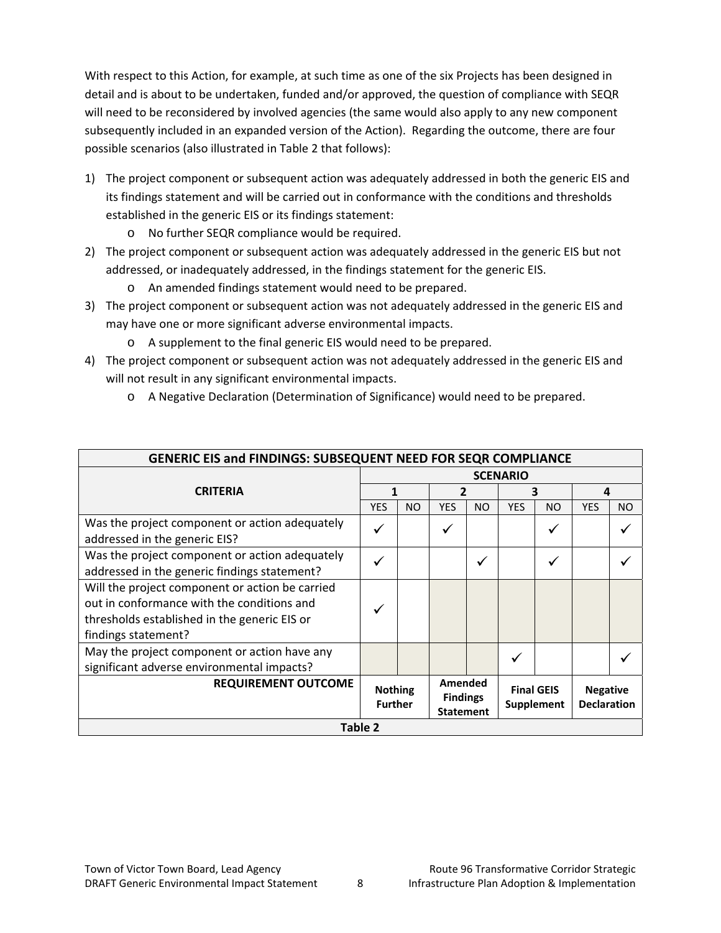With respect to this Action, for example, at such time as one of the six Projects has been designed in detail and is about to be undertaken, funded and/or approved, the question of compliance with SEQR will need to be reconsidered by involved agencies (the same would also apply to any new component subsequently included in an expanded version of the Action). Regarding the outcome, there are four possible scenarios (also illustrated in Table 2 that follows):

- 1) The project component or subsequent action was adequately addressed in both the generic EIS and its findings statement and will be carried out in conformance with the conditions and thresholds established in the generic EIS or its findings statement:
	- o No further SEQR compliance would be required.
- 2) The project component or subsequent action was adequately addressed in the generic EIS but not addressed, or inadequately addressed, in the findings statement for the generic EIS.
	- o An amended findings statement would need to be prepared.
- 3) The project component or subsequent action was not adequately addressed in the generic EIS and may have one or more significant adverse environmental impacts.
	- o A supplement to the final generic EIS would need to be prepared.
- 4) The project component or subsequent action was not adequately addressed in the generic EIS and will not result in any significant environmental impacts.
	- o A Negative Declaration (Determination of Significance) would need to be prepared.

| <b>GENERIC EIS and FINDINGS: SUBSEQUENT NEED FOR SEQR COMPLIANCE</b>                                                                                                 |                                                                                                                                                                |           |            |           |            |           |            |           |  |
|----------------------------------------------------------------------------------------------------------------------------------------------------------------------|----------------------------------------------------------------------------------------------------------------------------------------------------------------|-----------|------------|-----------|------------|-----------|------------|-----------|--|
|                                                                                                                                                                      | <b>SCENARIO</b>                                                                                                                                                |           |            |           |            |           |            |           |  |
| <b>CRITERIA</b>                                                                                                                                                      |                                                                                                                                                                |           |            | 2         |            | 3         |            | 4         |  |
|                                                                                                                                                                      | <b>YES</b>                                                                                                                                                     | <b>NO</b> | <b>YES</b> | <b>NO</b> | <b>YES</b> | <b>NO</b> | <b>YES</b> | <b>NO</b> |  |
| Was the project component or action adequately<br>addressed in the generic EIS?                                                                                      | ✓                                                                                                                                                              |           |            |           |            |           |            |           |  |
| Was the project component or action adequately<br>addressed in the generic findings statement?                                                                       | ✓                                                                                                                                                              |           |            | ✓         |            |           |            |           |  |
| Will the project component or action be carried<br>out in conformance with the conditions and<br>thresholds established in the generic EIS or<br>findings statement? | $\checkmark$                                                                                                                                                   |           |            |           |            |           |            |           |  |
| May the project component or action have any<br>significant adverse environmental impacts?                                                                           |                                                                                                                                                                |           |            |           |            |           |            |           |  |
| <b>REQUIREMENT OUTCOME</b>                                                                                                                                           | Amended<br><b>Final GEIS</b><br><b>Nothing</b><br><b>Negative</b><br><b>Findings</b><br><b>Further</b><br><b>Declaration</b><br>Supplement<br><b>Statement</b> |           |            |           |            |           |            |           |  |
| <b>Table 2</b>                                                                                                                                                       |                                                                                                                                                                |           |            |           |            |           |            |           |  |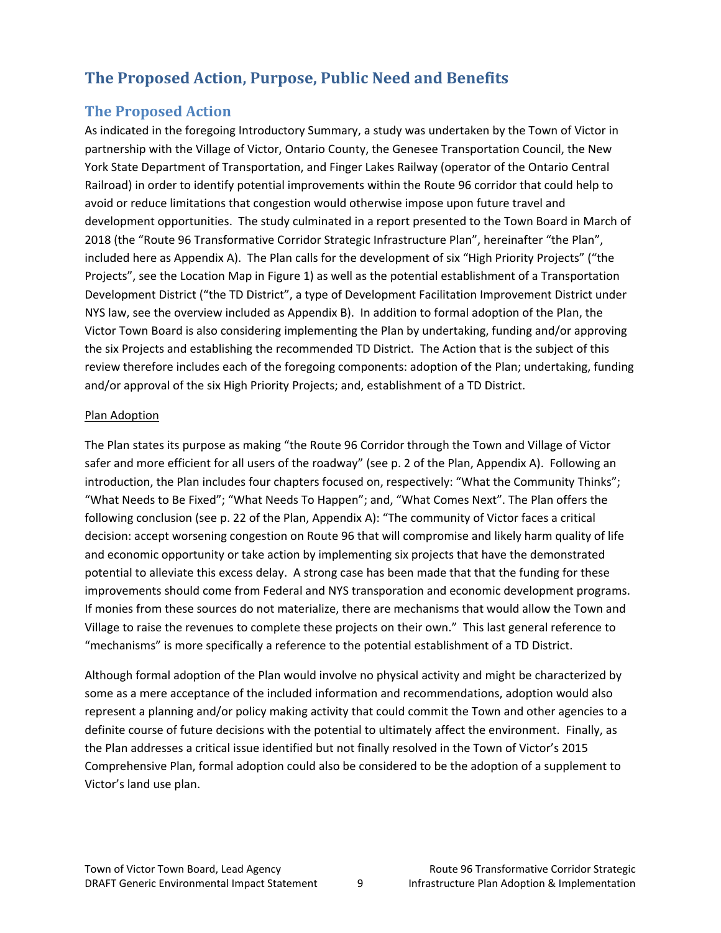# **The Proposed Action, Purpose, Public Need and Benefits**

## **The Proposed Action**

As indicated in the foregoing Introductory Summary, a study was undertaken by the Town of Victor in partnership with the Village of Victor, Ontario County, the Genesee Transportation Council, the New York State Department of Transportation, and Finger Lakes Railway (operator of the Ontario Central Railroad) in order to identify potential improvements within the Route 96 corridor that could help to avoid or reduce limitations that congestion would otherwise impose upon future travel and development opportunities. The study culminated in a report presented to the Town Board in March of 2018 (the "Route 96 Transformative Corridor Strategic Infrastructure Plan", hereinafter "the Plan", included here as Appendix A). The Plan calls for the development of six "High Priority Projects" ("the Projects", see the Location Map in Figure 1) as well as the potential establishment of a Transportation Development District ("the TD District", a type of Development Facilitation Improvement District under NYS law, see the overview included as Appendix B). In addition to formal adoption of the Plan, the Victor Town Board is also considering implementing the Plan by undertaking, funding and/or approving the six Projects and establishing the recommended TD District. The Action that is the subject of this review therefore includes each of the foregoing components: adoption of the Plan; undertaking, funding and/or approval of the six High Priority Projects; and, establishment of a TD District.

#### Plan Adoption

The Plan states its purpose as making "the Route 96 Corridor through the Town and Village of Victor safer and more efficient for all users of the roadway" (see p. 2 of the Plan, Appendix A). Following an introduction, the Plan includes four chapters focused on, respectively: "What the Community Thinks"; "What Needs to Be Fixed"; "What Needs To Happen"; and, "What Comes Next". The Plan offers the following conclusion (see p. 22 of the Plan, Appendix A): "The community of Victor faces a critical decision: accept worsening congestion on Route 96 that will compromise and likely harm quality of life and economic opportunity or take action by implementing six projects that have the demonstrated potential to alleviate this excess delay. A strong case has been made that that the funding for these improvements should come from Federal and NYS transporation and economic development programs. If monies from these sources do not materialize, there are mechanisms that would allow the Town and Village to raise the revenues to complete these projects on their own." This last general reference to "mechanisms" is more specifically a reference to the potential establishment of a TD District.

Although formal adoption of the Plan would involve no physical activity and might be characterized by some as a mere acceptance of the included information and recommendations, adoption would also represent a planning and/or policy making activity that could commit the Town and other agencies to a definite course of future decisions with the potential to ultimately affect the environment. Finally, as the Plan addresses a critical issue identified but not finally resolved in the Town of Victor's 2015 Comprehensive Plan, formal adoption could also be considered to be the adoption of a supplement to Victor's land use plan.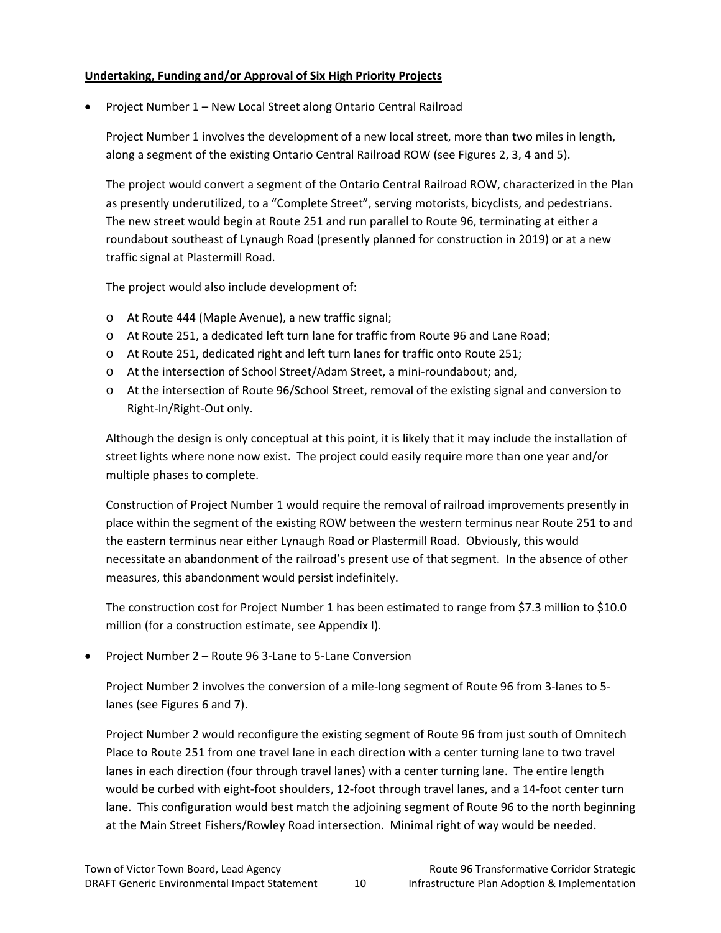#### **Undertaking, Funding and/or Approval of Six High Priority Projects**

• Project Number 1 – New Local Street along Ontario Central Railroad

Project Number 1 involves the development of a new local street, more than two miles in length, along a segment of the existing Ontario Central Railroad ROW (see Figures 2, 3, 4 and 5).

The project would convert a segment of the Ontario Central Railroad ROW, characterized in the Plan as presently underutilized, to a "Complete Street", serving motorists, bicyclists, and pedestrians. The new street would begin at Route 251 and run parallel to Route 96, terminating at either a roundabout southeast of Lynaugh Road (presently planned for construction in 2019) or at a new traffic signal at Plastermill Road.

The project would also include development of:

- o At Route 444 (Maple Avenue), a new traffic signal;
- o At Route 251, a dedicated left turn lane for traffic from Route 96 and Lane Road;
- o At Route 251, dedicated right and left turn lanes for traffic onto Route 251;
- o At the intersection of School Street/Adam Street, a mini‐roundabout; and,
- o At the intersection of Route 96/School Street, removal of the existing signal and conversion to Right‐In/Right‐Out only.

Although the design is only conceptual at this point, it is likely that it may include the installation of street lights where none now exist. The project could easily require more than one year and/or multiple phases to complete.

Construction of Project Number 1 would require the removal of railroad improvements presently in place within the segment of the existing ROW between the western terminus near Route 251 to and the eastern terminus near either Lynaugh Road or Plastermill Road. Obviously, this would necessitate an abandonment of the railroad's present use of that segment. In the absence of other measures, this abandonment would persist indefinitely.

The construction cost for Project Number 1 has been estimated to range from \$7.3 million to \$10.0 million (for a construction estimate, see Appendix I).

• Project Number 2 – Route 96 3‐Lane to 5‐Lane Conversion

Project Number 2 involves the conversion of a mile‐long segment of Route 96 from 3‐lanes to 5‐ lanes (see Figures 6 and 7).

Project Number 2 would reconfigure the existing segment of Route 96 from just south of Omnitech Place to Route 251 from one travel lane in each direction with a center turning lane to two travel lanes in each direction (four through travel lanes) with a center turning lane. The entire length would be curbed with eight‐foot shoulders, 12‐foot through travel lanes, and a 14‐foot center turn lane. This configuration would best match the adjoining segment of Route 96 to the north beginning at the Main Street Fishers/Rowley Road intersection. Minimal right of way would be needed.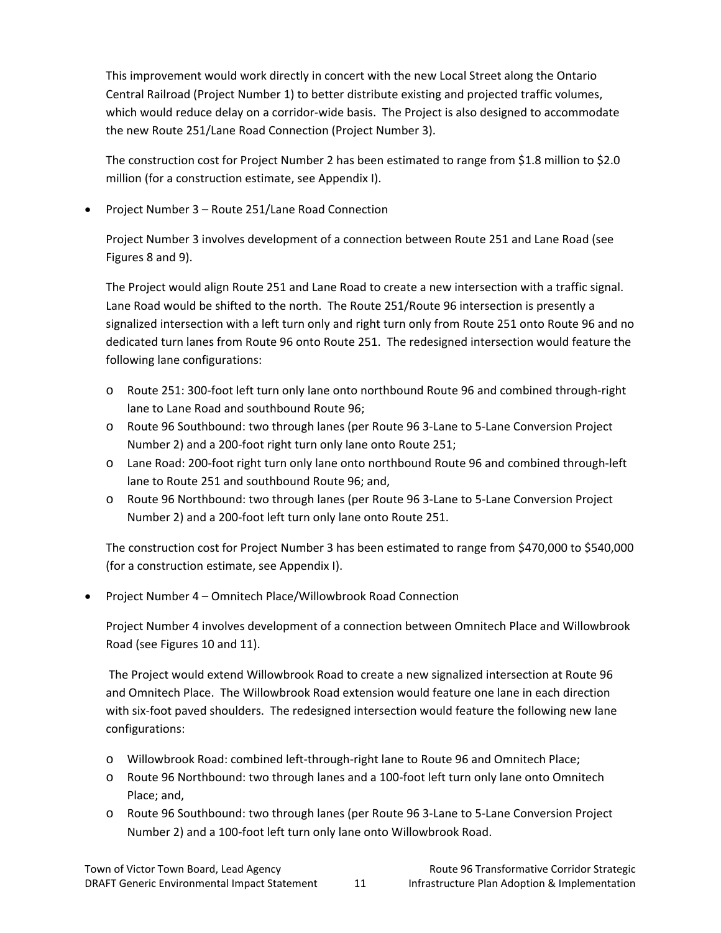This improvement would work directly in concert with the new Local Street along the Ontario Central Railroad (Project Number 1) to better distribute existing and projected traffic volumes, which would reduce delay on a corridor-wide basis. The Project is also designed to accommodate the new Route 251/Lane Road Connection (Project Number 3).

The construction cost for Project Number 2 has been estimated to range from \$1.8 million to \$2.0 million (for a construction estimate, see Appendix I).

• Project Number 3 – Route 251/Lane Road Connection

Project Number 3 involves development of a connection between Route 251 and Lane Road (see Figures 8 and 9).

The Project would align Route 251 and Lane Road to create a new intersection with a traffic signal. Lane Road would be shifted to the north. The Route 251/Route 96 intersection is presently a signalized intersection with a left turn only and right turn only from Route 251 onto Route 96 and no dedicated turn lanes from Route 96 onto Route 251. The redesigned intersection would feature the following lane configurations:

- o Route 251: 300‐foot left turn only lane onto northbound Route 96 and combined through‐right lane to Lane Road and southbound Route 96;
- o Route 96 Southbound: two through lanes (per Route 96 3‐Lane to 5‐Lane Conversion Project Number 2) and a 200‐foot right turn only lane onto Route 251;
- o Lane Road: 200‐foot right turn only lane onto northbound Route 96 and combined through‐left lane to Route 251 and southbound Route 96; and,
- o Route 96 Northbound: two through lanes (per Route 96 3‐Lane to 5‐Lane Conversion Project Number 2) and a 200‐foot left turn only lane onto Route 251.

The construction cost for Project Number 3 has been estimated to range from \$470,000 to \$540,000 (for a construction estimate, see Appendix I).

• Project Number 4 – Omnitech Place/Willowbrook Road Connection

Project Number 4 involves development of a connection between Omnitech Place and Willowbrook Road (see Figures 10 and 11).

The Project would extend Willowbrook Road to create a new signalized intersection at Route 96 and Omnitech Place. The Willowbrook Road extension would feature one lane in each direction with six-foot paved shoulders. The redesigned intersection would feature the following new lane configurations:

- o Willowbrook Road: combined left‐through‐right lane to Route 96 and Omnitech Place;
- o Route 96 Northbound: two through lanes and a 100‐foot left turn only lane onto Omnitech Place; and,
- o Route 96 Southbound: two through lanes (per Route 96 3‐Lane to 5‐Lane Conversion Project Number 2) and a 100‐foot left turn only lane onto Willowbrook Road.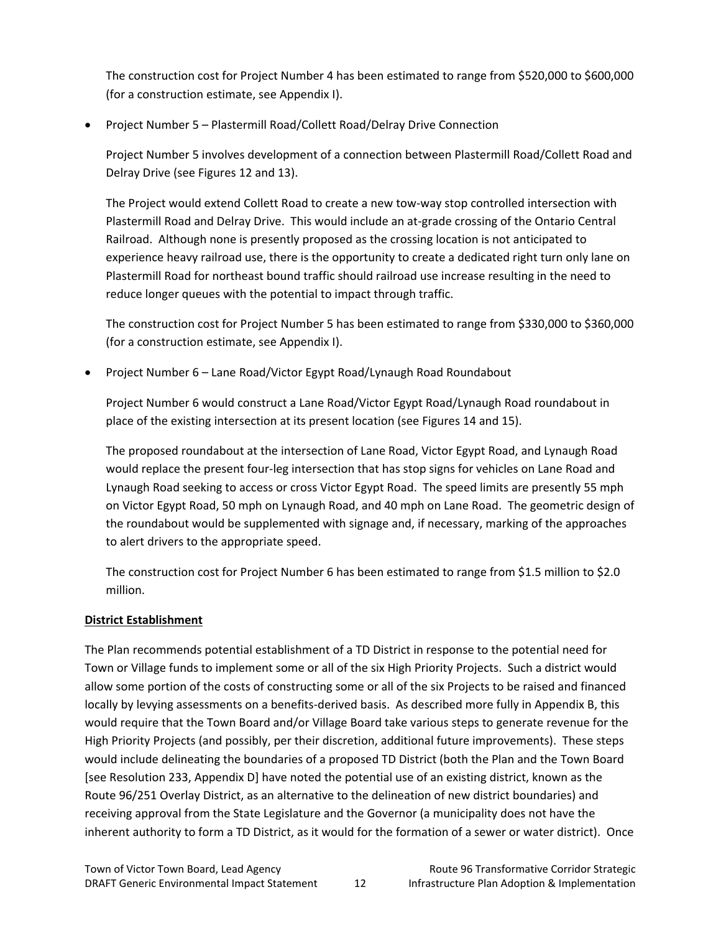The construction cost for Project Number 4 has been estimated to range from \$520,000 to \$600,000 (for a construction estimate, see Appendix I).

• Project Number 5 – Plastermill Road/Collett Road/Delray Drive Connection

Project Number 5 involves development of a connection between Plastermill Road/Collett Road and Delray Drive (see Figures 12 and 13).

The Project would extend Collett Road to create a new tow‐way stop controlled intersection with Plastermill Road and Delray Drive. This would include an at‐grade crossing of the Ontario Central Railroad. Although none is presently proposed as the crossing location is not anticipated to experience heavy railroad use, there is the opportunity to create a dedicated right turn only lane on Plastermill Road for northeast bound traffic should railroad use increase resulting in the need to reduce longer queues with the potential to impact through traffic.

The construction cost for Project Number 5 has been estimated to range from \$330,000 to \$360,000 (for a construction estimate, see Appendix I).

• Project Number 6 – Lane Road/Victor Egypt Road/Lynaugh Road Roundabout

Project Number 6 would construct a Lane Road/Victor Egypt Road/Lynaugh Road roundabout in place of the existing intersection at its present location (see Figures 14 and 15).

The proposed roundabout at the intersection of Lane Road, Victor Egypt Road, and Lynaugh Road would replace the present four‐leg intersection that has stop signs for vehicles on Lane Road and Lynaugh Road seeking to access or cross Victor Egypt Road. The speed limits are presently 55 mph on Victor Egypt Road, 50 mph on Lynaugh Road, and 40 mph on Lane Road. The geometric design of the roundabout would be supplemented with signage and, if necessary, marking of the approaches to alert drivers to the appropriate speed.

The construction cost for Project Number 6 has been estimated to range from \$1.5 million to \$2.0 million.

#### **District Establishment**

The Plan recommends potential establishment of a TD District in response to the potential need for Town or Village funds to implement some or all of the six High Priority Projects. Such a district would allow some portion of the costs of constructing some or all of the six Projects to be raised and financed locally by levying assessments on a benefits‐derived basis. As described more fully in Appendix B, this would require that the Town Board and/or Village Board take various steps to generate revenue for the High Priority Projects (and possibly, per their discretion, additional future improvements). These steps would include delineating the boundaries of a proposed TD District (both the Plan and the Town Board [see Resolution 233, Appendix D] have noted the potential use of an existing district, known as the Route 96/251 Overlay District, as an alternative to the delineation of new district boundaries) and receiving approval from the State Legislature and the Governor (a municipality does not have the inherent authority to form a TD District, as it would for the formation of a sewer or water district). Once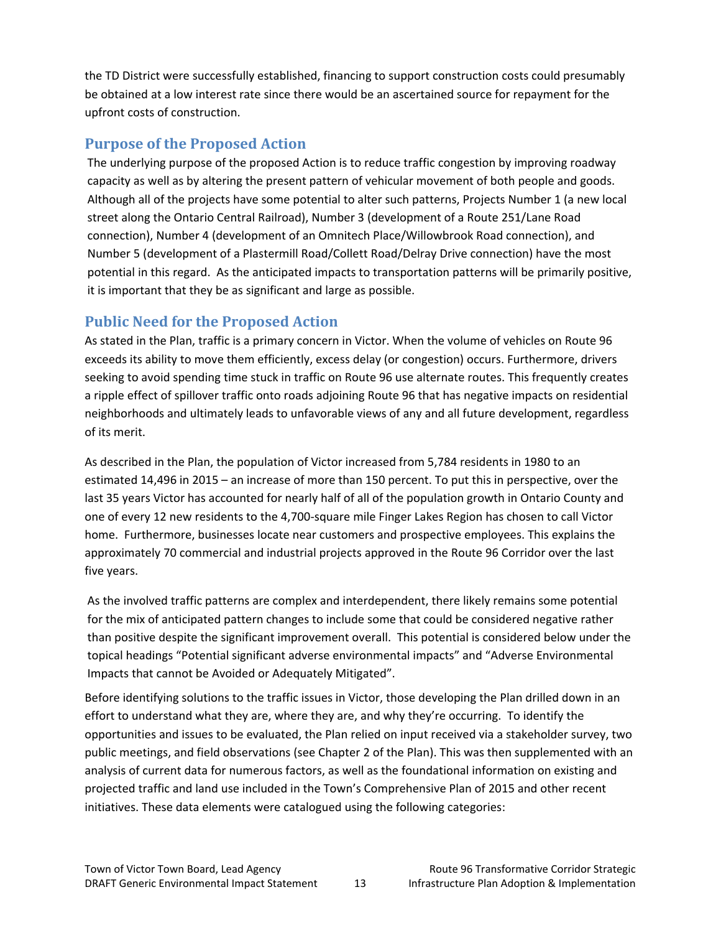the TD District were successfully established, financing to support construction costs could presumably be obtained at a low interest rate since there would be an ascertained source for repayment for the upfront costs of construction.

## **Purpose of the Proposed Action**

The underlying purpose of the proposed Action is to reduce traffic congestion by improving roadway capacity as well as by altering the present pattern of vehicular movement of both people and goods. Although all of the projects have some potential to alter such patterns, Projects Number 1 (a new local street along the Ontario Central Railroad), Number 3 (development of a Route 251/Lane Road connection), Number 4 (development of an Omnitech Place/Willowbrook Road connection), and Number 5 (development of a Plastermill Road/Collett Road/Delray Drive connection) have the most potential in this regard. As the anticipated impacts to transportation patterns will be primarily positive, it is important that they be as significant and large as possible.

## **Public Need for the Proposed Action**

As stated in the Plan, traffic is a primary concern in Victor. When the volume of vehicles on Route 96 exceeds its ability to move them efficiently, excess delay (or congestion) occurs. Furthermore, drivers seeking to avoid spending time stuck in traffic on Route 96 use alternate routes. This frequently creates a ripple effect of spillover traffic onto roads adjoining Route 96 that has negative impacts on residential neighborhoods and ultimately leads to unfavorable views of any and all future development, regardless of its merit.

As described in the Plan, the population of Victor increased from 5,784 residents in 1980 to an estimated 14,496 in 2015 – an increase of more than 150 percent. To put this in perspective, over the last 35 years Victor has accounted for nearly half of all of the population growth in Ontario County and one of every 12 new residents to the 4,700‐square mile Finger Lakes Region has chosen to call Victor home. Furthermore, businesses locate near customers and prospective employees. This explains the approximately 70 commercial and industrial projects approved in the Route 96 Corridor over the last five years.

As the involved traffic patterns are complex and interdependent, there likely remains some potential for the mix of anticipated pattern changes to include some that could be considered negative rather than positive despite the significant improvement overall. This potential is considered below under the topical headings "Potential significant adverse environmental impacts" and "Adverse Environmental Impacts that cannot be Avoided or Adequately Mitigated".

Before identifying solutions to the traffic issues in Victor, those developing the Plan drilled down in an effort to understand what they are, where they are, and why they're occurring. To identify the opportunities and issues to be evaluated, the Plan relied on input received via a stakeholder survey, two public meetings, and field observations (see Chapter 2 of the Plan). This was then supplemented with an analysis of current data for numerous factors, as well as the foundational information on existing and projected traffic and land use included in the Town's Comprehensive Plan of 2015 and other recent initiatives. These data elements were catalogued using the following categories: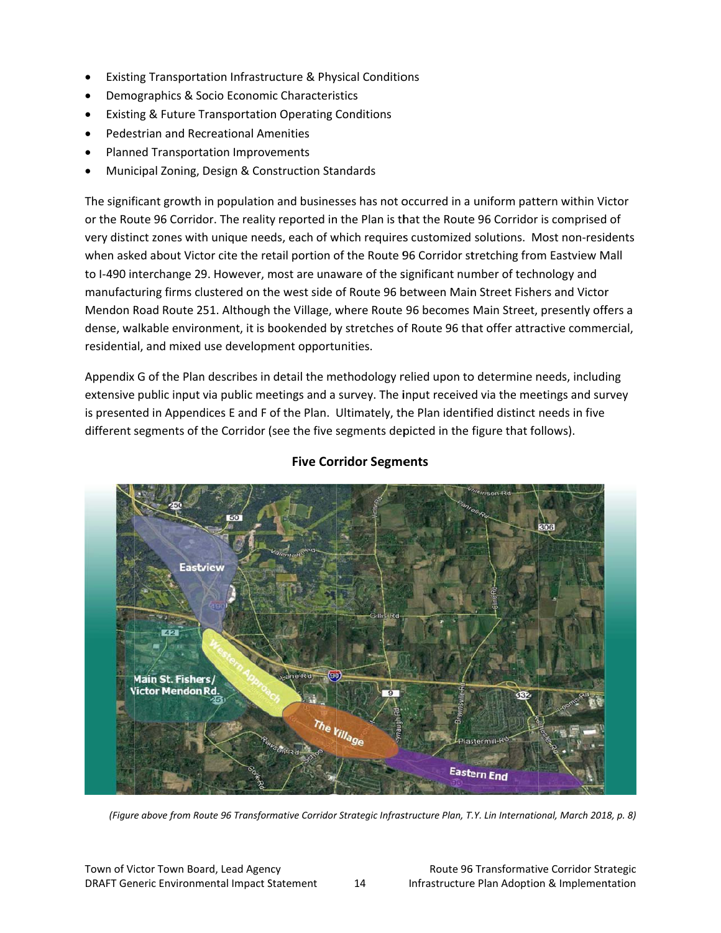- Existing Transportation Infrastructure & Physical Conditions
- Demographics & Socio Economic Characteristics
- Existing & Future Transportation Operating Conditions
- Pedestrian and Recreational Amenities
- Planned Transportation Improvements
- Municipal Zoning, Design & Construction Standards

The significant growth in population and businesses has not occurred in a uniform pattern within Victor or the Route 96 Corridor. The reality reported in the Plan is that the Route 96 Corridor is comprised of very distinct zones with unique needs, each of which requires customized solutions. Most non-residents when asked about Victor cite the retail portion of the Route 96 Corridor stretching from Eastview Mall to I-490 interchange 29. However, most are unaware of the significant number of technology and manufacturing firms clustered on the west side of Route 96 between Main Street Fishers and Victor manufacturing firms clustered on the west side of Route 96 between Main Street Fishers and Victor<br>Mendon Road Route 251. Although the Village, where Route 96 becomes Main Street, presently offers a dense, walkable environment, it is bookended by stretches of Route 96 that offer attractive commercial, residential, and mixed use development opportunities.

Appendix G of the Plan describes in detail the methodology relied upon to determine needs, including extensive public input via public meetings and a survey. The input received via the meetings and survey is presented in Appendices E and F of the Plan. Ultimately, the Plan identified distinct needs in five different segments of the Corridor (see the five segments depicted in the figure that follows).



### **Five Corridor Segments**

(Figure above from Route 96 Transformative Corridor Strategic Infrastructure Plan, T.Y. Lin International, March 2018, p. 8)

14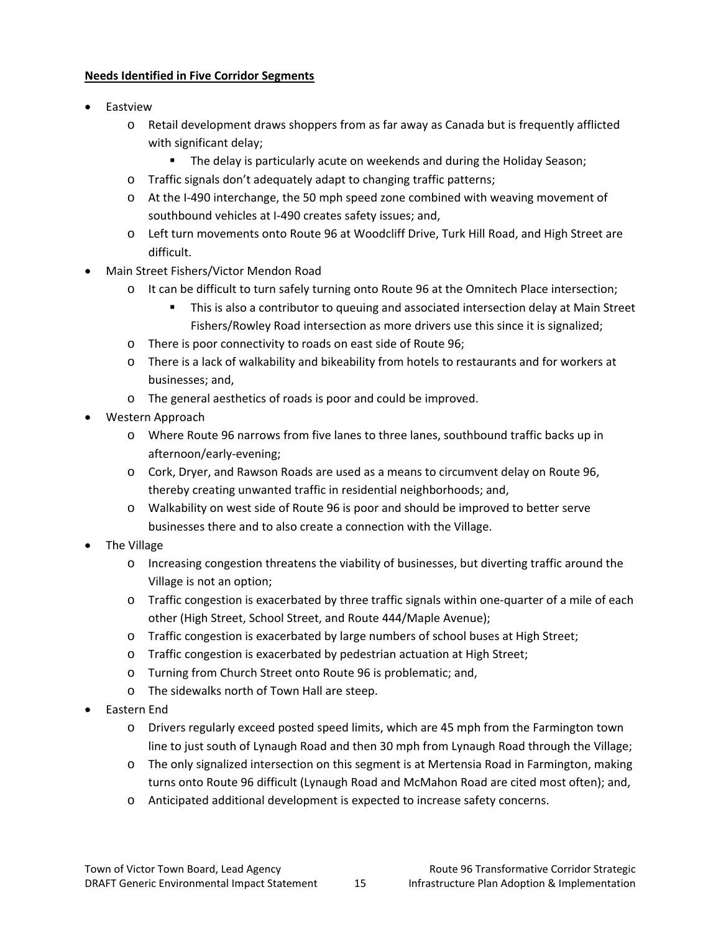#### **Needs Identified in Five Corridor Segments**

- Eastview
	- o Retail development draws shoppers from as far away as Canada but is frequently afflicted with significant delay;
		- **The delay is particularly acute on weekends and during the Holiday Season;**
	- o Traffic signals don't adequately adapt to changing traffic patterns;
	- o At the I‐490 interchange, the 50 mph speed zone combined with weaving movement of southbound vehicles at I‐490 creates safety issues; and,
	- o Left turn movements onto Route 96 at Woodcliff Drive, Turk Hill Road, and High Street are difficult.
- Main Street Fishers/Victor Mendon Road
	- o It can be difficult to turn safely turning onto Route 96 at the Omnitech Place intersection;
		- **This is also a contributor to queuing and associated intersection delay at Main Street** Fishers/Rowley Road intersection as more drivers use this since it is signalized;
	- o There is poor connectivity to roads on east side of Route 96;
	- o There is a lack of walkability and bikeability from hotels to restaurants and for workers at businesses; and,
	- o The general aesthetics of roads is poor and could be improved.
- Western Approach
	- o Where Route 96 narrows from five lanes to three lanes, southbound traffic backs up in afternoon/early‐evening;
	- o Cork, Dryer, and Rawson Roads are used as a means to circumvent delay on Route 96, thereby creating unwanted traffic in residential neighborhoods; and,
	- o Walkability on west side of Route 96 is poor and should be improved to better serve businesses there and to also create a connection with the Village.
- The Village
	- o Increasing congestion threatens the viability of businesses, but diverting traffic around the Village is not an option;
	- o Traffic congestion is exacerbated by three traffic signals within one‐quarter of a mile of each other (High Street, School Street, and Route 444/Maple Avenue);
	- o Traffic congestion is exacerbated by large numbers of school buses at High Street;
	- o Traffic congestion is exacerbated by pedestrian actuation at High Street;
	- o Turning from Church Street onto Route 96 is problematic; and,
	- o The sidewalks north of Town Hall are steep.
- Eastern End
	- o Drivers regularly exceed posted speed limits, which are 45 mph from the Farmington town line to just south of Lynaugh Road and then 30 mph from Lynaugh Road through the Village;
	- o The only signalized intersection on this segment is at Mertensia Road in Farmington, making turns onto Route 96 difficult (Lynaugh Road and McMahon Road are cited most often); and,
	- o Anticipated additional development is expected to increase safety concerns.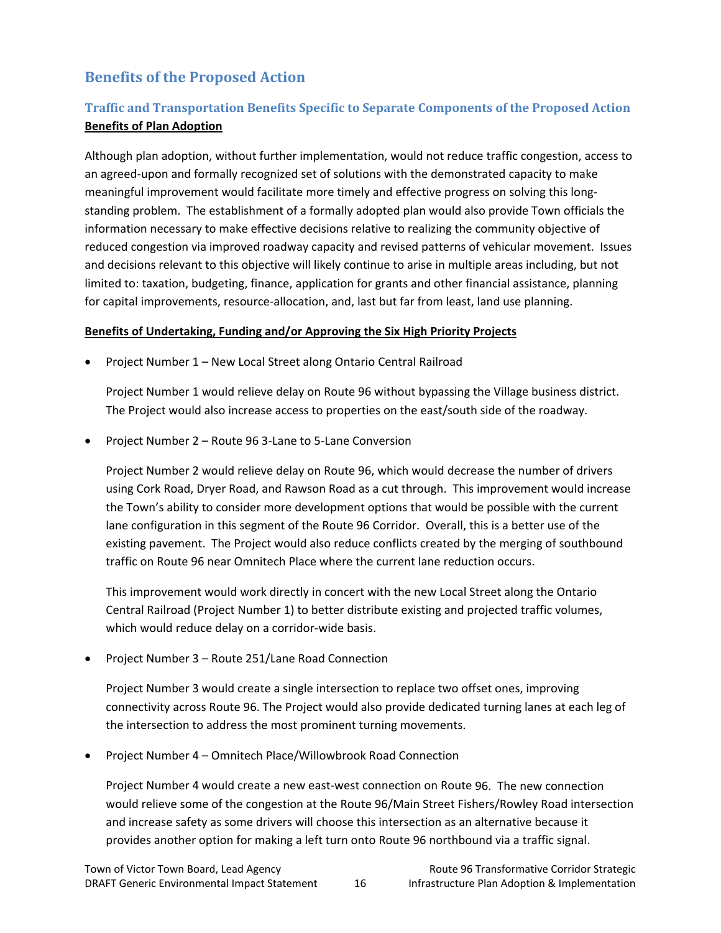## **Benefits of the Proposed Action**

## **Traffic and Transportation Benefits Specific to Separate Components of the Proposed Action Benefits of Plan Adoption**

Although plan adoption, without further implementation, would not reduce traffic congestion, access to an agreed‐upon and formally recognized set of solutions with the demonstrated capacity to make meaningful improvement would facilitate more timely and effective progress on solving this long‐ standing problem. The establishment of a formally adopted plan would also provide Town officials the information necessary to make effective decisions relative to realizing the community objective of reduced congestion via improved roadway capacity and revised patterns of vehicular movement. Issues and decisions relevant to this objective will likely continue to arise in multiple areas including, but not limited to: taxation, budgeting, finance, application for grants and other financial assistance, planning for capital improvements, resource-allocation, and, last but far from least, land use planning.

#### **Benefits of Undertaking, Funding and/or Approving the Six High Priority Projects**

• Project Number 1 – New Local Street along Ontario Central Railroad

Project Number 1 would relieve delay on Route 96 without bypassing the Village business district. The Project would also increase access to properties on the east/south side of the roadway.

• Project Number 2 – Route 96 3‐Lane to 5‐Lane Conversion

Project Number 2 would relieve delay on Route 96, which would decrease the number of drivers using Cork Road, Dryer Road, and Rawson Road as a cut through. This improvement would increase the Town's ability to consider more development options that would be possible with the current lane configuration in this segment of the Route 96 Corridor. Overall, this is a better use of the existing pavement. The Project would also reduce conflicts created by the merging of southbound traffic on Route 96 near Omnitech Place where the current lane reduction occurs.

This improvement would work directly in concert with the new Local Street along the Ontario Central Railroad (Project Number 1) to better distribute existing and projected traffic volumes, which would reduce delay on a corridor‐wide basis.

• Project Number 3 – Route 251/Lane Road Connection

Project Number 3 would create a single intersection to replace two offset ones, improving connectivity across Route 96. The Project would also provide dedicated turning lanes at each leg of the intersection to address the most prominent turning movements.

• Project Number 4 – Omnitech Place/Willowbrook Road Connection

Project Number 4 would create a new east‐west connection on Route 96. The new connection would relieve some of the congestion at the Route 96/Main Street Fishers/Rowley Road intersection and increase safety as some drivers will choose this intersection as an alternative because it provides another option for making a left turn onto Route 96 northbound via a traffic signal.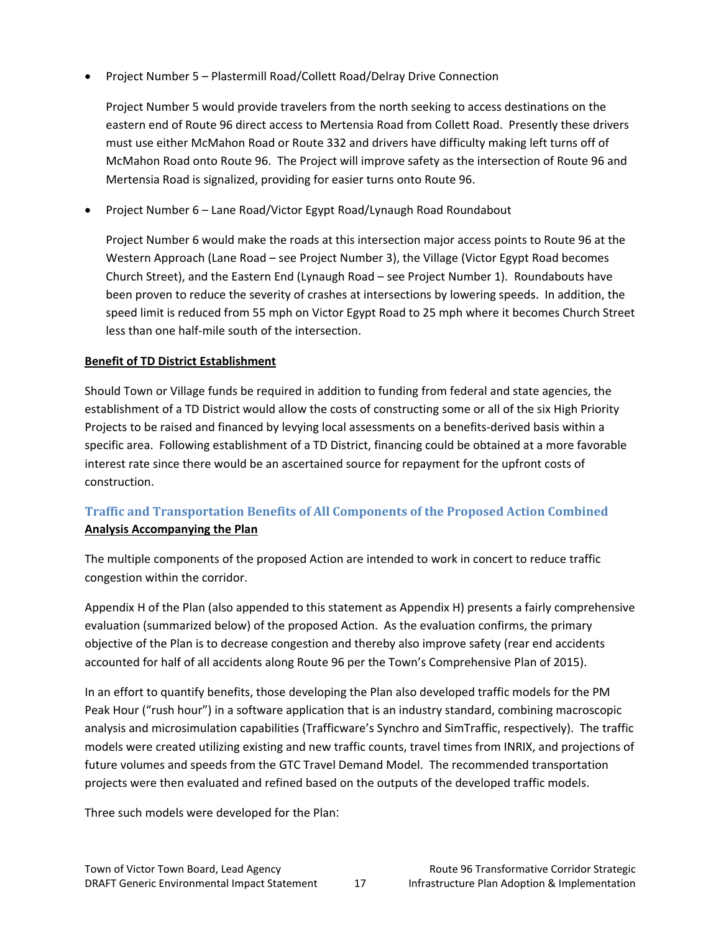• Project Number 5 – Plastermill Road/Collett Road/Delray Drive Connection

Project Number 5 would provide travelers from the north seeking to access destinations on the eastern end of Route 96 direct access to Mertensia Road from Collett Road. Presently these drivers must use either McMahon Road or Route 332 and drivers have difficulty making left turns off of McMahon Road onto Route 96. The Project will improve safety as the intersection of Route 96 and Mertensia Road is signalized, providing for easier turns onto Route 96.

• Project Number 6 – Lane Road/Victor Egypt Road/Lynaugh Road Roundabout

Project Number 6 would make the roads at this intersection major access points to Route 96 at the Western Approach (Lane Road – see Project Number 3), the Village (Victor Egypt Road becomes Church Street), and the Eastern End (Lynaugh Road – see Project Number 1). Roundabouts have been proven to reduce the severity of crashes at intersections by lowering speeds. In addition, the speed limit is reduced from 55 mph on Victor Egypt Road to 25 mph where it becomes Church Street less than one half‐mile south of the intersection.

#### **Benefit of TD District Establishment**

Should Town or Village funds be required in addition to funding from federal and state agencies, the establishment of a TD District would allow the costs of constructing some or all of the six High Priority Projects to be raised and financed by levying local assessments on a benefits-derived basis within a specific area. Following establishment of a TD District, financing could be obtained at a more favorable interest rate since there would be an ascertained source for repayment for the upfront costs of construction.

### **Traffic and Transportation Benefits of All Components of the Proposed Action Combined Analysis Accompanying the Plan**

The multiple components of the proposed Action are intended to work in concert to reduce traffic congestion within the corridor.

Appendix H of the Plan (also appended to this statement as Appendix H) presents a fairly comprehensive evaluation (summarized below) of the proposed Action. As the evaluation confirms, the primary objective of the Plan is to decrease congestion and thereby also improve safety (rear end accidents accounted for half of all accidents along Route 96 per the Town's Comprehensive Plan of 2015).

In an effort to quantify benefits, those developing the Plan also developed traffic models for the PM Peak Hour ("rush hour") in a software application that is an industry standard, combining macroscopic analysis and microsimulation capabilities (Trafficware's Synchro and SimTraffic, respectively). The traffic models were created utilizing existing and new traffic counts, travel times from INRIX, and projections of future volumes and speeds from the GTC Travel Demand Model. The recommended transportation projects were then evaluated and refined based on the outputs of the developed traffic models.

Three such models were developed for the Plan: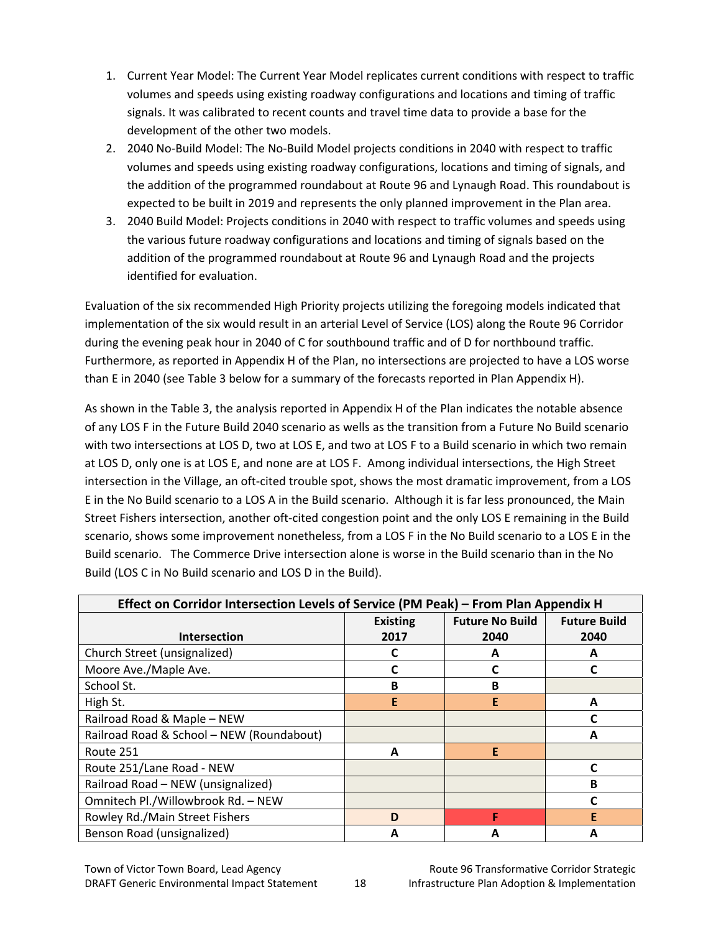- 1. Current Year Model: The Current Year Model replicates current conditions with respect to traffic volumes and speeds using existing roadway configurations and locations and timing of traffic signals. It was calibrated to recent counts and travel time data to provide a base for the development of the other two models.
- 2. 2040 No‐Build Model: The No‐Build Model projects conditions in 2040 with respect to traffic volumes and speeds using existing roadway configurations, locations and timing of signals, and the addition of the programmed roundabout at Route 96 and Lynaugh Road. This roundabout is expected to be built in 2019 and represents the only planned improvement in the Plan area.
- 3. 2040 Build Model: Projects conditions in 2040 with respect to traffic volumes and speeds using the various future roadway configurations and locations and timing of signals based on the addition of the programmed roundabout at Route 96 and Lynaugh Road and the projects identified for evaluation.

Evaluation of the six recommended High Priority projects utilizing the foregoing models indicated that implementation of the six would result in an arterial Level of Service (LOS) along the Route 96 Corridor during the evening peak hour in 2040 of C for southbound traffic and of D for northbound traffic. Furthermore, as reported in Appendix H of the Plan, no intersections are projected to have a LOS worse than E in 2040 (see Table 3 below for a summary of the forecasts reported in Plan Appendix H).

As shown in the Table 3, the analysis reported in Appendix H of the Plan indicates the notable absence of any LOS F in the Future Build 2040 scenario as wells as the transition from a Future No Build scenario with two intersections at LOS D, two at LOS E, and two at LOS F to a Build scenario in which two remain at LOS D, only one is at LOS E, and none are at LOS F. Among individual intersections, the High Street intersection in the Village, an oft-cited trouble spot, shows the most dramatic improvement, from a LOS E in the No Build scenario to a LOS A in the Build scenario. Although it is far less pronounced, the Main Street Fishers intersection, another oft‐cited congestion point and the only LOS E remaining in the Build scenario, shows some improvement nonetheless, from a LOS F in the No Build scenario to a LOS E in the Build scenario. The Commerce Drive intersection alone is worse in the Build scenario than in the No Build (LOS C in No Build scenario and LOS D in the Build).

| Effect on Corridor Intersection Levels of Service (PM Peak) – From Plan Appendix H |                 |                        |                     |  |  |  |
|------------------------------------------------------------------------------------|-----------------|------------------------|---------------------|--|--|--|
|                                                                                    | <b>Existing</b> | <b>Future No Build</b> | <b>Future Build</b> |  |  |  |
| <b>Intersection</b>                                                                | 2017            | 2040                   | 2040                |  |  |  |
| Church Street (unsignalized)                                                       |                 | А                      | A                   |  |  |  |
| Moore Ave./Maple Ave.                                                              |                 |                        | C                   |  |  |  |
| School St.                                                                         | B               | в                      |                     |  |  |  |
| High St.                                                                           | E               | E                      | A                   |  |  |  |
| Railroad Road & Maple - NEW                                                        |                 |                        |                     |  |  |  |
| Railroad Road & School - NEW (Roundabout)                                          |                 |                        | A                   |  |  |  |
| Route 251                                                                          | A               | E                      |                     |  |  |  |
| Route 251/Lane Road - NEW                                                          |                 |                        | C                   |  |  |  |
| Railroad Road - NEW (unsignalized)                                                 |                 |                        | В                   |  |  |  |
| Omnitech Pl./Willowbrook Rd. - NEW                                                 |                 |                        | C                   |  |  |  |
| Rowley Rd./Main Street Fishers                                                     | D               | F                      | Е                   |  |  |  |
| Benson Road (unsignalized)                                                         | А               |                        | Α                   |  |  |  |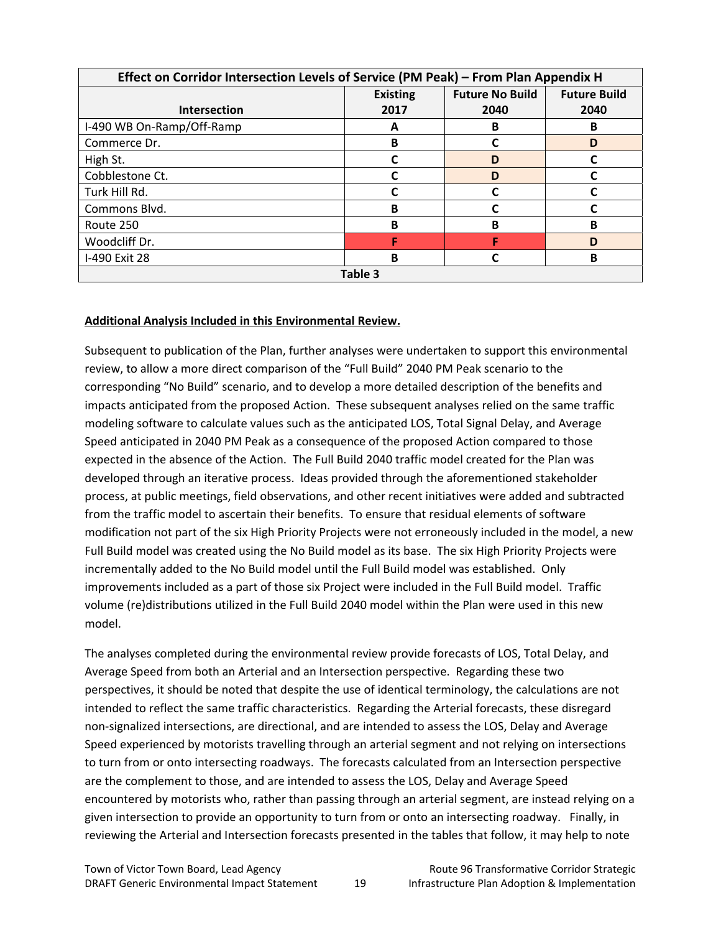| Effect on Corridor Intersection Levels of Service (PM Peak) - From Plan Appendix H |      |      |      |  |  |  |  |
|------------------------------------------------------------------------------------|------|------|------|--|--|--|--|
| <b>Future No Build</b><br><b>Future Build</b><br><b>Existing</b>                   |      |      |      |  |  |  |  |
| <b>Intersection</b>                                                                | 2017 | 2040 | 2040 |  |  |  |  |
| I-490 WB On-Ramp/Off-Ramp                                                          | A    | в    | B    |  |  |  |  |
| Commerce Dr.                                                                       | B    |      | D    |  |  |  |  |
| High St.                                                                           |      | D    |      |  |  |  |  |
| Cobblestone Ct.                                                                    |      | D    |      |  |  |  |  |
| Turk Hill Rd.                                                                      |      |      |      |  |  |  |  |
| Commons Blvd.                                                                      | в    |      |      |  |  |  |  |
| Route 250                                                                          | B    | в    | в    |  |  |  |  |
| Woodcliff Dr.                                                                      |      |      | D    |  |  |  |  |
| I-490 Exit 28                                                                      | B    |      | в    |  |  |  |  |
| Table 3                                                                            |      |      |      |  |  |  |  |

#### **Additional Analysis Included in this Environmental Review.**

Subsequent to publication of the Plan, further analyses were undertaken to support this environmental review, to allow a more direct comparison of the "Full Build" 2040 PM Peak scenario to the corresponding "No Build" scenario, and to develop a more detailed description of the benefits and impacts anticipated from the proposed Action. These subsequent analyses relied on the same traffic modeling software to calculate values such as the anticipated LOS, Total Signal Delay, and Average Speed anticipated in 2040 PM Peak as a consequence of the proposed Action compared to those expected in the absence of the Action. The Full Build 2040 traffic model created for the Plan was developed through an iterative process. Ideas provided through the aforementioned stakeholder process, at public meetings, field observations, and other recent initiatives were added and subtracted from the traffic model to ascertain their benefits. To ensure that residual elements of software modification not part of the six High Priority Projects were not erroneously included in the model, a new Full Build model was created using the No Build model as its base. The six High Priority Projects were incrementally added to the No Build model until the Full Build model was established. Only improvements included as a part of those six Project were included in the Full Build model. Traffic volume (re)distributions utilized in the Full Build 2040 model within the Plan were used in this new model.

The analyses completed during the environmental review provide forecasts of LOS, Total Delay, and Average Speed from both an Arterial and an Intersection perspective. Regarding these two perspectives, it should be noted that despite the use of identical terminology, the calculations are not intended to reflect the same traffic characteristics. Regarding the Arterial forecasts, these disregard non‐signalized intersections, are directional, and are intended to assess the LOS, Delay and Average Speed experienced by motorists travelling through an arterial segment and not relying on intersections to turn from or onto intersecting roadways. The forecasts calculated from an Intersection perspective are the complement to those, and are intended to assess the LOS, Delay and Average Speed encountered by motorists who, rather than passing through an arterial segment, are instead relying on a given intersection to provide an opportunity to turn from or onto an intersecting roadway. Finally, in reviewing the Arterial and Intersection forecasts presented in the tables that follow, it may help to note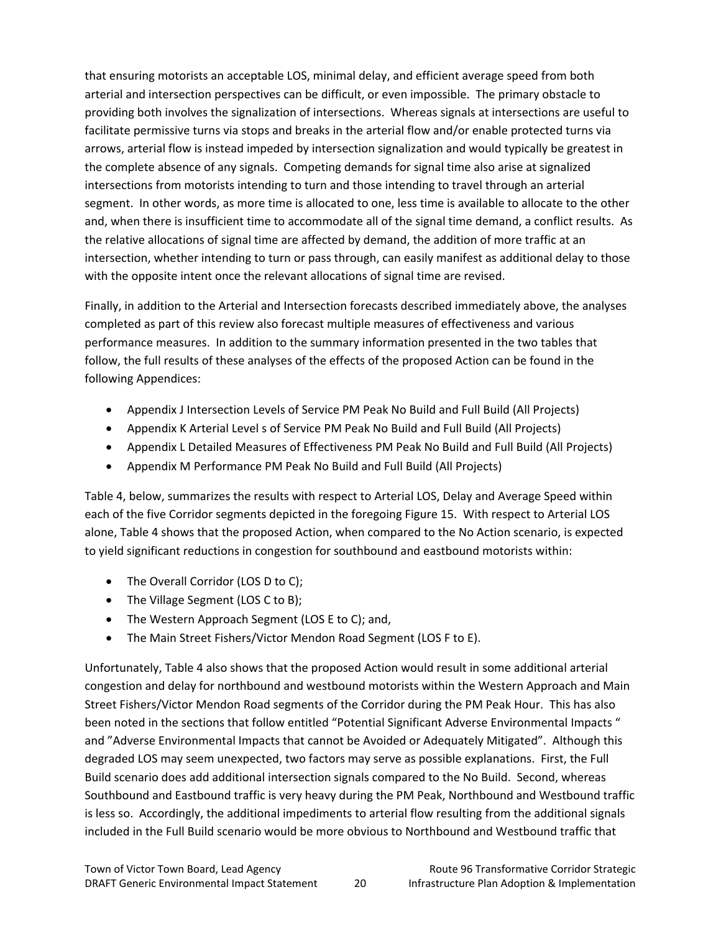that ensuring motorists an acceptable LOS, minimal delay, and efficient average speed from both arterial and intersection perspectives can be difficult, or even impossible. The primary obstacle to providing both involves the signalization of intersections. Whereas signals at intersections are useful to facilitate permissive turns via stops and breaks in the arterial flow and/or enable protected turns via arrows, arterial flow is instead impeded by intersection signalization and would typically be greatest in the complete absence of any signals. Competing demands for signal time also arise at signalized intersections from motorists intending to turn and those intending to travel through an arterial segment. In other words, as more time is allocated to one, less time is available to allocate to the other and, when there is insufficient time to accommodate all of the signal time demand, a conflict results. As the relative allocations of signal time are affected by demand, the addition of more traffic at an intersection, whether intending to turn or pass through, can easily manifest as additional delay to those with the opposite intent once the relevant allocations of signal time are revised.

Finally, in addition to the Arterial and Intersection forecasts described immediately above, the analyses completed as part of this review also forecast multiple measures of effectiveness and various performance measures. In addition to the summary information presented in the two tables that follow, the full results of these analyses of the effects of the proposed Action can be found in the following Appendices:

- Appendix J Intersection Levels of Service PM Peak No Build and Full Build (All Projects)
- Appendix K Arterial Level s of Service PM Peak No Build and Full Build (All Projects)
- Appendix L Detailed Measures of Effectiveness PM Peak No Build and Full Build (All Projects)
- Appendix M Performance PM Peak No Build and Full Build (All Projects)

Table 4, below, summarizes the results with respect to Arterial LOS, Delay and Average Speed within each of the five Corridor segments depicted in the foregoing Figure 15. With respect to Arterial LOS alone, Table 4 shows that the proposed Action, when compared to the No Action scenario, is expected to yield significant reductions in congestion for southbound and eastbound motorists within:

- The Overall Corridor (LOS D to C);
- The Village Segment (LOS C to B);
- The Western Approach Segment (LOS E to C); and,
- The Main Street Fishers/Victor Mendon Road Segment (LOS F to E).

Unfortunately, Table 4 also shows that the proposed Action would result in some additional arterial congestion and delay for northbound and westbound motorists within the Western Approach and Main Street Fishers/Victor Mendon Road segments of the Corridor during the PM Peak Hour. This has also been noted in the sections that follow entitled "Potential Significant Adverse Environmental Impacts " and "Adverse Environmental Impacts that cannot be Avoided or Adequately Mitigated". Although this degraded LOS may seem unexpected, two factors may serve as possible explanations. First, the Full Build scenario does add additional intersection signals compared to the No Build. Second, whereas Southbound and Eastbound traffic is very heavy during the PM Peak, Northbound and Westbound traffic is less so. Accordingly, the additional impediments to arterial flow resulting from the additional signals included in the Full Build scenario would be more obvious to Northbound and Westbound traffic that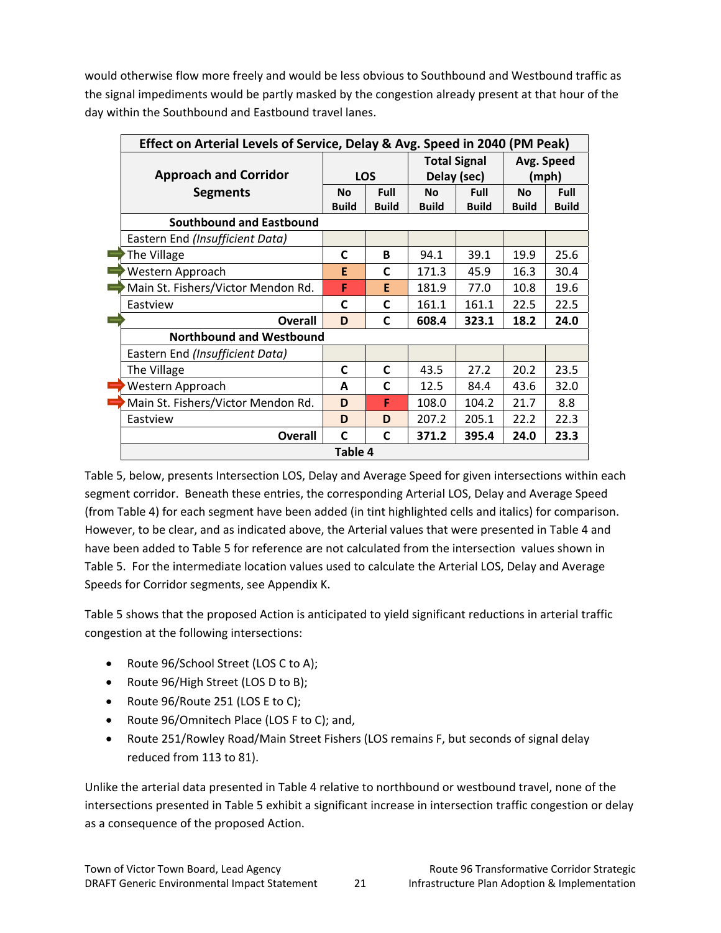would otherwise flow more freely and would be less obvious to Southbound and Westbound traffic as the signal impediments would be partly masked by the congestion already present at that hour of the day within the Southbound and Eastbound travel lanes.

| Effect on Arterial Levels of Service, Delay & Avg. Speed in 2040 (PM Peak) |              |              |                     |              |              |              |
|----------------------------------------------------------------------------|--------------|--------------|---------------------|--------------|--------------|--------------|
|                                                                            |              |              | <b>Total Signal</b> |              | Avg. Speed   |              |
| <b>Approach and Corridor</b>                                               | <b>LOS</b>   |              | Delay (sec)         |              | (mph)        |              |
| <b>Segments</b>                                                            | <b>No</b>    | Full         | <b>No</b>           | <b>Full</b>  | <b>No</b>    | Full         |
|                                                                            | <b>Build</b> | <b>Build</b> | <b>Build</b>        | <b>Build</b> | <b>Build</b> | <b>Build</b> |
| <b>Southbound and Eastbound</b>                                            |              |              |                     |              |              |              |
| Eastern End (Insufficient Data)                                            |              |              |                     |              |              |              |
| The Village                                                                | C            | R.           | 94.1                | 39.1         | 19.9         | 25.6         |
| Western Approach                                                           | E            | C            | 171.3               | 45.9         | 16.3         | 30.4         |
| Main St. Fishers/Victor Mendon Rd.                                         | F            | E            | 181.9               | 77.0         | 10.8         | 19.6         |
| Eastview                                                                   | C            | C            | 161.1               | 161.1        | 22.5         | 22.5         |
| <b>Overall</b>                                                             | D            | C            | 608.4               | 323.1        | 18.2         | 24.0         |
| <b>Northbound and Westbound</b>                                            |              |              |                     |              |              |              |
| Eastern End (Insufficient Data)                                            |              |              |                     |              |              |              |
| The Village                                                                | C            | C            | 43.5                | 27.2         | 20.2         | 23.5         |
| Western Approach                                                           | A            | C            | 12.5                | 84.4         | 43.6         | 32.0         |
| Main St. Fishers/Victor Mendon Rd.                                         | D            | F            | 108.0               | 104.2        | 21.7         | 8.8          |
| Eastview                                                                   | D            | D            | 207.2               | 205.1        | 22.2         | 22.3         |
| <b>Overall</b>                                                             | C            | C            | 371.2               | 395.4        | 24.0         | 23.3         |
| Table 4                                                                    |              |              |                     |              |              |              |

Table 5, below, presents Intersection LOS, Delay and Average Speed for given intersections within each segment corridor. Beneath these entries, the corresponding Arterial LOS, Delay and Average Speed (from Table 4) for each segment have been added (in tint highlighted cells and italics) for comparison. However, to be clear, and as indicated above, the Arterial values that were presented in Table 4 and have been added to Table 5 for reference are not calculated from the intersection values shown in Table 5. For the intermediate location values used to calculate the Arterial LOS, Delay and Average Speeds for Corridor segments, see Appendix K.

Table 5 shows that the proposed Action is anticipated to yield significant reductions in arterial traffic congestion at the following intersections:

- Route 96/School Street (LOS C to A);
- Route 96/High Street (LOS D to B);
- Route 96/Route 251 (LOS E to C);
- Route 96/Omnitech Place (LOS F to C); and,
- Route 251/Rowley Road/Main Street Fishers (LOS remains F, but seconds of signal delay reduced from 113 to 81).

Unlike the arterial data presented in Table 4 relative to northbound or westbound travel, none of the intersections presented in Table 5 exhibit a significant increase in intersection traffic congestion or delay as a consequence of the proposed Action.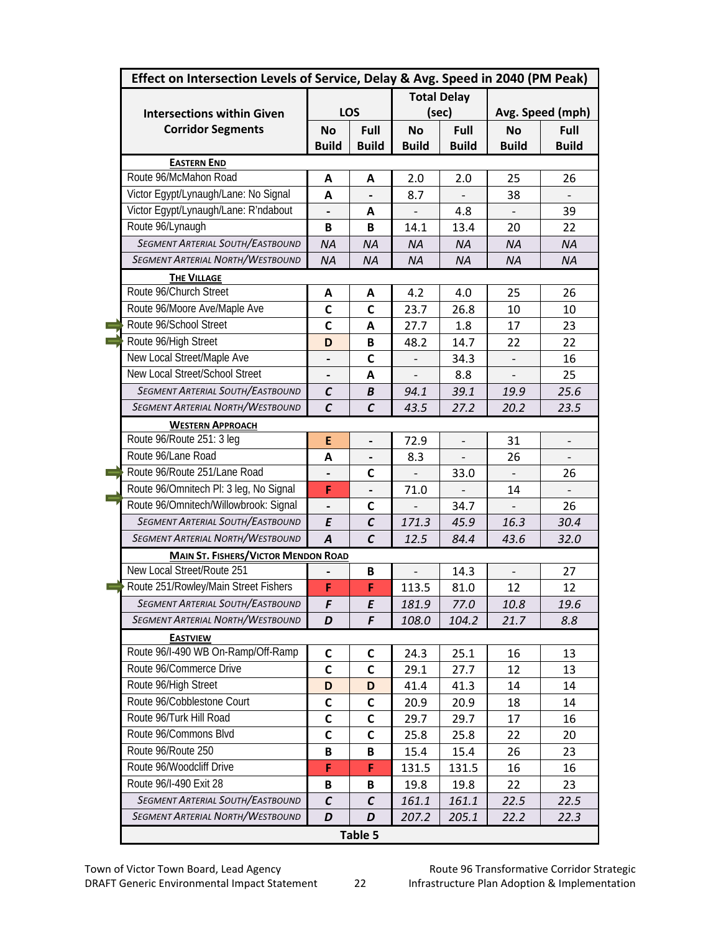| Effect on Intersection Levels of Service, Delay & Avg. Speed in 2040 (PM Peak) |                          |                |                          |                          |                  |                          |  |
|--------------------------------------------------------------------------------|--------------------------|----------------|--------------------------|--------------------------|------------------|--------------------------|--|
|                                                                                | <b>Total Delay</b>       |                |                          |                          |                  |                          |  |
| <b>Intersections within Given</b>                                              |                          | LOS            | (sec)                    |                          | Avg. Speed (mph) |                          |  |
| <b>Corridor Segments</b>                                                       | <b>No</b>                | Full           | <b>No</b>                | Full                     | <b>No</b>        | Full                     |  |
|                                                                                | <b>Build</b>             | <b>Build</b>   | <b>Build</b>             | <b>Build</b>             | <b>Build</b>     | <b>Build</b>             |  |
| <b>EASTERN END</b>                                                             |                          |                |                          |                          |                  |                          |  |
| Route 96/McMahon Road                                                          | A                        | A              | 2.0                      | 2.0                      | 25               | 26                       |  |
| Victor Egypt/Lynaugh/Lane: No Signal                                           | A                        |                | 8.7                      |                          | 38               |                          |  |
| Victor Egypt/Lynaugh/Lane: R'ndabout                                           | $\overline{\phantom{0}}$ | A              | $\overline{\phantom{0}}$ | 4.8                      |                  | 39                       |  |
| Route 96/Lynaugh                                                               | B                        | B              | 14.1                     | 13.4                     | 20               | 22                       |  |
| <b>SEGMENT ARTERIAL SOUTH/EASTBOUND</b>                                        | <b>NA</b>                | <b>NA</b>      | <b>NA</b>                | <b>NA</b>                | <b>NA</b>        | <b>NA</b>                |  |
| <b>SEGMENT ARTERIAL NORTH/WESTBOUND</b>                                        | <b>NA</b>                | <b>NA</b>      | <b>NA</b>                | <b>NA</b>                | <b>NA</b>        | <b>NA</b>                |  |
| <b>THE VILLAGE</b>                                                             |                          |                |                          |                          |                  |                          |  |
| Route 96/Church Street                                                         | A                        | A              | 4.2                      | 4.0                      | 25               | 26                       |  |
| Route 96/Moore Ave/Maple Ave                                                   | $\mathbf c$              | C              | 23.7                     | 26.8                     | 10               | 10                       |  |
| Route 96/School Street                                                         | $\mathbf c$              | A              | 27.7                     | 1.8                      | 17               | 23                       |  |
| Route 96/High Street                                                           | D                        | B              | 48.2                     | 14.7                     | 22               | 22                       |  |
| New Local Street/Maple Ave                                                     |                          | C              |                          | 34.3                     |                  | 16                       |  |
| New Local Street/School Street                                                 |                          | А              |                          | 8.8                      |                  | 25                       |  |
| SEGMENT ARTERIAL SOUTH/EASTBOUND                                               | $\mathcal{C}$            | B              | 94.1                     | 39.1                     | 19.9             | 25.6                     |  |
| <b>SEGMENT ARTERIAL NORTH/WESTBOUND</b>                                        | $\mathcal{C}$            | $\mathcal{C}$  | 43.5                     | 27.2                     | 20.2             | 23.5                     |  |
| <b>WESTERN APPROACH</b>                                                        |                          |                |                          |                          |                  |                          |  |
| Route 96/Route 251: 3 leg                                                      | E                        | $\overline{a}$ | 72.9                     | $\overline{\phantom{m}}$ | 31               | $\overline{\phantom{a}}$ |  |
| Route 96/Lane Road                                                             | A                        |                | 8.3                      |                          | 26               |                          |  |
| Route 96/Route 251/Lane Road                                                   |                          | C              |                          | 33.0                     |                  | 26                       |  |
| Route 96/Omnitech Pl: 3 leg, No Signal                                         | F                        |                | 71.0                     |                          | 14               |                          |  |
| Route 96/Omnitech/Willowbrook: Signal                                          |                          | C              |                          | 34.7                     |                  | 26                       |  |
| <b>SEGMENT ARTERIAL SOUTH/EASTBOUND</b>                                        | E                        | $\mathcal{C}$  | 171.3                    | 45.9                     | 16.3             | 30.4                     |  |
| <b>SEGMENT ARTERIAL NORTH/WESTBOUND</b>                                        | $\overline{A}$           | $\mathcal{C}$  | 12.5                     | 84.4                     | 43.6             | 32.0                     |  |
| <b>MAIN ST. FISHERS/VICTOR MENDON ROAD</b>                                     |                          |                |                          |                          |                  |                          |  |
| New Local Street/Route 251                                                     |                          | B              |                          | 14.3                     |                  | 27                       |  |
| Route 251/Rowley/Main Street Fishers                                           | F                        | F              | 113.5                    | 81.0                     | 12               | 12                       |  |
| <b>SEGMENT ARTERIAL SOUTH/EASTBOUND</b>                                        | F                        | E              | 181.9                    | 77.0                     | 10.8             | 19.6                     |  |
| SEGMENT ARTERIAL NORTH/WESTBOUND                                               | D                        | F              | 108.0                    | 104.2                    | 21.7             | 8.8                      |  |
| <b>EASTVIEW</b>                                                                |                          |                |                          |                          |                  |                          |  |
| Route 96/I-490 WB On-Ramp/Off-Ramp                                             | C                        | C              | 24.3                     | 25.1                     | 16               | 13                       |  |
| Route 96/Commerce Drive                                                        | $\mathsf{C}$             | C              | 29.1                     | 27.7                     | 12               | 13                       |  |
| Route 96/High Street                                                           | D                        | D              | 41.4                     | 41.3                     | 14               | 14                       |  |
| Route 96/Cobblestone Court                                                     | $\mathsf{C}$             | C              | 20.9                     | 20.9                     | 18               | 14                       |  |
| Route 96/Turk Hill Road                                                        | $\mathsf C$              | C              | 29.7                     | 29.7                     | 17               | 16                       |  |
| Route 96/Commons Blvd                                                          | C                        | С              | 25.8                     | 25.8                     | 22               | 20                       |  |
| Route 96/Route 250                                                             | B                        | В              | 15.4                     | 15.4                     | 26               | 23                       |  |
| Route 96/Woodcliff Drive                                                       | F                        | F              | 131.5                    | 131.5                    | 16               | 16                       |  |
| Route 96/I-490 Exit 28                                                         | B                        | В              | 19.8                     | 19.8                     | 22               | 23                       |  |
| <b>SEGMENT ARTERIAL SOUTH/EASTBOUND</b>                                        | $\mathcal C$             | C              | 161.1                    | 161.1                    | 22.5             | 22.5                     |  |
| <b>SEGMENT ARTERIAL NORTH/WESTBOUND</b>                                        | D                        | D              | 207.2                    | 205.1                    | 22.2             | 22.3                     |  |
|                                                                                |                          | Table 5        |                          |                          |                  |                          |  |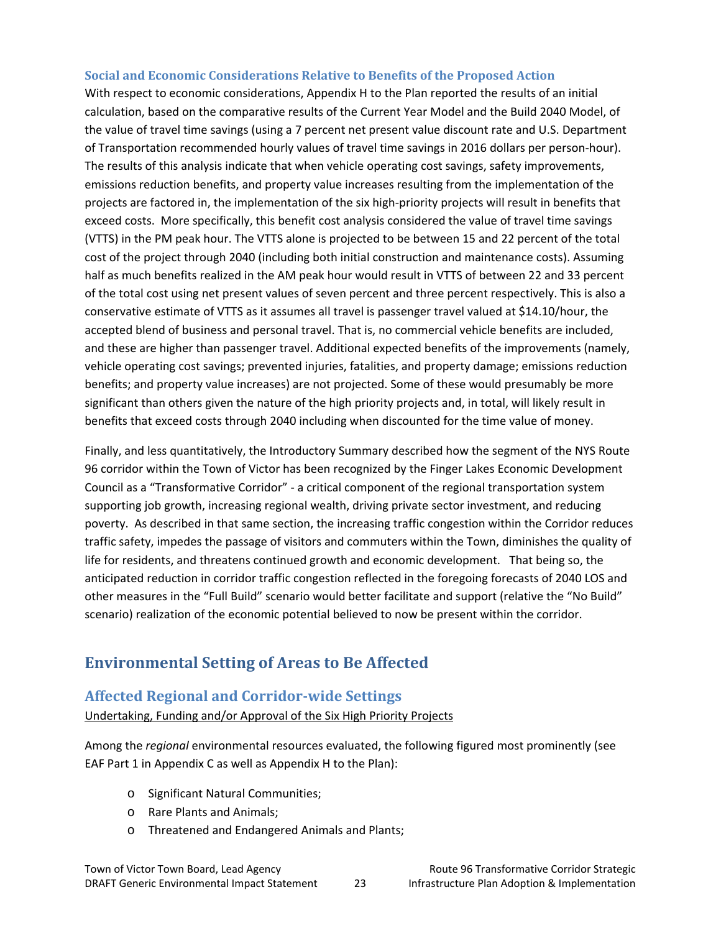#### **Social and Economic Considerations Relative to Benefits of the Proposed Action**

With respect to economic considerations, Appendix H to the Plan reported the results of an initial calculation, based on the comparative results of the Current Year Model and the Build 2040 Model, of the value of travel time savings (using a 7 percent net present value discount rate and U.S. Department of Transportation recommended hourly values of travel time savings in 2016 dollars per person‐hour). The results of this analysis indicate that when vehicle operating cost savings, safety improvements, emissions reduction benefits, and property value increases resulting from the implementation of the projects are factored in, the implementation of the six high‐priority projects will result in benefits that exceed costs. More specifically, this benefit cost analysis considered the value of travel time savings (VTTS) in the PM peak hour. The VTTS alone is projected to be between 15 and 22 percent of the total cost of the project through 2040 (including both initial construction and maintenance costs). Assuming half as much benefits realized in the AM peak hour would result in VTTS of between 22 and 33 percent of the total cost using net present values of seven percent and three percent respectively. This is also a conservative estimate of VTTS as it assumes all travel is passenger travel valued at \$14.10/hour, the accepted blend of business and personal travel. That is, no commercial vehicle benefits are included, and these are higher than passenger travel. Additional expected benefits of the improvements (namely, vehicle operating cost savings; prevented injuries, fatalities, and property damage; emissions reduction benefits; and property value increases) are not projected. Some of these would presumably be more significant than others given the nature of the high priority projects and, in total, will likely result in benefits that exceed costs through 2040 including when discounted for the time value of money.

Finally, and less quantitatively, the Introductory Summary described how the segment of the NYS Route 96 corridor within the Town of Victor has been recognized by the Finger Lakes Economic Development Council as a "Transformative Corridor" ‐ a critical component of the regional transportation system supporting job growth, increasing regional wealth, driving private sector investment, and reducing poverty. As described in that same section, the increasing traffic congestion within the Corridor reduces traffic safety, impedes the passage of visitors and commuters within the Town, diminishes the quality of life for residents, and threatens continued growth and economic development. That being so, the anticipated reduction in corridor traffic congestion reflected in the foregoing forecasts of 2040 LOS and other measures in the "Full Build" scenario would better facilitate and support (relative the "No Build" scenario) realization of the economic potential believed to now be present within the corridor.

## **Environmental Setting of Areas to Be Affected**

#### **Affected Regional and Corridor‐wide Settings**

Undertaking, Funding and/or Approval of the Six High Priority Projects

Among the *regional* environmental resources evaluated, the following figured most prominently (see EAF Part 1 in Appendix C as well as Appendix H to the Plan):

- o Significant Natural Communities;
- o Rare Plants and Animals;
- o Threatened and Endangered Animals and Plants;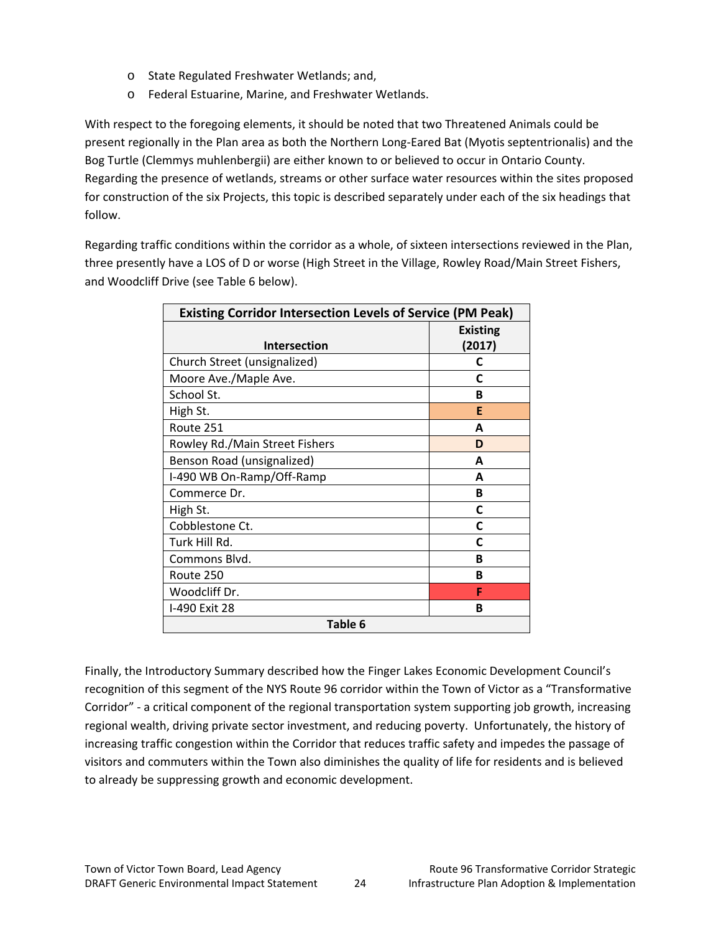- o State Regulated Freshwater Wetlands; and,
- o Federal Estuarine, Marine, and Freshwater Wetlands.

With respect to the foregoing elements, it should be noted that two Threatened Animals could be present regionally in the Plan area as both the Northern Long‐Eared Bat (Myotis septentrionalis) and the Bog Turtle (Clemmys muhlenbergii) are either known to or believed to occur in Ontario County. Regarding the presence of wetlands, streams or other surface water resources within the sites proposed for construction of the six Projects, this topic is described separately under each of the six headings that follow.

Regarding traffic conditions within the corridor as a whole, of sixteen intersections reviewed in the Plan, three presently have a LOS of D or worse (High Street in the Village, Rowley Road/Main Street Fishers, and Woodcliff Drive (see Table 6 below).

| <b>Existing Corridor Intersection Levels of Service (PM Peak)</b> |                 |  |  |  |  |
|-------------------------------------------------------------------|-----------------|--|--|--|--|
|                                                                   | <b>Existing</b> |  |  |  |  |
| <b>Intersection</b>                                               | (2017)          |  |  |  |  |
| Church Street (unsignalized)                                      | C               |  |  |  |  |
| Moore Ave./Maple Ave.                                             | C               |  |  |  |  |
| School St.                                                        | B               |  |  |  |  |
| High St.                                                          | F               |  |  |  |  |
| Route 251                                                         | A               |  |  |  |  |
| Rowley Rd./Main Street Fishers                                    | D               |  |  |  |  |
| Benson Road (unsignalized)                                        | A               |  |  |  |  |
| I-490 WB On-Ramp/Off-Ramp                                         | A               |  |  |  |  |
| Commerce Dr.                                                      | в               |  |  |  |  |
| High St.                                                          | C               |  |  |  |  |
| Cobblestone Ct.                                                   | C               |  |  |  |  |
| Turk Hill Rd.                                                     | C               |  |  |  |  |
| Commons Blvd.                                                     | B               |  |  |  |  |
| Route 250                                                         | в               |  |  |  |  |
| Woodcliff Dr.                                                     | F               |  |  |  |  |
| I-490 Exit 28                                                     | в               |  |  |  |  |
| Table 6                                                           |                 |  |  |  |  |

Finally, the Introductory Summary described how the Finger Lakes Economic Development Council's recognition of this segment of the NYS Route 96 corridor within the Town of Victor as a "Transformative Corridor" ‐ a critical component of the regional transportation system supporting job growth, increasing regional wealth, driving private sector investment, and reducing poverty. Unfortunately, the history of increasing traffic congestion within the Corridor that reduces traffic safety and impedes the passage of visitors and commuters within the Town also diminishes the quality of life for residents and is believed to already be suppressing growth and economic development.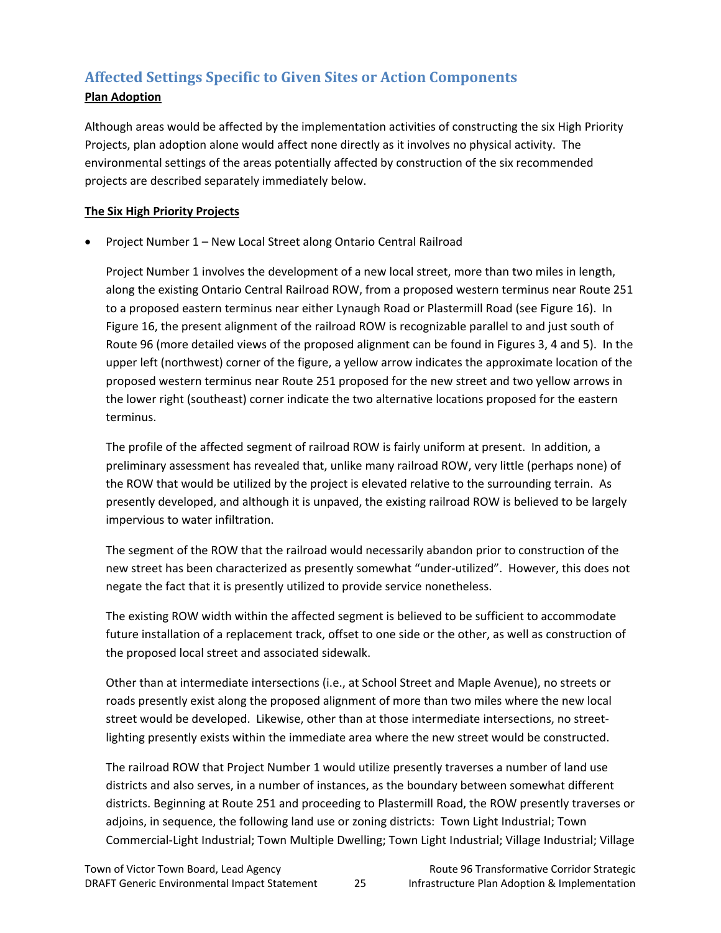## **Affected Settings Specific to Given Sites or Action Components**

### **Plan Adoption**

Although areas would be affected by the implementation activities of constructing the six High Priority Projects, plan adoption alone would affect none directly as it involves no physical activity. The environmental settings of the areas potentially affected by construction of the six recommended projects are described separately immediately below.

### **The Six High Priority Projects**

• Project Number 1 – New Local Street along Ontario Central Railroad

Project Number 1 involves the development of a new local street, more than two miles in length, along the existing Ontario Central Railroad ROW, from a proposed western terminus near Route 251 to a proposed eastern terminus near either Lynaugh Road or Plastermill Road (see Figure 16). In Figure 16, the present alignment of the railroad ROW is recognizable parallel to and just south of Route 96 (more detailed views of the proposed alignment can be found in Figures 3, 4 and 5). In the upper left (northwest) corner of the figure, a yellow arrow indicates the approximate location of the proposed western terminus near Route 251 proposed for the new street and two yellow arrows in the lower right (southeast) corner indicate the two alternative locations proposed for the eastern terminus.

The profile of the affected segment of railroad ROW is fairly uniform at present. In addition, a preliminary assessment has revealed that, unlike many railroad ROW, very little (perhaps none) of the ROW that would be utilized by the project is elevated relative to the surrounding terrain. As presently developed, and although it is unpaved, the existing railroad ROW is believed to be largely impervious to water infiltration.

The segment of the ROW that the railroad would necessarily abandon prior to construction of the new street has been characterized as presently somewhat "under‐utilized". However, this does not negate the fact that it is presently utilized to provide service nonetheless.

The existing ROW width within the affected segment is believed to be sufficient to accommodate future installation of a replacement track, offset to one side or the other, as well as construction of the proposed local street and associated sidewalk.

Other than at intermediate intersections (i.e., at School Street and Maple Avenue), no streets or roads presently exist along the proposed alignment of more than two miles where the new local street would be developed. Likewise, other than at those intermediate intersections, no street‐ lighting presently exists within the immediate area where the new street would be constructed.

The railroad ROW that Project Number 1 would utilize presently traverses a number of land use districts and also serves, in a number of instances, as the boundary between somewhat different districts. Beginning at Route 251 and proceeding to Plastermill Road, the ROW presently traverses or adjoins, in sequence, the following land use or zoning districts: Town Light Industrial; Town Commercial‐Light Industrial; Town Multiple Dwelling; Town Light Industrial; Village Industrial; Village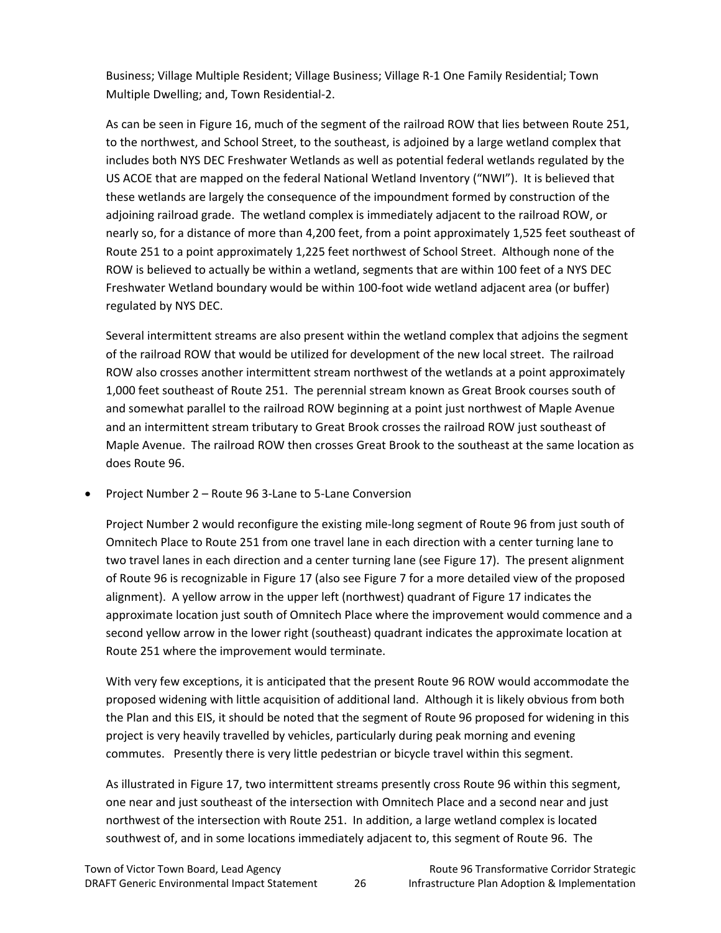Business; Village Multiple Resident; Village Business; Village R‐1 One Family Residential; Town Multiple Dwelling; and, Town Residential‐2.

As can be seen in Figure 16, much of the segment of the railroad ROW that lies between Route 251, to the northwest, and School Street, to the southeast, is adjoined by a large wetland complex that includes both NYS DEC Freshwater Wetlands as well as potential federal wetlands regulated by the US ACOE that are mapped on the federal National Wetland Inventory ("NWI"). It is believed that these wetlands are largely the consequence of the impoundment formed by construction of the adjoining railroad grade. The wetland complex is immediately adjacent to the railroad ROW, or nearly so, for a distance of more than 4,200 feet, from a point approximately 1,525 feet southeast of Route 251 to a point approximately 1,225 feet northwest of School Street. Although none of the ROW is believed to actually be within a wetland, segments that are within 100 feet of a NYS DEC Freshwater Wetland boundary would be within 100‐foot wide wetland adjacent area (or buffer) regulated by NYS DEC.

Several intermittent streams are also present within the wetland complex that adjoins the segment of the railroad ROW that would be utilized for development of the new local street. The railroad ROW also crosses another intermittent stream northwest of the wetlands at a point approximately 1,000 feet southeast of Route 251. The perennial stream known as Great Brook courses south of and somewhat parallel to the railroad ROW beginning at a point just northwest of Maple Avenue and an intermittent stream tributary to Great Brook crosses the railroad ROW just southeast of Maple Avenue. The railroad ROW then crosses Great Brook to the southeast at the same location as does Route 96.

• Project Number 2 – Route 96 3‐Lane to 5‐Lane Conversion

Project Number 2 would reconfigure the existing mile‐long segment of Route 96 from just south of Omnitech Place to Route 251 from one travel lane in each direction with a center turning lane to two travel lanes in each direction and a center turning lane (see Figure 17). The present alignment of Route 96 is recognizable in Figure 17 (also see Figure 7 for a more detailed view of the proposed alignment). A yellow arrow in the upper left (northwest) quadrant of Figure 17 indicates the approximate location just south of Omnitech Place where the improvement would commence and a second yellow arrow in the lower right (southeast) quadrant indicates the approximate location at Route 251 where the improvement would terminate.

With very few exceptions, it is anticipated that the present Route 96 ROW would accommodate the proposed widening with little acquisition of additional land. Although it is likely obvious from both the Plan and this EIS, it should be noted that the segment of Route 96 proposed for widening in this project is very heavily travelled by vehicles, particularly during peak morning and evening commutes. Presently there is very little pedestrian or bicycle travel within this segment.

As illustrated in Figure 17, two intermittent streams presently cross Route 96 within this segment, one near and just southeast of the intersection with Omnitech Place and a second near and just northwest of the intersection with Route 251. In addition, a large wetland complex is located southwest of, and in some locations immediately adjacent to, this segment of Route 96. The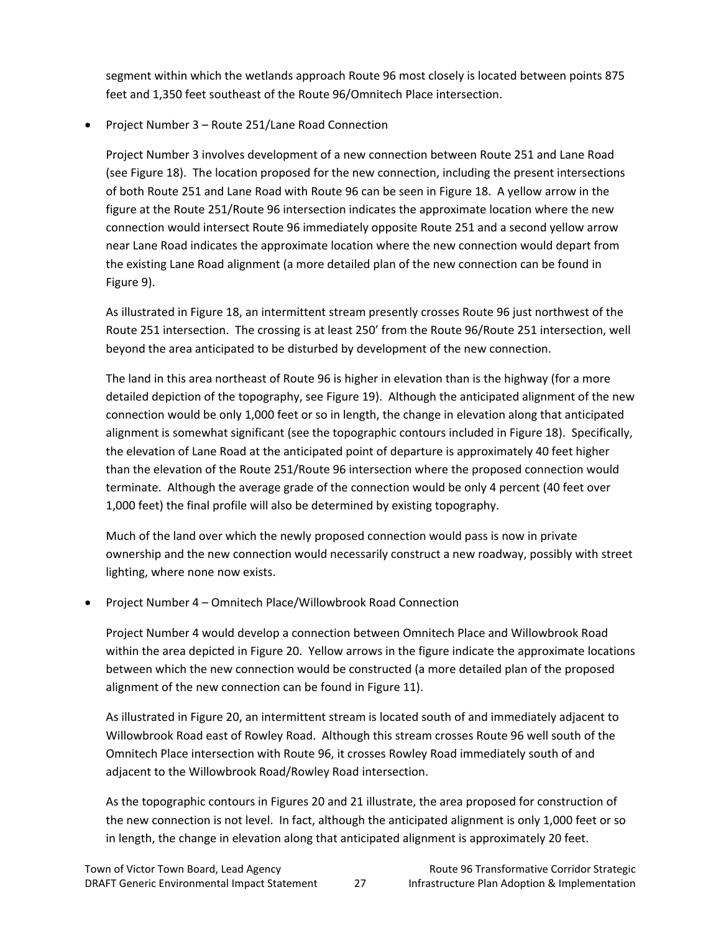segment within which the wetlands approach Route 96 most closely is located between points 875 feet and 1,350 feet southeast of the Route 96/Omnitech Place intersection.

• Project Number 3 – Route 251/Lane Road Connection

Project Number 3 involves development of a new connection between Route 251 and Lane Road (see Figure 18). The location proposed for the new connection, including the present intersections of both Route 251 and Lane Road with Route 96 can be seen in Figure 18. A yellow arrow in the figure at the Route 251/Route 96 intersection indicates the approximate location where the new connection would intersect Route 96 immediately opposite Route 251 and a second yellow arrow near Lane Road indicates the approximate location where the new connection would depart from the existing Lane Road alignment (a more detailed plan of the new connection can be found in Figure 9).

As illustrated in Figure 18, an intermittent stream presently crosses Route 96 just northwest of the Route 251 intersection. The crossing is at least 250' from the Route 96/Route 251 intersection, well beyond the area anticipated to be disturbed by development of the new connection.

The land in this area northeast of Route 96 is higher in elevation than is the highway (for a more detailed depiction of the topography, see Figure 19). Although the anticipated alignment of the new connection would be only 1,000 feet or so in length, the change in elevation along that anticipated alignment is somewhat significant (see the topographic contours included in Figure 18). Specifically, the elevation of Lane Road at the anticipated point of departure is approximately 40 feet higher than the elevation of the Route 251/Route 96 intersection where the proposed connection would terminate. Although the average grade of the connection would be only 4 percent (40 feet over 1,000 feet) the final profile will also be determined by existing topography.

Much of the land over which the newly proposed connection would pass is now in private ownership and the new connection would necessarily construct a new roadway, possibly with street lighting, where none now exists.

• Project Number 4 – Omnitech Place/Willowbrook Road Connection

Project Number 4 would develop a connection between Omnitech Place and Willowbrook Road within the area depicted in Figure 20. Yellow arrows in the figure indicate the approximate locations between which the new connection would be constructed (a more detailed plan of the proposed alignment of the new connection can be found in Figure 11).

As illustrated in Figure 20, an intermittent stream is located south of and immediately adjacent to Willowbrook Road east of Rowley Road. Although this stream crosses Route 96 well south of the Omnitech Place intersection with Route 96, it crosses Rowley Road immediately south of and adjacent to the Willowbrook Road/Rowley Road intersection.

As the topographic contours in Figures 20 and 21 illustrate, the area proposed for construction of the new connection is not level. In fact, although the anticipated alignment is only 1,000 feet or so in length, the change in elevation along that anticipated alignment is approximately 20 feet.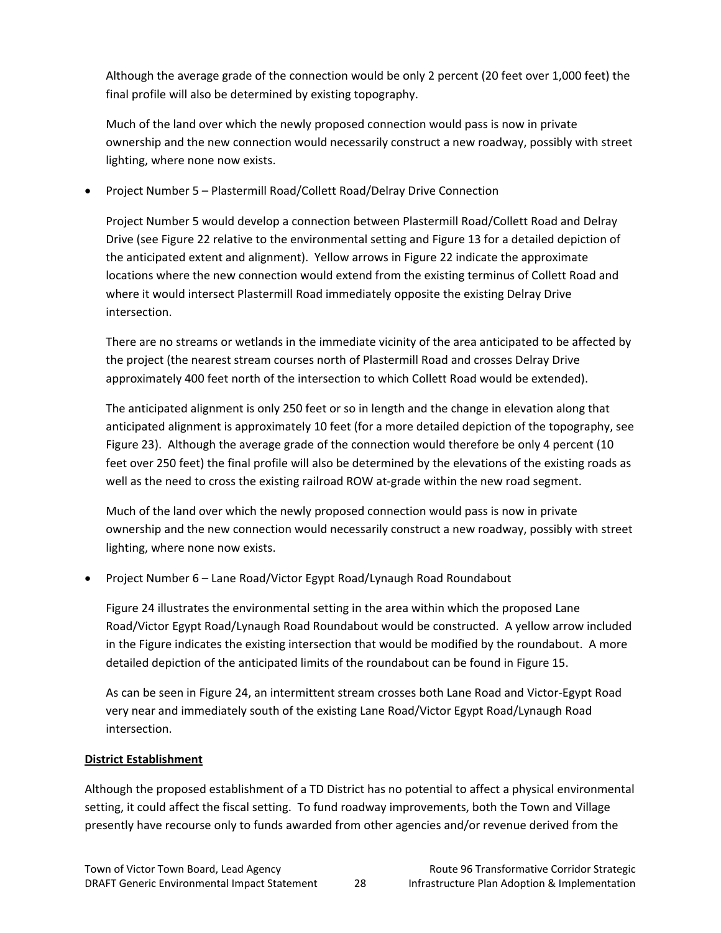Although the average grade of the connection would be only 2 percent (20 feet over 1,000 feet) the final profile will also be determined by existing topography.

Much of the land over which the newly proposed connection would pass is now in private ownership and the new connection would necessarily construct a new roadway, possibly with street lighting, where none now exists.

• Project Number 5 – Plastermill Road/Collett Road/Delray Drive Connection

Project Number 5 would develop a connection between Plastermill Road/Collett Road and Delray Drive (see Figure 22 relative to the environmental setting and Figure 13 for a detailed depiction of the anticipated extent and alignment). Yellow arrows in Figure 22 indicate the approximate locations where the new connection would extend from the existing terminus of Collett Road and where it would intersect Plastermill Road immediately opposite the existing Delray Drive intersection.

There are no streams or wetlands in the immediate vicinity of the area anticipated to be affected by the project (the nearest stream courses north of Plastermill Road and crosses Delray Drive approximately 400 feet north of the intersection to which Collett Road would be extended).

The anticipated alignment is only 250 feet or so in length and the change in elevation along that anticipated alignment is approximately 10 feet (for a more detailed depiction of the topography, see Figure 23). Although the average grade of the connection would therefore be only 4 percent (10 feet over 250 feet) the final profile will also be determined by the elevations of the existing roads as well as the need to cross the existing railroad ROW at-grade within the new road segment.

Much of the land over which the newly proposed connection would pass is now in private ownership and the new connection would necessarily construct a new roadway, possibly with street lighting, where none now exists.

• Project Number 6 – Lane Road/Victor Egypt Road/Lynaugh Road Roundabout

Figure 24 illustrates the environmental setting in the area within which the proposed Lane Road/Victor Egypt Road/Lynaugh Road Roundabout would be constructed. A yellow arrow included in the Figure indicates the existing intersection that would be modified by the roundabout. A more detailed depiction of the anticipated limits of the roundabout can be found in Figure 15.

As can be seen in Figure 24, an intermittent stream crosses both Lane Road and Victor‐Egypt Road very near and immediately south of the existing Lane Road/Victor Egypt Road/Lynaugh Road intersection.

#### **District Establishment**

Although the proposed establishment of a TD District has no potential to affect a physical environmental setting, it could affect the fiscal setting. To fund roadway improvements, both the Town and Village presently have recourse only to funds awarded from other agencies and/or revenue derived from the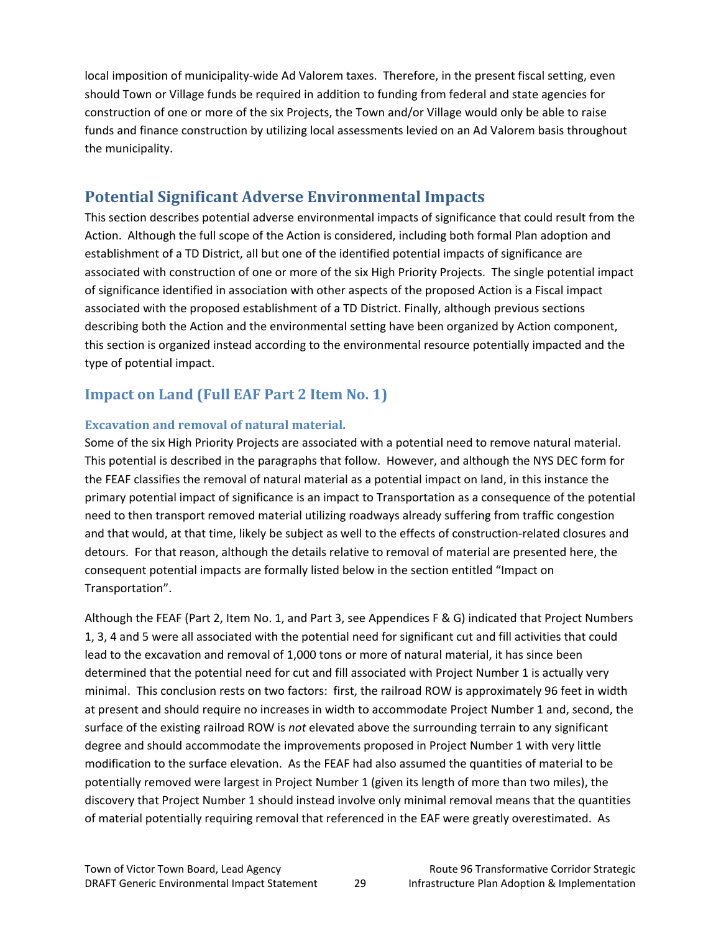local imposition of municipality‐wide Ad Valorem taxes. Therefore, in the present fiscal setting, even should Town or Village funds be required in addition to funding from federal and state agencies for construction of one or more of the six Projects, the Town and/or Village would only be able to raise funds and finance construction by utilizing local assessments levied on an Ad Valorem basis throughout the municipality.

# **Potential Significant Adverse Environmental Impacts**

This section describes potential adverse environmental impacts of significance that could result from the Action. Although the full scope of the Action is considered, including both formal Plan adoption and establishment of a TD District, all but one of the identified potential impacts of significance are associated with construction of one or more of the six High Priority Projects. The single potential impact of significance identified in association with other aspects of the proposed Action is a Fiscal impact associated with the proposed establishment of a TD District. Finally, although previous sections describing both the Action and the environmental setting have been organized by Action component, this section is organized instead according to the environmental resource potentially impacted and the type of potential impact.

# **Impact on Land (Full EAF Part 2 Item No. 1)**

#### **Excavation and removal of natural material.**

Some of the six High Priority Projects are associated with a potential need to remove natural material. This potential is described in the paragraphs that follow. However, and although the NYS DEC form for the FEAF classifies the removal of natural material as a potential impact on land, in this instance the primary potential impact of significance is an impact to Transportation as a consequence of the potential need to then transport removed material utilizing roadways already suffering from traffic congestion and that would, at that time, likely be subject as well to the effects of construction‐related closures and detours. For that reason, although the details relative to removal of material are presented here, the consequent potential impacts are formally listed below in the section entitled "Impact on Transportation".

Although the FEAF (Part 2, Item No. 1, and Part 3, see Appendices F & G) indicated that Project Numbers 1, 3, 4 and 5 were all associated with the potential need for significant cut and fill activities that could lead to the excavation and removal of 1,000 tons or more of natural material, it has since been determined that the potential need for cut and fill associated with Project Number 1 is actually very minimal. This conclusion rests on two factors: first, the railroad ROW is approximately 96 feet in width at present and should require no increases in width to accommodate Project Number 1 and, second, the surface of the existing railroad ROW is *not* elevated above the surrounding terrain to any significant degree and should accommodate the improvements proposed in Project Number 1 with very little modification to the surface elevation. As the FEAF had also assumed the quantities of material to be potentially removed were largest in Project Number 1 (given its length of more than two miles), the discovery that Project Number 1 should instead involve only minimal removal means that the quantities of material potentially requiring removal that referenced in the EAF were greatly overestimated. As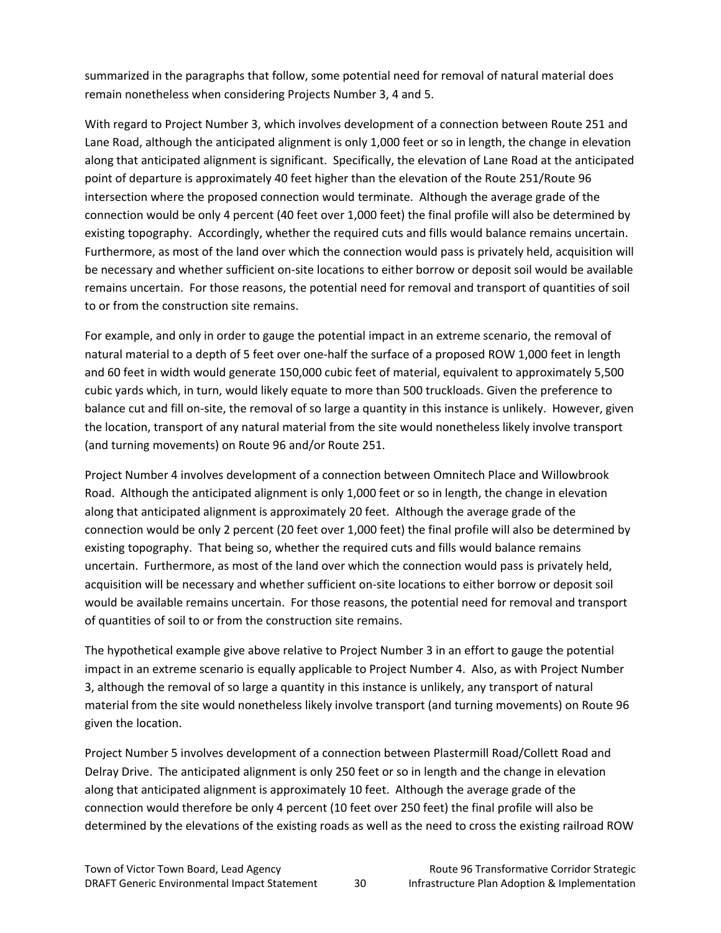summarized in the paragraphs that follow, some potential need for removal of natural material does remain nonetheless when considering Projects Number 3, 4 and 5.

With regard to Project Number 3, which involves development of a connection between Route 251 and Lane Road, although the anticipated alignment is only 1,000 feet or so in length, the change in elevation along that anticipated alignment is significant. Specifically, the elevation of Lane Road at the anticipated point of departure is approximately 40 feet higher than the elevation of the Route 251/Route 96 intersection where the proposed connection would terminate. Although the average grade of the connection would be only 4 percent (40 feet over 1,000 feet) the final profile will also be determined by existing topography. Accordingly, whether the required cuts and fills would balance remains uncertain. Furthermore, as most of the land over which the connection would pass is privately held, acquisition will be necessary and whether sufficient on‐site locations to either borrow or deposit soil would be available remains uncertain. For those reasons, the potential need for removal and transport of quantities of soil to or from the construction site remains.

For example, and only in order to gauge the potential impact in an extreme scenario, the removal of natural material to a depth of 5 feet over one‐half the surface of a proposed ROW 1,000 feet in length and 60 feet in width would generate 150,000 cubic feet of material, equivalent to approximately 5,500 cubic yards which, in turn, would likely equate to more than 500 truckloads. Given the preference to balance cut and fill on‐site, the removal of so large a quantity in this instance is unlikely. However, given the location, transport of any natural material from the site would nonetheless likely involve transport (and turning movements) on Route 96 and/or Route 251.

Project Number 4 involves development of a connection between Omnitech Place and Willowbrook Road. Although the anticipated alignment is only 1,000 feet or so in length, the change in elevation along that anticipated alignment is approximately 20 feet. Although the average grade of the connection would be only 2 percent (20 feet over 1,000 feet) the final profile will also be determined by existing topography. That being so, whether the required cuts and fills would balance remains uncertain. Furthermore, as most of the land over which the connection would pass is privately held, acquisition will be necessary and whether sufficient on‐site locations to either borrow or deposit soil would be available remains uncertain. For those reasons, the potential need for removal and transport of quantities of soil to or from the construction site remains.

The hypothetical example give above relative to Project Number 3 in an effort to gauge the potential impact in an extreme scenario is equally applicable to Project Number 4. Also, as with Project Number 3, although the removal of so large a quantity in this instance is unlikely, any transport of natural material from the site would nonetheless likely involve transport (and turning movements) on Route 96 given the location.

Project Number 5 involves development of a connection between Plastermill Road/Collett Road and Delray Drive. The anticipated alignment is only 250 feet or so in length and the change in elevation along that anticipated alignment is approximately 10 feet. Although the average grade of the connection would therefore be only 4 percent (10 feet over 250 feet) the final profile will also be determined by the elevations of the existing roads as well as the need to cross the existing railroad ROW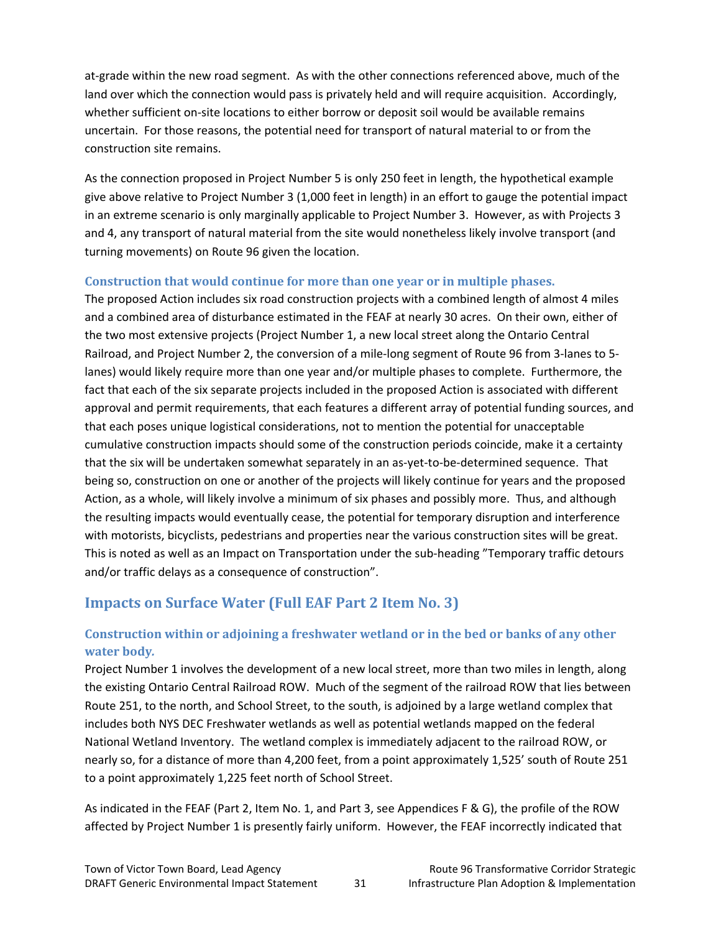at-grade within the new road segment. As with the other connections referenced above, much of the land over which the connection would pass is privately held and will require acquisition. Accordingly, whether sufficient on-site locations to either borrow or deposit soil would be available remains uncertain. For those reasons, the potential need for transport of natural material to or from the construction site remains.

As the connection proposed in Project Number 5 is only 250 feet in length, the hypothetical example give above relative to Project Number 3 (1,000 feet in length) in an effort to gauge the potential impact in an extreme scenario is only marginally applicable to Project Number 3. However, as with Projects 3 and 4, any transport of natural material from the site would nonetheless likely involve transport (and turning movements) on Route 96 given the location.

#### **Construction that would continue for more than one year or in multiple phases.**

The proposed Action includes six road construction projects with a combined length of almost 4 miles and a combined area of disturbance estimated in the FEAF at nearly 30 acres. On their own, either of the two most extensive projects (Project Number 1, a new local street along the Ontario Central Railroad, and Project Number 2, the conversion of a mile‐long segment of Route 96 from 3‐lanes to 5‐ lanes) would likely require more than one year and/or multiple phases to complete. Furthermore, the fact that each of the six separate projects included in the proposed Action is associated with different approval and permit requirements, that each features a different array of potential funding sources, and that each poses unique logistical considerations, not to mention the potential for unacceptable cumulative construction impacts should some of the construction periods coincide, make it a certainty that the six will be undertaken somewhat separately in an as-yet-to-be-determined sequence. That being so, construction on one or another of the projects will likely continue for years and the proposed Action, as a whole, will likely involve a minimum of six phases and possibly more. Thus, and although the resulting impacts would eventually cease, the potential for temporary disruption and interference with motorists, bicyclists, pedestrians and properties near the various construction sites will be great. This is noted as well as an Impact on Transportation under the sub-heading "Temporary traffic detours and/or traffic delays as a consequence of construction".

### **Impacts on Surface Water (Full EAF Part 2 Item No. 3)**

### **Construction within or adjoining a freshwater wetland or in the bed or banks of any other water body***.*

Project Number 1 involves the development of a new local street, more than two miles in length, along the existing Ontario Central Railroad ROW. Much of the segment of the railroad ROW that lies between Route 251, to the north, and School Street, to the south, is adjoined by a large wetland complex that includes both NYS DEC Freshwater wetlands as well as potential wetlands mapped on the federal National Wetland Inventory. The wetland complex is immediately adjacent to the railroad ROW, or nearly so, for a distance of more than 4,200 feet, from a point approximately 1,525' south of Route 251 to a point approximately 1,225 feet north of School Street.

As indicated in the FEAF (Part 2, Item No. 1, and Part 3, see Appendices F & G), the profile of the ROW affected by Project Number 1 is presently fairly uniform. However, the FEAF incorrectly indicated that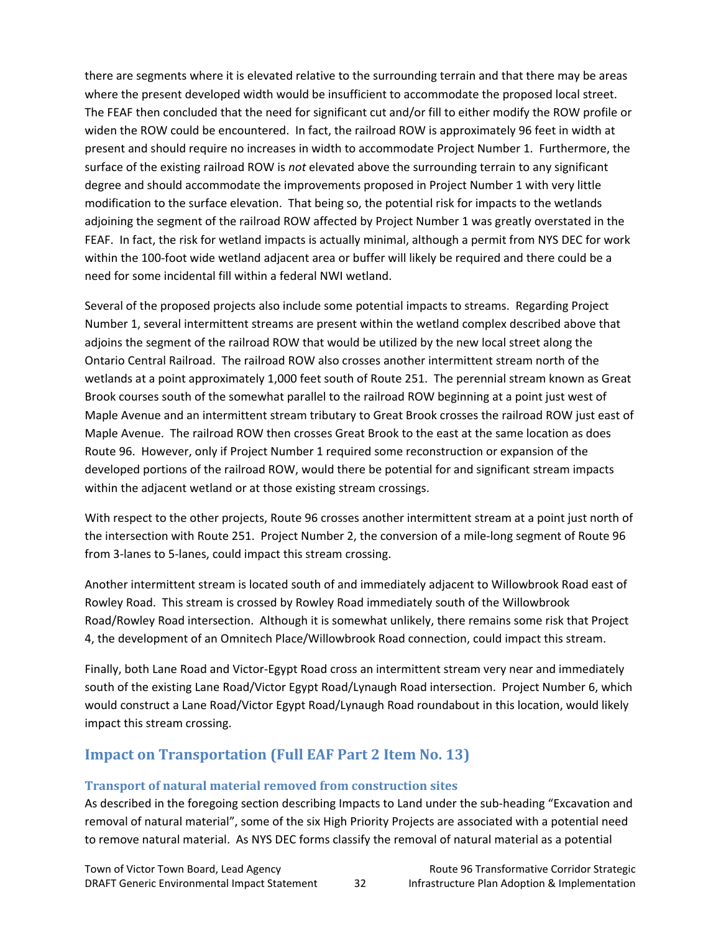there are segments where it is elevated relative to the surrounding terrain and that there may be areas where the present developed width would be insufficient to accommodate the proposed local street. The FEAF then concluded that the need for significant cut and/or fill to either modify the ROW profile or widen the ROW could be encountered. In fact, the railroad ROW is approximately 96 feet in width at present and should require no increases in width to accommodate Project Number 1. Furthermore, the surface of the existing railroad ROW is *not* elevated above the surrounding terrain to any significant degree and should accommodate the improvements proposed in Project Number 1 with very little modification to the surface elevation. That being so, the potential risk for impacts to the wetlands adjoining the segment of the railroad ROW affected by Project Number 1 was greatly overstated in the FEAF. In fact, the risk for wetland impacts is actually minimal, although a permit from NYS DEC for work within the 100-foot wide wetland adjacent area or buffer will likely be required and there could be a need for some incidental fill within a federal NWI wetland.

Several of the proposed projects also include some potential impacts to streams. Regarding Project Number 1, several intermittent streams are present within the wetland complex described above that adjoins the segment of the railroad ROW that would be utilized by the new local street along the Ontario Central Railroad. The railroad ROW also crosses another intermittent stream north of the wetlands at a point approximately 1,000 feet south of Route 251. The perennial stream known as Great Brook courses south of the somewhat parallel to the railroad ROW beginning at a point just west of Maple Avenue and an intermittent stream tributary to Great Brook crosses the railroad ROW just east of Maple Avenue. The railroad ROW then crosses Great Brook to the east at the same location as does Route 96. However, only if Project Number 1 required some reconstruction or expansion of the developed portions of the railroad ROW, would there be potential for and significant stream impacts within the adjacent wetland or at those existing stream crossings.

With respect to the other projects, Route 96 crosses another intermittent stream at a point just north of the intersection with Route 251. Project Number 2, the conversion of a mile-long segment of Route 96 from 3‐lanes to 5‐lanes, could impact this stream crossing.

Another intermittent stream is located south of and immediately adjacent to Willowbrook Road east of Rowley Road. This stream is crossed by Rowley Road immediately south of the Willowbrook Road/Rowley Road intersection. Although it is somewhat unlikely, there remains some risk that Project 4, the development of an Omnitech Place/Willowbrook Road connection, could impact this stream.

Finally, both Lane Road and Victor‐Egypt Road cross an intermittent stream very near and immediately south of the existing Lane Road/Victor Egypt Road/Lynaugh Road intersection. Project Number 6, which would construct a Lane Road/Victor Egypt Road/Lynaugh Road roundabout in this location, would likely impact this stream crossing.

### **Impact on Transportation (Full EAF Part 2 Item No. 13)**

#### **Transport of natural material removed from construction sites**

As described in the foregoing section describing Impacts to Land under the sub-heading "Excavation and removal of natural material", some of the six High Priority Projects are associated with a potential need to remove natural material. As NYS DEC forms classify the removal of natural material as a potential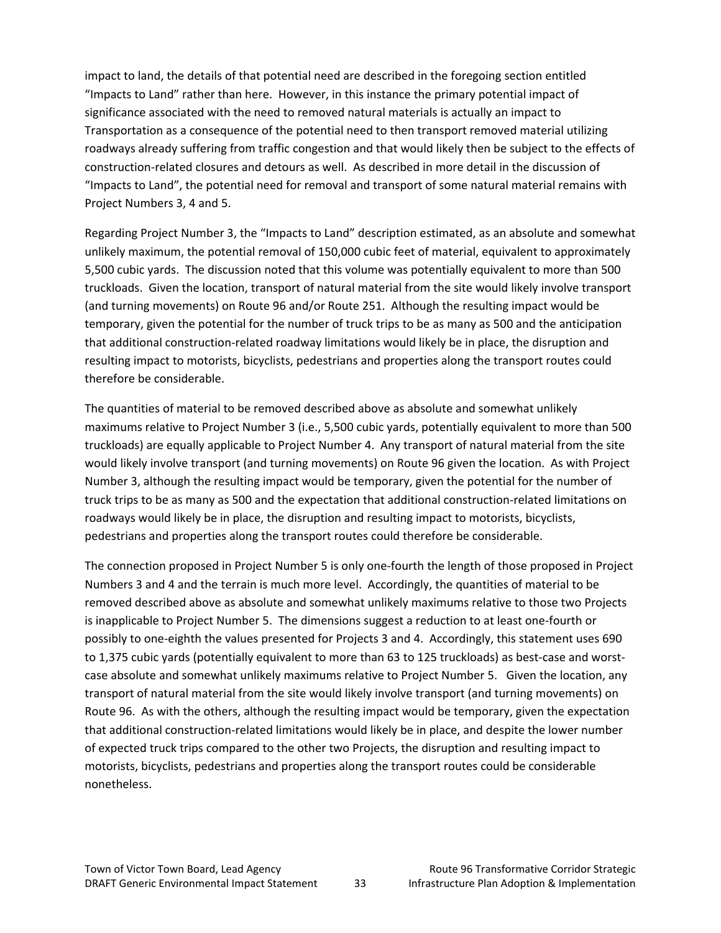impact to land, the details of that potential need are described in the foregoing section entitled "Impacts to Land" rather than here. However, in this instance the primary potential impact of significance associated with the need to removed natural materials is actually an impact to Transportation as a consequence of the potential need to then transport removed material utilizing roadways already suffering from traffic congestion and that would likely then be subject to the effects of construction‐related closures and detours as well. As described in more detail in the discussion of "Impacts to Land", the potential need for removal and transport of some natural material remains with Project Numbers 3, 4 and 5.

Regarding Project Number 3, the "Impacts to Land" description estimated, as an absolute and somewhat unlikely maximum, the potential removal of 150,000 cubic feet of material, equivalent to approximately 5,500 cubic yards. The discussion noted that this volume was potentially equivalent to more than 500 truckloads. Given the location, transport of natural material from the site would likely involve transport (and turning movements) on Route 96 and/or Route 251. Although the resulting impact would be temporary, given the potential for the number of truck trips to be as many as 500 and the anticipation that additional construction‐related roadway limitations would likely be in place, the disruption and resulting impact to motorists, bicyclists, pedestrians and properties along the transport routes could therefore be considerable.

The quantities of material to be removed described above as absolute and somewhat unlikely maximums relative to Project Number 3 (i.e., 5,500 cubic yards, potentially equivalent to more than 500 truckloads) are equally applicable to Project Number 4. Any transport of natural material from the site would likely involve transport (and turning movements) on Route 96 given the location. As with Project Number 3, although the resulting impact would be temporary, given the potential for the number of truck trips to be as many as 500 and the expectation that additional construction‐related limitations on roadways would likely be in place, the disruption and resulting impact to motorists, bicyclists, pedestrians and properties along the transport routes could therefore be considerable.

The connection proposed in Project Number 5 is only one‐fourth the length of those proposed in Project Numbers 3 and 4 and the terrain is much more level. Accordingly, the quantities of material to be removed described above as absolute and somewhat unlikely maximums relative to those two Projects is inapplicable to Project Number 5. The dimensions suggest a reduction to at least one‐fourth or possibly to one‐eighth the values presented for Projects 3 and 4. Accordingly, this statement uses 690 to 1,375 cubic yards (potentially equivalent to more than 63 to 125 truckloads) as best-case and worstcase absolute and somewhat unlikely maximums relative to Project Number 5. Given the location, any transport of natural material from the site would likely involve transport (and turning movements) on Route 96. As with the others, although the resulting impact would be temporary, given the expectation that additional construction‐related limitations would likely be in place, and despite the lower number of expected truck trips compared to the other two Projects, the disruption and resulting impact to motorists, bicyclists, pedestrians and properties along the transport routes could be considerable nonetheless.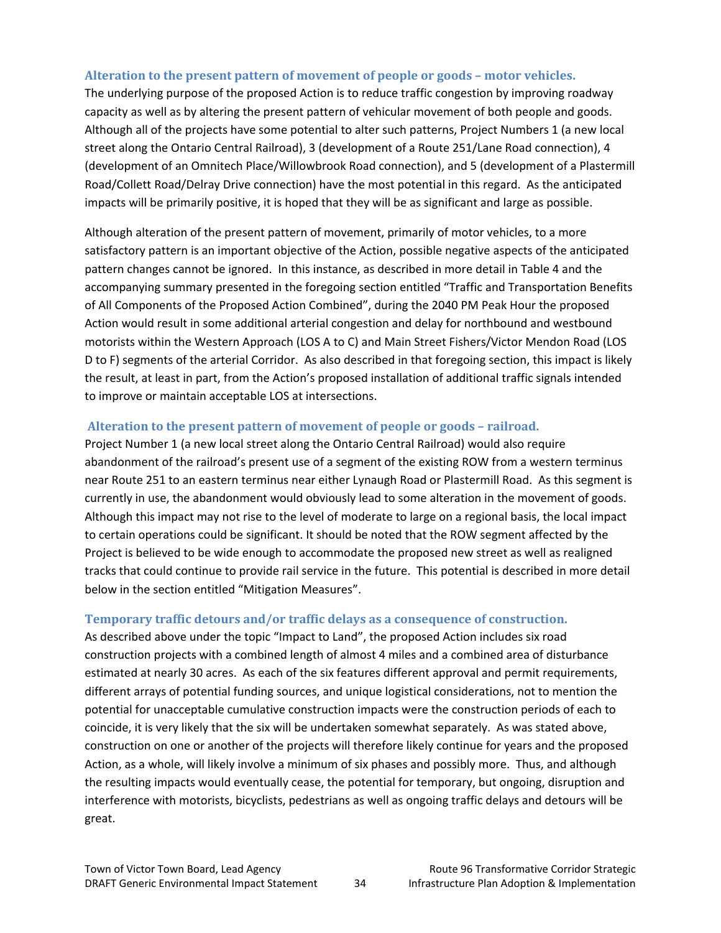#### **Alteration to the present pattern of movement of people or goods – motor vehicles.**

The underlying purpose of the proposed Action is to reduce traffic congestion by improving roadway capacity as well as by altering the present pattern of vehicular movement of both people and goods. Although all of the projects have some potential to alter such patterns, Project Numbers 1 (a new local street along the Ontario Central Railroad), 3 (development of a Route 251/Lane Road connection), 4 (development of an Omnitech Place/Willowbrook Road connection), and 5 (development of a Plastermill Road/Collett Road/Delray Drive connection) have the most potential in this regard. As the anticipated impacts will be primarily positive, it is hoped that they will be as significant and large as possible.

Although alteration of the present pattern of movement, primarily of motor vehicles, to a more satisfactory pattern is an important objective of the Action, possible negative aspects of the anticipated pattern changes cannot be ignored. In this instance, as described in more detail in Table 4 and the accompanying summary presented in the foregoing section entitled "Traffic and Transportation Benefits of All Components of the Proposed Action Combined", during the 2040 PM Peak Hour the proposed Action would result in some additional arterial congestion and delay for northbound and westbound motorists within the Western Approach (LOS A to C) and Main Street Fishers/Victor Mendon Road (LOS D to F) segments of the arterial Corridor. As also described in that foregoing section, this impact is likely the result, at least in part, from the Action's proposed installation of additional traffic signals intended to improve or maintain acceptable LOS at intersections.

#### **Alteration to the present pattern of movement of people or goods – railroad.**

Project Number 1 (a new local street along the Ontario Central Railroad) would also require abandonment of the railroad's present use of a segment of the existing ROW from a western terminus near Route 251 to an eastern terminus near either Lynaugh Road or Plastermill Road. As this segment is currently in use, the abandonment would obviously lead to some alteration in the movement of goods. Although this impact may not rise to the level of moderate to large on a regional basis, the local impact to certain operations could be significant. It should be noted that the ROW segment affected by the Project is believed to be wide enough to accommodate the proposed new street as well as realigned tracks that could continue to provide rail service in the future. This potential is described in more detail below in the section entitled "Mitigation Measures".

#### **Temporary traffic detours and/or traffic delays as a consequence of construction.**

As described above under the topic "Impact to Land", the proposed Action includes six road construction projects with a combined length of almost 4 miles and a combined area of disturbance estimated at nearly 30 acres. As each of the six features different approval and permit requirements, different arrays of potential funding sources, and unique logistical considerations, not to mention the potential for unacceptable cumulative construction impacts were the construction periods of each to coincide, it is very likely that the six will be undertaken somewhat separately. As was stated above, construction on one or another of the projects will therefore likely continue for years and the proposed Action, as a whole, will likely involve a minimum of six phases and possibly more. Thus, and although the resulting impacts would eventually cease, the potential for temporary, but ongoing, disruption and interference with motorists, bicyclists, pedestrians as well as ongoing traffic delays and detours will be great.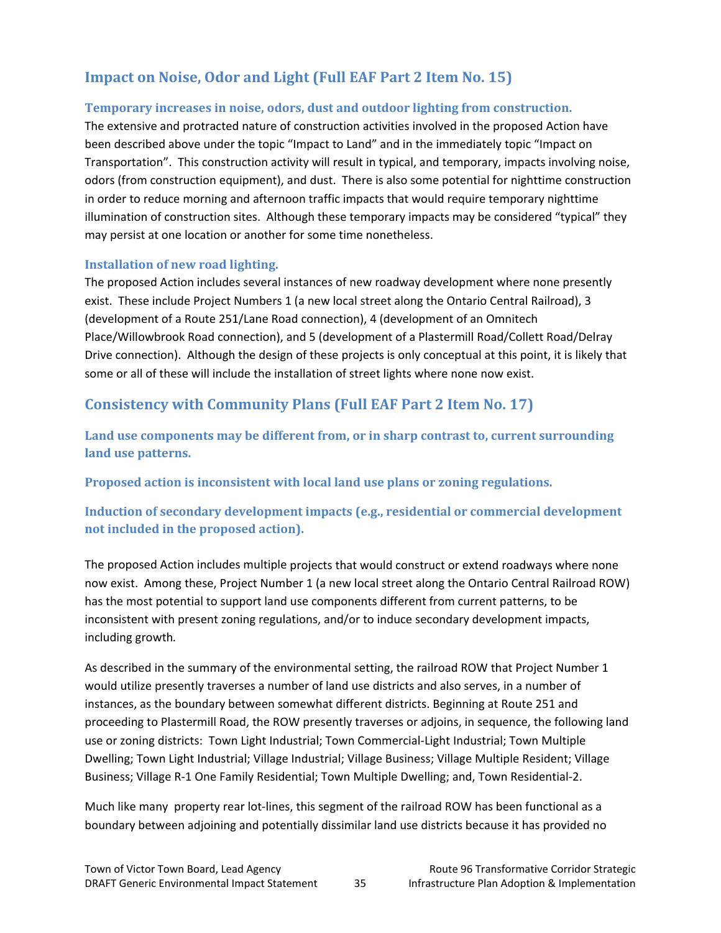## **Impact on Noise, Odor and Light (Full EAF Part 2 Item No. 15)**

#### **Temporary increases in noise, odors, dust and outdoor lighting from construction.**

The extensive and protracted nature of construction activities involved in the proposed Action have been described above under the topic "Impact to Land" and in the immediately topic "Impact on Transportation". This construction activity will result in typical, and temporary, impacts involving noise, odors (from construction equipment), and dust. There is also some potential for nighttime construction in order to reduce morning and afternoon traffic impacts that would require temporary nighttime illumination of construction sites. Although these temporary impacts may be considered "typical" they may persist at one location or another for some time nonetheless.

#### **Installation of new road lighting.**

The proposed Action includes several instances of new roadway development where none presently exist. These include Project Numbers 1 (a new local street along the Ontario Central Railroad), 3 (development of a Route 251/Lane Road connection), 4 (development of an Omnitech Place/Willowbrook Road connection), and 5 (development of a Plastermill Road/Collett Road/Delray Drive connection). Although the design of these projects is only conceptual at this point, it is likely that some or all of these will include the installation of street lights where none now exist.

### **Consistency with Community Plans (Full EAF Part 2 Item No. 17)**

**Land use components may be different from, or in sharp contrast to, current surrounding land use patterns.**

**Proposed action is inconsistent with local land use plans or zoning regulations.**

**Induction of secondary development impacts (e.g., residential or commercial development not included in the proposed action).**

The proposed Action includes multiple projects that would construct or extend roadways where none now exist. Among these, Project Number 1 (a new local street along the Ontario Central Railroad ROW) has the most potential to support land use components different from current patterns, to be inconsistent with present zoning regulations, and/or to induce secondary development impacts, including growth*.* 

As described in the summary of the environmental setting, the railroad ROW that Project Number 1 would utilize presently traverses a number of land use districts and also serves, in a number of instances, as the boundary between somewhat different districts. Beginning at Route 251 and proceeding to Plastermill Road, the ROW presently traverses or adjoins, in sequence, the following land use or zoning districts: Town Light Industrial; Town Commercial‐Light Industrial; Town Multiple Dwelling; Town Light Industrial; Village Industrial; Village Business; Village Multiple Resident; Village Business; Village R‐1 One Family Residential; Town Multiple Dwelling; and, Town Residential‐2.

Much like many property rear lot-lines, this segment of the railroad ROW has been functional as a boundary between adjoining and potentially dissimilar land use districts because it has provided no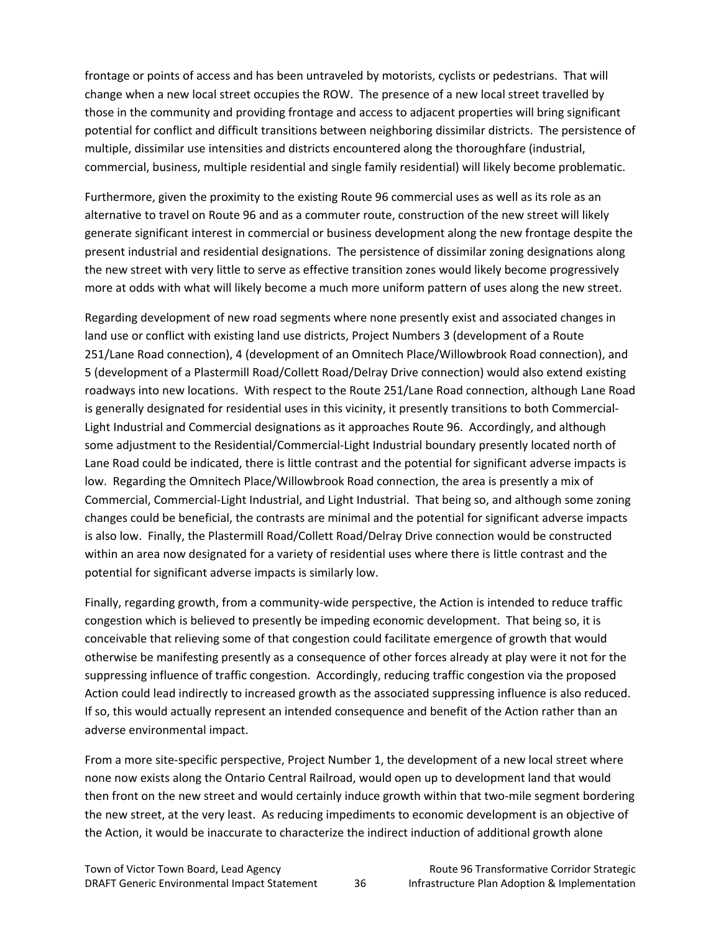frontage or points of access and has been untraveled by motorists, cyclists or pedestrians. That will change when a new local street occupies the ROW. The presence of a new local street travelled by those in the community and providing frontage and access to adjacent properties will bring significant potential for conflict and difficult transitions between neighboring dissimilar districts. The persistence of multiple, dissimilar use intensities and districts encountered along the thoroughfare (industrial, commercial, business, multiple residential and single family residential) will likely become problematic.

Furthermore, given the proximity to the existing Route 96 commercial uses as well as its role as an alternative to travel on Route 96 and as a commuter route, construction of the new street will likely generate significant interest in commercial or business development along the new frontage despite the present industrial and residential designations. The persistence of dissimilar zoning designations along the new street with very little to serve as effective transition zones would likely become progressively more at odds with what will likely become a much more uniform pattern of uses along the new street.

Regarding development of new road segments where none presently exist and associated changes in land use or conflict with existing land use districts, Project Numbers 3 (development of a Route 251/Lane Road connection), 4 (development of an Omnitech Place/Willowbrook Road connection), and 5 (development of a Plastermill Road/Collett Road/Delray Drive connection) would also extend existing roadways into new locations. With respect to the Route 251/Lane Road connection, although Lane Road is generally designated for residential uses in this vicinity, it presently transitions to both Commercial-Light Industrial and Commercial designations as it approaches Route 96. Accordingly, and although some adjustment to the Residential/Commercial‐Light Industrial boundary presently located north of Lane Road could be indicated, there is little contrast and the potential for significant adverse impacts is low. Regarding the Omnitech Place/Willowbrook Road connection, the area is presently a mix of Commercial, Commercial‐Light Industrial, and Light Industrial. That being so, and although some zoning changes could be beneficial, the contrasts are minimal and the potential for significant adverse impacts is also low. Finally, the Plastermill Road/Collett Road/Delray Drive connection would be constructed within an area now designated for a variety of residential uses where there is little contrast and the potential for significant adverse impacts is similarly low.

Finally, regarding growth, from a community-wide perspective, the Action is intended to reduce traffic congestion which is believed to presently be impeding economic development. That being so, it is conceivable that relieving some of that congestion could facilitate emergence of growth that would otherwise be manifesting presently as a consequence of other forces already at play were it not for the suppressing influence of traffic congestion. Accordingly, reducing traffic congestion via the proposed Action could lead indirectly to increased growth as the associated suppressing influence is also reduced. If so, this would actually represent an intended consequence and benefit of the Action rather than an adverse environmental impact.

From a more site-specific perspective, Project Number 1, the development of a new local street where none now exists along the Ontario Central Railroad, would open up to development land that would then front on the new street and would certainly induce growth within that two-mile segment bordering the new street, at the very least. As reducing impediments to economic development is an objective of the Action, it would be inaccurate to characterize the indirect induction of additional growth alone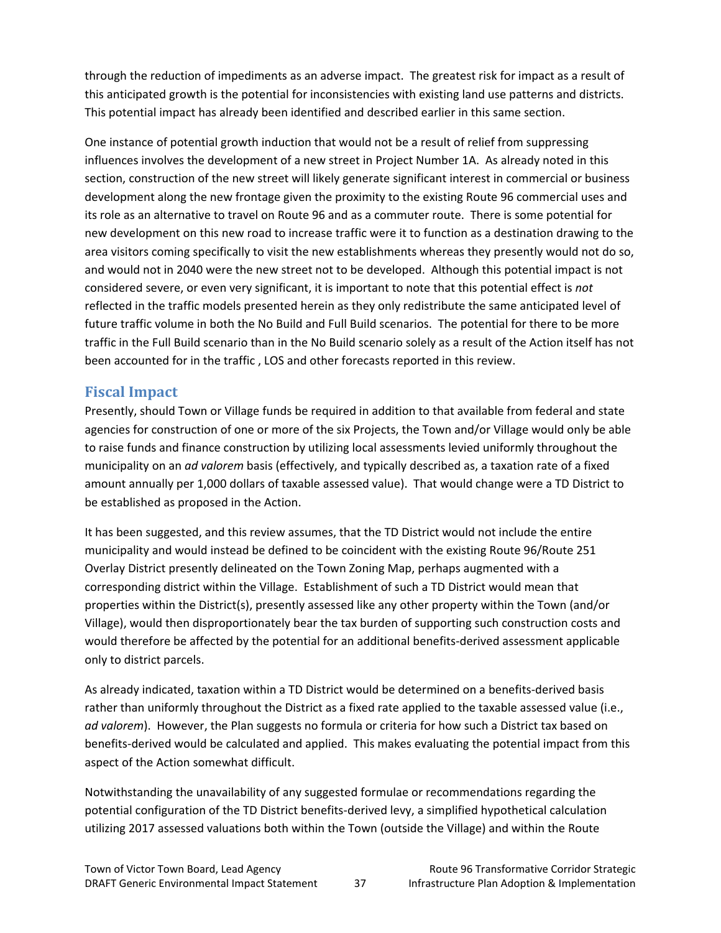through the reduction of impediments as an adverse impact. The greatest risk for impact as a result of this anticipated growth is the potential for inconsistencies with existing land use patterns and districts. This potential impact has already been identified and described earlier in this same section.

One instance of potential growth induction that would not be a result of relief from suppressing influences involves the development of a new street in Project Number 1A. As already noted in this section, construction of the new street will likely generate significant interest in commercial or business development along the new frontage given the proximity to the existing Route 96 commercial uses and its role as an alternative to travel on Route 96 and as a commuter route. There is some potential for new development on this new road to increase traffic were it to function as a destination drawing to the area visitors coming specifically to visit the new establishments whereas they presently would not do so, and would not in 2040 were the new street not to be developed. Although this potential impact is not considered severe, or even very significant, it is important to note that this potential effect is *not* reflected in the traffic models presented herein as they only redistribute the same anticipated level of future traffic volume in both the No Build and Full Build scenarios. The potential for there to be more traffic in the Full Build scenario than in the No Build scenario solely as a result of the Action itself has not been accounted for in the traffic , LOS and other forecasts reported in this review.

### **Fiscal Impact**

Presently, should Town or Village funds be required in addition to that available from federal and state agencies for construction of one or more of the six Projects, the Town and/or Village would only be able to raise funds and finance construction by utilizing local assessments levied uniformly throughout the municipality on an *ad valorem* basis (effectively, and typically described as, a taxation rate of a fixed amount annually per 1,000 dollars of taxable assessed value). That would change were a TD District to be established as proposed in the Action.

It has been suggested, and this review assumes, that the TD District would not include the entire municipality and would instead be defined to be coincident with the existing Route 96/Route 251 Overlay District presently delineated on the Town Zoning Map, perhaps augmented with a corresponding district within the Village. Establishment of such a TD District would mean that properties within the District(s), presently assessed like any other property within the Town (and/or Village), would then disproportionately bear the tax burden of supporting such construction costs and would therefore be affected by the potential for an additional benefits-derived assessment applicable only to district parcels.

As already indicated, taxation within a TD District would be determined on a benefits‐derived basis rather than uniformly throughout the District as a fixed rate applied to the taxable assessed value (i.e., *ad valorem*). However, the Plan suggests no formula or criteria for how such a District tax based on benefits‐derived would be calculated and applied. This makes evaluating the potential impact from this aspect of the Action somewhat difficult.

Notwithstanding the unavailability of any suggested formulae or recommendations regarding the potential configuration of the TD District benefits‐derived levy, a simplified hypothetical calculation utilizing 2017 assessed valuations both within the Town (outside the Village) and within the Route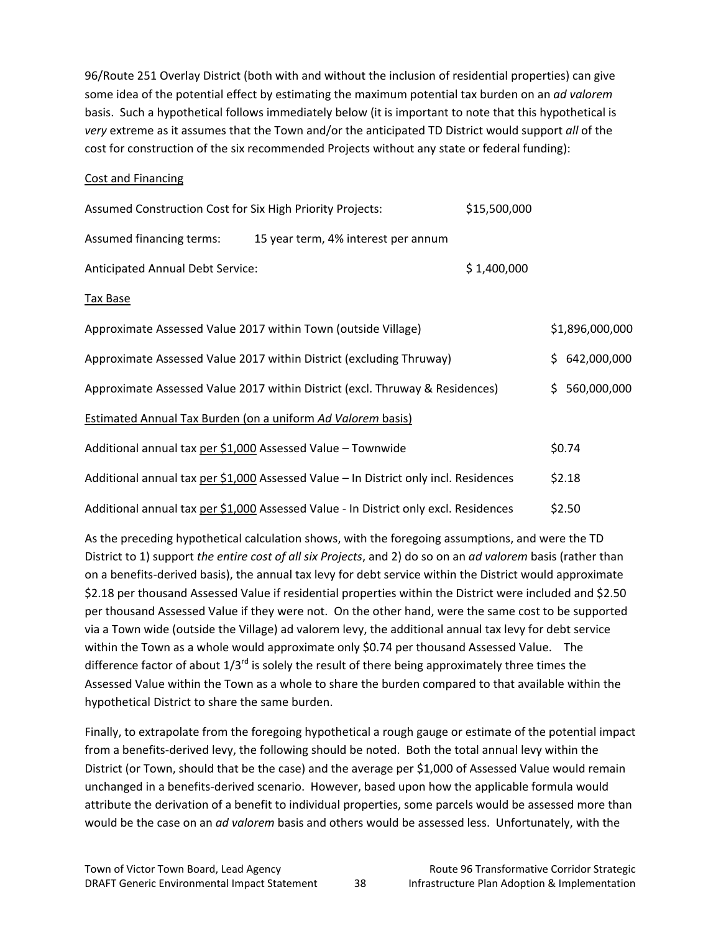96/Route 251 Overlay District (both with and without the inclusion of residential properties) can give some idea of the potential effect by estimating the maximum potential tax burden on an *ad valorem* basis. Such a hypothetical follows immediately below (it is important to note that this hypothetical is *very* extreme as it assumes that the Town and/or the anticipated TD District would support *all* of the cost for construction of the six recommended Projects without any state or federal funding):

#### Cost and Financing

| Assumed Construction Cost for Six High Priority Projects:   |                                                                                      | \$15,500,000 |                 |
|-------------------------------------------------------------|--------------------------------------------------------------------------------------|--------------|-----------------|
| Assumed financing terms:                                    | 15 year term, 4% interest per annum                                                  |              |                 |
| Anticipated Annual Debt Service:                            |                                                                                      | \$1,400,000  |                 |
| Tax Base                                                    |                                                                                      |              |                 |
|                                                             | Approximate Assessed Value 2017 within Town (outside Village)                        |              | \$1,896,000,000 |
|                                                             | Approximate Assessed Value 2017 within District (excluding Thruway)                  |              | \$642,000,000   |
|                                                             | Approximate Assessed Value 2017 within District (excl. Thruway & Residences)         |              | \$560,000,000   |
|                                                             | <b>Estimated Annual Tax Burden (on a uniform Ad Valorem basis)</b>                   |              |                 |
| Additional annual tax per \$1,000 Assessed Value - Townwide |                                                                                      |              | \$0.74          |
|                                                             | Additional annual tax per \$1,000 Assessed Value - In District only incl. Residences |              | \$2.18          |
|                                                             | Additional annual tax per \$1,000 Assessed Value - In District only excl. Residences |              | \$2.50          |

As the preceding hypothetical calculation shows, with the foregoing assumptions, and were the TD District to 1) support *the entire cost of all six Projects*, and 2) do so on an *ad valorem* basis (rather than on a benefits‐derived basis), the annual tax levy for debt service within the District would approximate \$2.18 per thousand Assessed Value if residential properties within the District were included and \$2.50 per thousand Assessed Value if they were not. On the other hand, were the same cost to be supported via a Town wide (outside the Village) ad valorem levy, the additional annual tax levy for debt service within the Town as a whole would approximate only \$0.74 per thousand Assessed Value. The difference factor of about  $1/3^{rd}$  is solely the result of there being approximately three times the Assessed Value within the Town as a whole to share the burden compared to that available within the hypothetical District to share the same burden.

Finally, to extrapolate from the foregoing hypothetical a rough gauge or estimate of the potential impact from a benefits-derived levy, the following should be noted. Both the total annual levy within the District (or Town, should that be the case) and the average per \$1,000 of Assessed Value would remain unchanged in a benefits‐derived scenario. However, based upon how the applicable formula would attribute the derivation of a benefit to individual properties, some parcels would be assessed more than would be the case on an *ad valorem* basis and others would be assessed less. Unfortunately, with the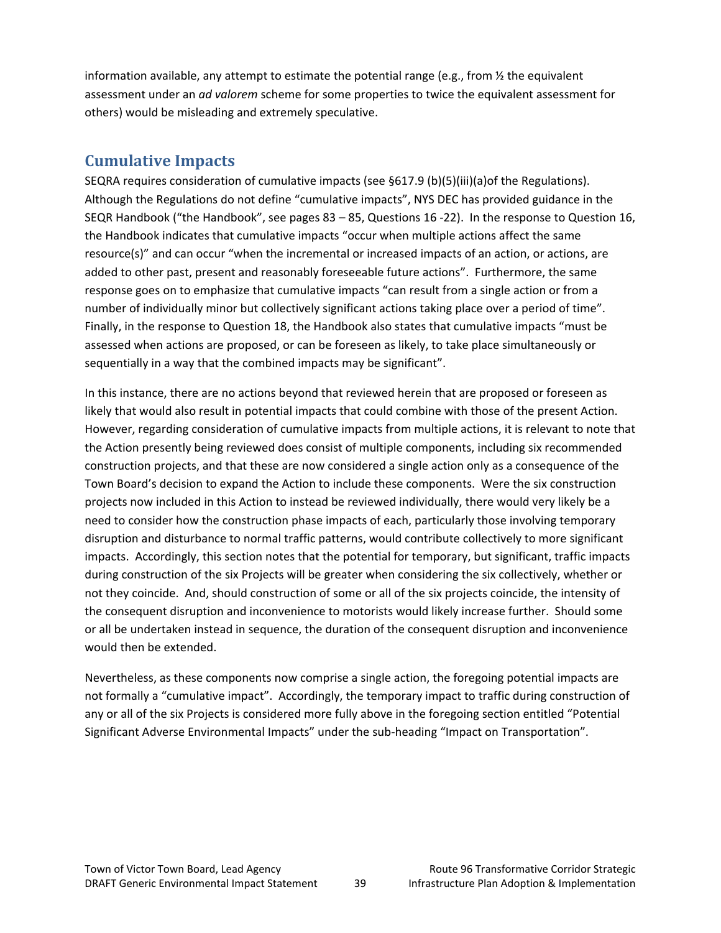information available, any attempt to estimate the potential range (e.g., from  $\frac{1}{2}$  the equivalent assessment under an *ad valorem* scheme for some properties to twice the equivalent assessment for others) would be misleading and extremely speculative.

# **Cumulative Impacts**

SEQRA requires consideration of cumulative impacts (see §617.9 (b)(5)(iii)(a)of the Regulations). Although the Regulations do not define "cumulative impacts", NYS DEC has provided guidance in the SEQR Handbook ("the Handbook", see pages 83 – 85, Questions 16 ‐22). In the response to Question 16, the Handbook indicates that cumulative impacts "occur when multiple actions affect the same resource(s)" and can occur "when the incremental or increased impacts of an action, or actions, are added to other past, present and reasonably foreseeable future actions". Furthermore, the same response goes on to emphasize that cumulative impacts "can result from a single action or from a number of individually minor but collectively significant actions taking place over a period of time". Finally, in the response to Question 18, the Handbook also states that cumulative impacts "must be assessed when actions are proposed, or can be foreseen as likely, to take place simultaneously or sequentially in a way that the combined impacts may be significant".

In this instance, there are no actions beyond that reviewed herein that are proposed or foreseen as likely that would also result in potential impacts that could combine with those of the present Action. However, regarding consideration of cumulative impacts from multiple actions, it is relevant to note that the Action presently being reviewed does consist of multiple components, including six recommended construction projects, and that these are now considered a single action only as a consequence of the Town Board's decision to expand the Action to include these components. Were the six construction projects now included in this Action to instead be reviewed individually, there would very likely be a need to consider how the construction phase impacts of each, particularly those involving temporary disruption and disturbance to normal traffic patterns, would contribute collectively to more significant impacts. Accordingly, this section notes that the potential for temporary, but significant, traffic impacts during construction of the six Projects will be greater when considering the six collectively, whether or not they coincide. And, should construction of some or all of the six projects coincide, the intensity of the consequent disruption and inconvenience to motorists would likely increase further. Should some or all be undertaken instead in sequence, the duration of the consequent disruption and inconvenience would then be extended.

Nevertheless, as these components now comprise a single action, the foregoing potential impacts are not formally a "cumulative impact". Accordingly, the temporary impact to traffic during construction of any or all of the six Projects is considered more fully above in the foregoing section entitled "Potential Significant Adverse Environmental Impacts" under the sub‐heading "Impact on Transportation".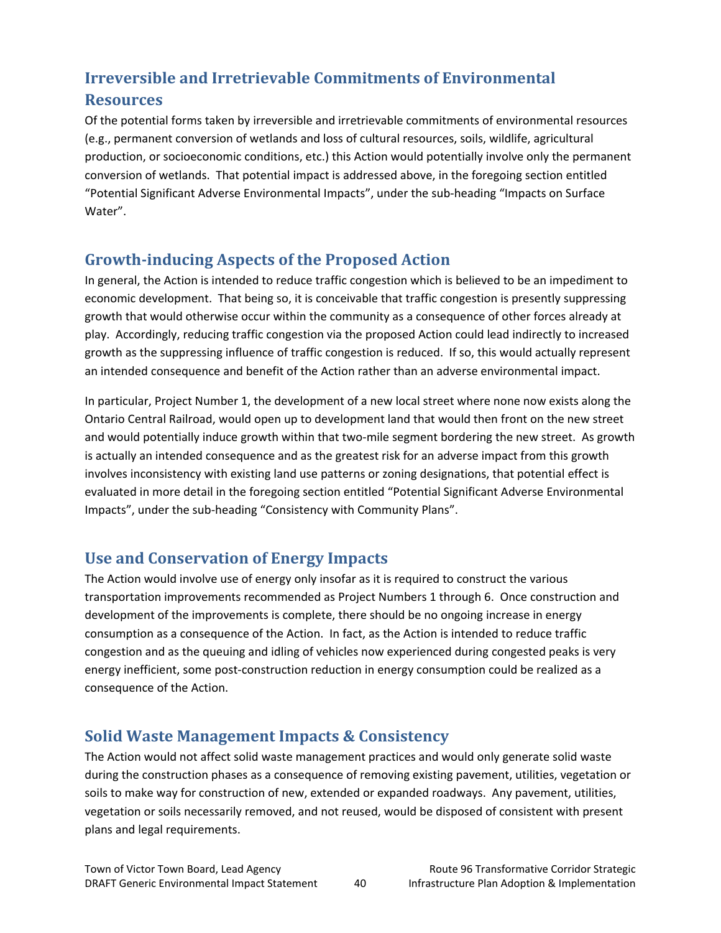# **Irreversible and Irretrievable Commitments of Environmental**

### **Resources**

Of the potential forms taken by irreversible and irretrievable commitments of environmental resources (e.g., permanent conversion of wetlands and loss of cultural resources, soils, wildlife, agricultural production, or socioeconomic conditions, etc.) this Action would potentially involve only the permanent conversion of wetlands. That potential impact is addressed above, in the foregoing section entitled "Potential Significant Adverse Environmental Impacts", under the sub‐heading "Impacts on Surface Water".

# **Growth‐inducing Aspects of the Proposed Action**

In general, the Action is intended to reduce traffic congestion which is believed to be an impediment to economic development. That being so, it is conceivable that traffic congestion is presently suppressing growth that would otherwise occur within the community as a consequence of other forces already at play. Accordingly, reducing traffic congestion via the proposed Action could lead indirectly to increased growth as the suppressing influence of traffic congestion is reduced. If so, this would actually represent an intended consequence and benefit of the Action rather than an adverse environmental impact.

In particular, Project Number 1, the development of a new local street where none now exists along the Ontario Central Railroad, would open up to development land that would then front on the new street and would potentially induce growth within that two-mile segment bordering the new street. As growth is actually an intended consequence and as the greatest risk for an adverse impact from this growth involves inconsistency with existing land use patterns or zoning designations, that potential effect is evaluated in more detail in the foregoing section entitled "Potential Significant Adverse Environmental Impacts", under the sub‐heading "Consistency with Community Plans".

# **Use and Conservation of Energy Impacts**

The Action would involve use of energy only insofar as it is required to construct the various transportation improvements recommended as Project Numbers 1 through 6. Once construction and development of the improvements is complete, there should be no ongoing increase in energy consumption as a consequence of the Action. In fact, as the Action is intended to reduce traffic congestion and as the queuing and idling of vehicles now experienced during congested peaks is very energy inefficient, some post-construction reduction in energy consumption could be realized as a consequence of the Action.

# **Solid Waste Management Impacts & Consistency**

The Action would not affect solid waste management practices and would only generate solid waste during the construction phases as a consequence of removing existing pavement, utilities, vegetation or soils to make way for construction of new, extended or expanded roadways. Any pavement, utilities, vegetation or soils necessarily removed, and not reused, would be disposed of consistent with present plans and legal requirements.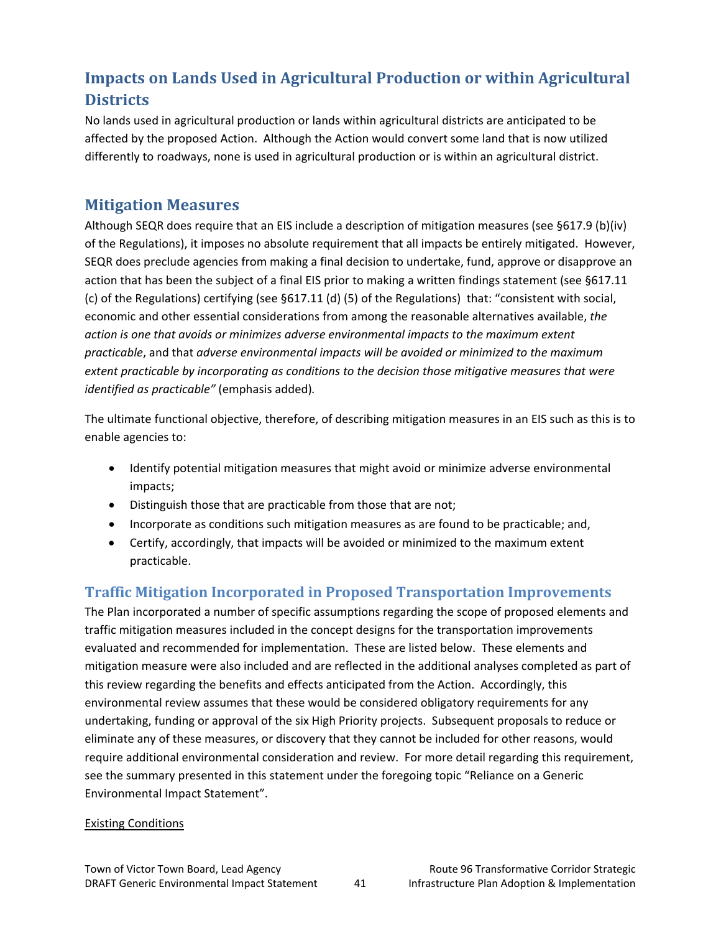# **Impacts on Lands Used in Agricultural Production or within Agricultural Districts**

No lands used in agricultural production or lands within agricultural districts are anticipated to be affected by the proposed Action. Although the Action would convert some land that is now utilized differently to roadways, none is used in agricultural production or is within an agricultural district.

## **Mitigation Measures**

Although SEQR does require that an EIS include a description of mitigation measures (see §617.9 (b)(iv) of the Regulations), it imposes no absolute requirement that all impacts be entirely mitigated. However, SEQR does preclude agencies from making a final decision to undertake, fund, approve or disapprove an action that has been the subject of a final EIS prior to making a written findings statement (see §617.11 (c) of the Regulations) certifying (see §617.11 (d) (5) of the Regulations) that: "consistent with social, economic and other essential considerations from among the reasonable alternatives available, *the action is one that avoids or minimizes adverse environmental impacts to the maximum extent practicable*, and that *adverse environmental impacts will be avoided or minimized to the maximum extent practicable by incorporating as conditions to the decision those mitigative measures that were identified as practicable"* (emphasis added)*.*

The ultimate functional objective, therefore, of describing mitigation measures in an EIS such as this is to enable agencies to:

- Identify potential mitigation measures that might avoid or minimize adverse environmental impacts;
- Distinguish those that are practicable from those that are not;
- Incorporate as conditions such mitigation measures as are found to be practicable; and,
- Certify, accordingly, that impacts will be avoided or minimized to the maximum extent practicable.

# **Traffic Mitigation Incorporated in Proposed Transportation Improvements**

The Plan incorporated a number of specific assumptions regarding the scope of proposed elements and traffic mitigation measures included in the concept designs for the transportation improvements evaluated and recommended for implementation. These are listed below. These elements and mitigation measure were also included and are reflected in the additional analyses completed as part of this review regarding the benefits and effects anticipated from the Action. Accordingly, this environmental review assumes that these would be considered obligatory requirements for any undertaking, funding or approval of the six High Priority projects. Subsequent proposals to reduce or eliminate any of these measures, or discovery that they cannot be included for other reasons, would require additional environmental consideration and review. For more detail regarding this requirement, see the summary presented in this statement under the foregoing topic "Reliance on a Generic Environmental Impact Statement".

#### Existing Conditions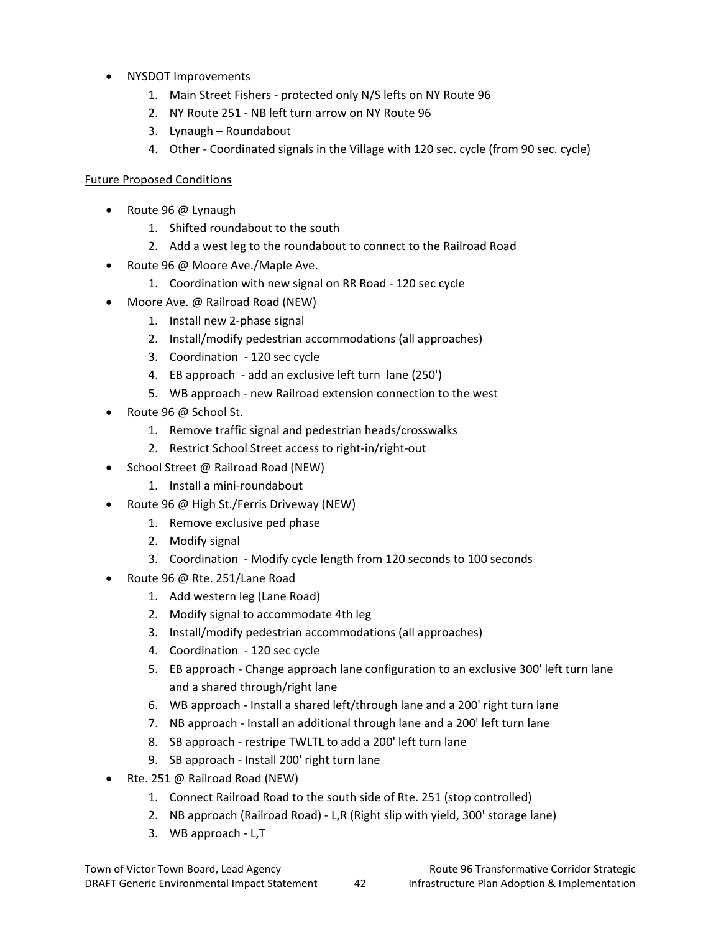- NYSDOT Improvements
	- 1. Main Street Fishers ‐ protected only N/S lefts on NY Route 96
	- 2. NY Route 251 ‐ NB left turn arrow on NY Route 96
	- 3. Lynaugh Roundabout
	- 4. Other Coordinated signals in the Village with 120 sec. cycle (from 90 sec. cycle)

#### Future Proposed Conditions

- Route 96 @ Lynaugh
	- 1. Shifted roundabout to the south
	- 2. Add a west leg to the roundabout to connect to the Railroad Road
- Route 96 @ Moore Ave./Maple Ave.
	- 1. Coordination with new signal on RR Road ‐ 120 sec cycle
- Moore Ave. @ Railroad Road (NEW)
	- 1. Install new 2‐phase signal
	- 2. Install/modify pedestrian accommodations (all approaches)
	- 3. Coordination ‐ 120 sec cycle
	- 4. EB approach add an exclusive left turn lane (250')
	- 5. WB approach ‐ new Railroad extension connection to the west
- Route 96 @ School St.
	- 1. Remove traffic signal and pedestrian heads/crosswalks
	- 2. Restrict School Street access to right‐in/right‐out
- School Street @ Railroad Road (NEW)
	- 1. Install a mini‐roundabout
- Route 96 @ High St./Ferris Driveway (NEW)
	- 1. Remove exclusive ped phase
	- 2. Modify signal
	- 3. Coordination ‐ Modify cycle length from 120 seconds to 100 seconds
- Route 96 @ Rte. 251/Lane Road
	- 1. Add western leg (Lane Road)
	- 2. Modify signal to accommodate 4th leg
	- 3. Install/modify pedestrian accommodations (all approaches)
	- 4. Coordination 120 sec cycle
	- 5. EB approach Change approach lane configuration to an exclusive 300' left turn lane and a shared through/right lane
	- 6. WB approach ‐ Install a shared left/through lane and a 200' right turn lane
	- 7. NB approach ‐ Install an additional through lane and a 200' left turn lane
	- 8. SB approach ‐ restripe TWLTL to add a 200' left turn lane
	- 9. SB approach ‐ Install 200' right turn lane
- Rte. 251 @ Railroad Road (NEW)
	- 1. Connect Railroad Road to the south side of Rte. 251 (stop controlled)
	- 2. NB approach (Railroad Road) ‐ L,R (Right slip with yield, 300' storage lane)
	- 3. WB approach ‐ L,T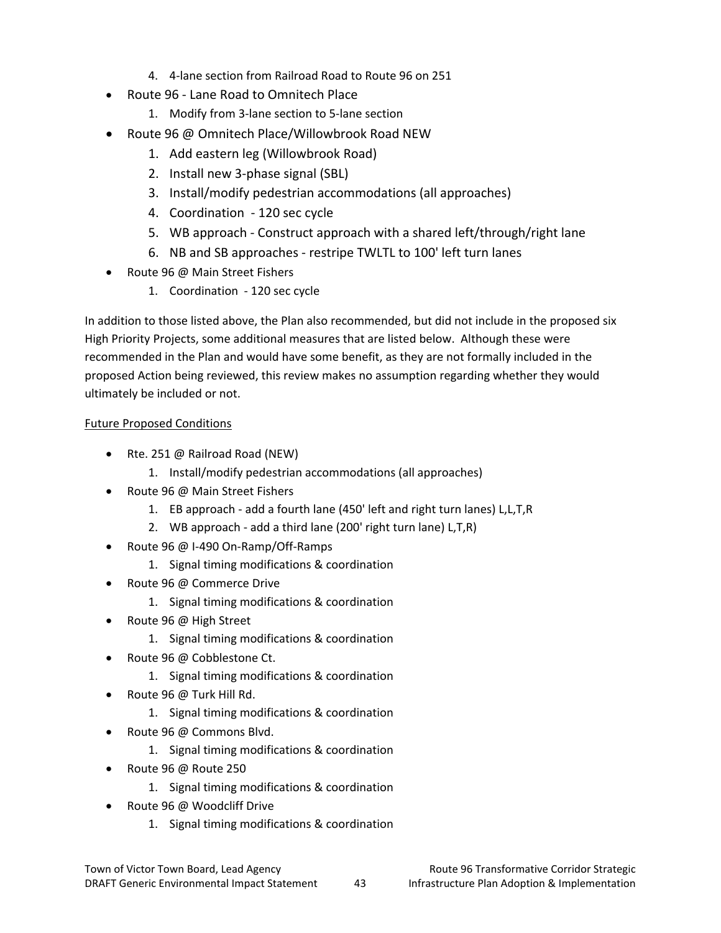- 4. 4‐lane section from Railroad Road to Route 96 on 251
- Route 96 ‐ Lane Road to Omnitech Place
	- 1. Modify from 3‐lane section to 5‐lane section
- Route 96 @ Omnitech Place/Willowbrook Road NEW
	- 1. Add eastern leg (Willowbrook Road)
	- 2. Install new 3‐phase signal (SBL)
	- 3. Install/modify pedestrian accommodations (all approaches)
	- 4. Coordination 120 sec cycle
	- 5. WB approach ‐ Construct approach with a shared left/through/right lane
	- 6. NB and SB approaches ‐ restripe TWLTL to 100' left turn lanes
- Route 96 @ Main Street Fishers
	- 1. Coordination 120 sec cycle

In addition to those listed above, the Plan also recommended, but did not include in the proposed six High Priority Projects, some additional measures that are listed below. Although these were recommended in the Plan and would have some benefit, as they are not formally included in the proposed Action being reviewed, this review makes no assumption regarding whether they would ultimately be included or not.

#### Future Proposed Conditions

- Rte. 251 @ Railroad Road (NEW)
	- 1. Install/modify pedestrian accommodations (all approaches)
- Route 96 @ Main Street Fishers
	- 1. EB approach ‐ add a fourth lane (450' left and right turn lanes) L,L,T,R
	- 2. WB approach ‐ add a third lane (200' right turn lane) L,T,R)
- Route 96 @ I‐490 On‐Ramp/Off‐Ramps
	- 1. Signal timing modifications & coordination
- Route 96 @ Commerce Drive
	- 1. Signal timing modifications & coordination
- Route 96 @ High Street
	- 1. Signal timing modifications & coordination
- Route 96 @ Cobblestone Ct.
	- 1. Signal timing modifications & coordination
- Route 96 @ Turk Hill Rd.
	- 1. Signal timing modifications & coordination
- Route 96 @ Commons Blvd.
	- 1. Signal timing modifications & coordination
- Route 96 @ Route 250
	- 1. Signal timing modifications & coordination
- Route 96 @ Woodcliff Drive
	- 1. Signal timing modifications & coordination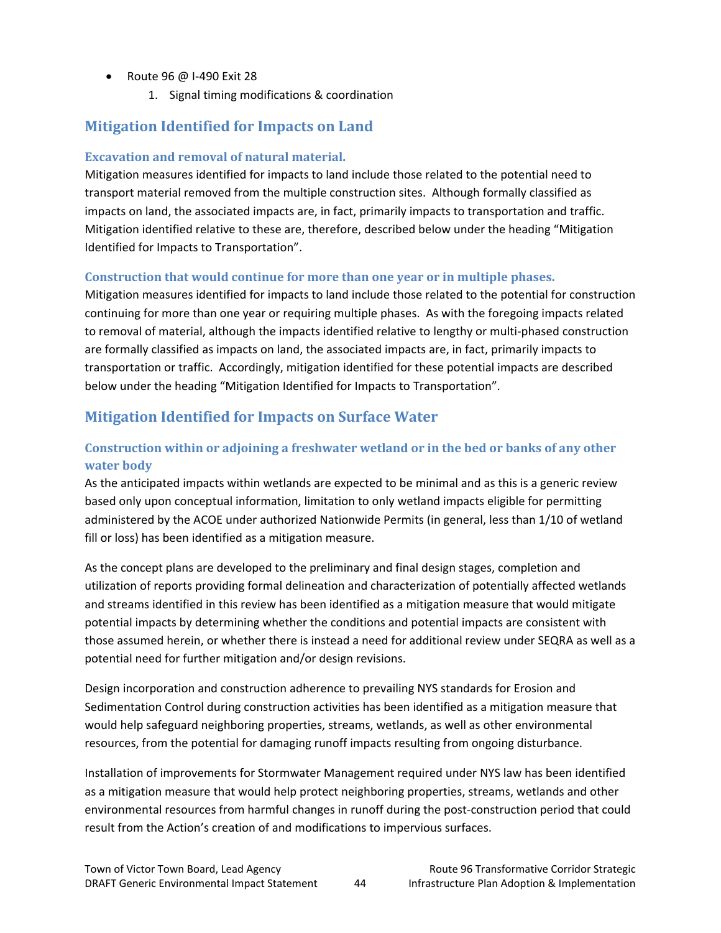- Route 96 @ I‐490 Exit 28
	- 1. Signal timing modifications & coordination

# **Mitigation Identified for Impacts on Land**

#### **Excavation and removal of natural material.**

Mitigation measures identified for impacts to land include those related to the potential need to transport material removed from the multiple construction sites. Although formally classified as impacts on land, the associated impacts are, in fact, primarily impacts to transportation and traffic. Mitigation identified relative to these are, therefore, described below under the heading "Mitigation Identified for Impacts to Transportation".

#### **Construction that would continue for more than one year or in multiple phases.**

Mitigation measures identified for impacts to land include those related to the potential for construction continuing for more than one year or requiring multiple phases. As with the foregoing impacts related to removal of material, although the impacts identified relative to lengthy or multi‐phased construction are formally classified as impacts on land, the associated impacts are, in fact, primarily impacts to transportation or traffic. Accordingly, mitigation identified for these potential impacts are described below under the heading "Mitigation Identified for Impacts to Transportation".

### **Mitigation Identified for Impacts on Surface Water**

### **Construction within or adjoining a freshwater wetland or in the bed or banks of any other water body**

As the anticipated impacts within wetlands are expected to be minimal and as this is a generic review based only upon conceptual information, limitation to only wetland impacts eligible for permitting administered by the ACOE under authorized Nationwide Permits (in general, less than 1/10 of wetland fill or loss) has been identified as a mitigation measure.

As the concept plans are developed to the preliminary and final design stages, completion and utilization of reports providing formal delineation and characterization of potentially affected wetlands and streams identified in this review has been identified as a mitigation measure that would mitigate potential impacts by determining whether the conditions and potential impacts are consistent with those assumed herein, or whether there is instead a need for additional review under SEQRA as well as a potential need for further mitigation and/or design revisions.

Design incorporation and construction adherence to prevailing NYS standards for Erosion and Sedimentation Control during construction activities has been identified as a mitigation measure that would help safeguard neighboring properties, streams, wetlands, as well as other environmental resources, from the potential for damaging runoff impacts resulting from ongoing disturbance.

Installation of improvements for Stormwater Management required under NYS law has been identified as a mitigation measure that would help protect neighboring properties, streams, wetlands and other environmental resources from harmful changes in runoff during the post-construction period that could result from the Action's creation of and modifications to impervious surfaces.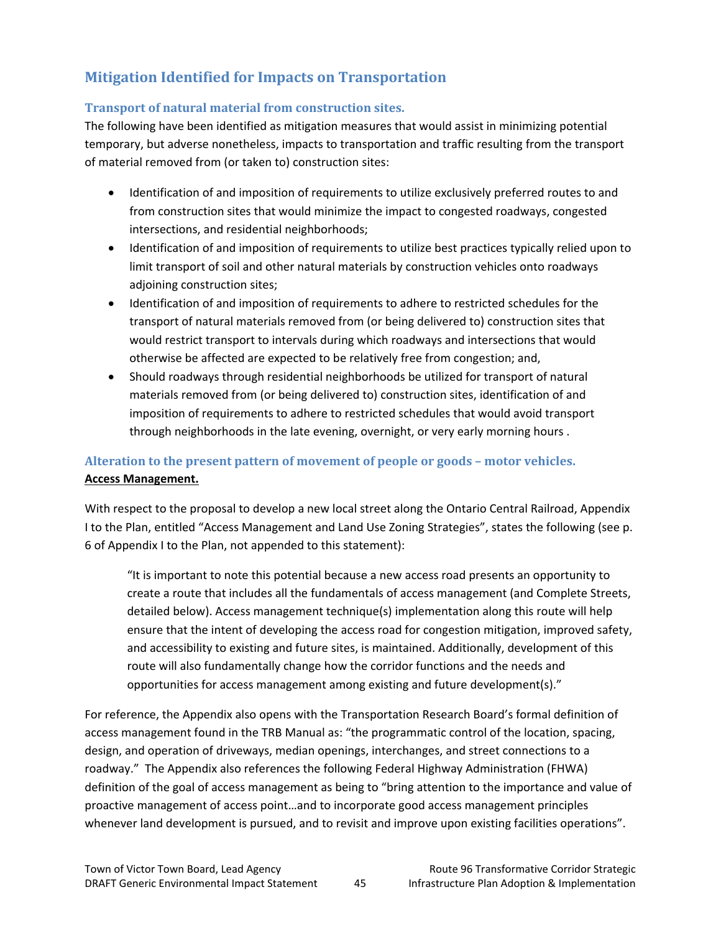# **Mitigation Identified for Impacts on Transportation**

#### **Transport of natural material from construction sites.**

The following have been identified as mitigation measures that would assist in minimizing potential temporary, but adverse nonetheless, impacts to transportation and traffic resulting from the transport of material removed from (or taken to) construction sites:

- Identification of and imposition of requirements to utilize exclusively preferred routes to and from construction sites that would minimize the impact to congested roadways, congested intersections, and residential neighborhoods;
- Identification of and imposition of requirements to utilize best practices typically relied upon to limit transport of soil and other natural materials by construction vehicles onto roadways adjoining construction sites;
- Identification of and imposition of requirements to adhere to restricted schedules for the transport of natural materials removed from (or being delivered to) construction sites that would restrict transport to intervals during which roadways and intersections that would otherwise be affected are expected to be relatively free from congestion; and,
- Should roadways through residential neighborhoods be utilized for transport of natural materials removed from (or being delivered to) construction sites, identification of and imposition of requirements to adhere to restricted schedules that would avoid transport through neighborhoods in the late evening, overnight, or very early morning hours .

### **Alteration to the present pattern of movement of people or goods – motor vehicles. Access Management.**

With respect to the proposal to develop a new local street along the Ontario Central Railroad, Appendix I to the Plan, entitled "Access Management and Land Use Zoning Strategies", states the following (see p. 6 of Appendix I to the Plan, not appended to this statement):

"It is important to note this potential because a new access road presents an opportunity to create a route that includes all the fundamentals of access management (and Complete Streets, detailed below). Access management technique(s) implementation along this route will help ensure that the intent of developing the access road for congestion mitigation, improved safety, and accessibility to existing and future sites, is maintained. Additionally, development of this route will also fundamentally change how the corridor functions and the needs and opportunities for access management among existing and future development(s)."

For reference, the Appendix also opens with the Transportation Research Board's formal definition of access management found in the TRB Manual as: "the programmatic control of the location, spacing, design, and operation of driveways, median openings, interchanges, and street connections to a roadway." The Appendix also references the following Federal Highway Administration (FHWA) definition of the goal of access management as being to "bring attention to the importance and value of proactive management of access point…and to incorporate good access management principles whenever land development is pursued, and to revisit and improve upon existing facilities operations".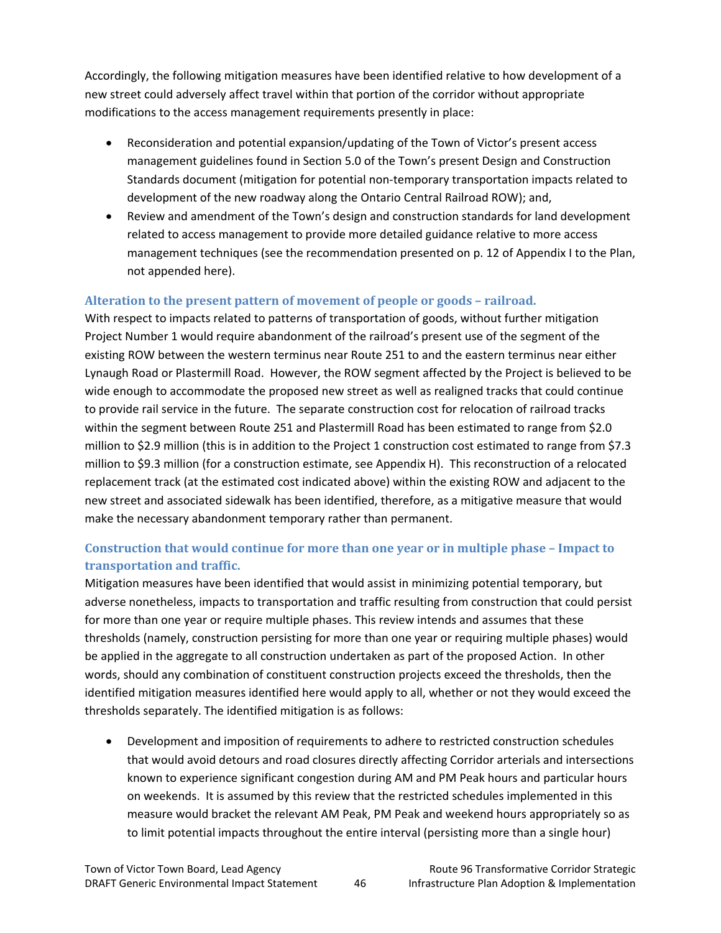Accordingly, the following mitigation measures have been identified relative to how development of a new street could adversely affect travel within that portion of the corridor without appropriate modifications to the access management requirements presently in place:

- Reconsideration and potential expansion/updating of the Town of Victor's present access management guidelines found in Section 5.0 of the Town's present Design and Construction Standards document (mitigation for potential non‐temporary transportation impacts related to development of the new roadway along the Ontario Central Railroad ROW); and,
- Review and amendment of the Town's design and construction standards for land development related to access management to provide more detailed guidance relative to more access management techniques (see the recommendation presented on p. 12 of Appendix I to the Plan, not appended here).

#### **Alteration to the present pattern of movement of people or goods – railroad.**

With respect to impacts related to patterns of transportation of goods, without further mitigation Project Number 1 would require abandonment of the railroad's present use of the segment of the existing ROW between the western terminus near Route 251 to and the eastern terminus near either Lynaugh Road or Plastermill Road. However, the ROW segment affected by the Project is believed to be wide enough to accommodate the proposed new street as well as realigned tracks that could continue to provide rail service in the future. The separate construction cost for relocation of railroad tracks within the segment between Route 251 and Plastermill Road has been estimated to range from \$2.0 million to \$2.9 million (this is in addition to the Project 1 construction cost estimated to range from \$7.3 million to \$9.3 million (for a construction estimate, see Appendix H). This reconstruction of a relocated replacement track (at the estimated cost indicated above) within the existing ROW and adjacent to the new street and associated sidewalk has been identified, therefore, as a mitigative measure that would make the necessary abandonment temporary rather than permanent.

### **Construction that would continue for more than one year or in multiple phase – Impact to transportation and traffic.**

Mitigation measures have been identified that would assist in minimizing potential temporary, but adverse nonetheless, impacts to transportation and traffic resulting from construction that could persist for more than one year or require multiple phases. This review intends and assumes that these thresholds (namely, construction persisting for more than one year or requiring multiple phases) would be applied in the aggregate to all construction undertaken as part of the proposed Action. In other words, should any combination of constituent construction projects exceed the thresholds, then the identified mitigation measures identified here would apply to all, whether or not they would exceed the thresholds separately. The identified mitigation is as follows:

• Development and imposition of requirements to adhere to restricted construction schedules that would avoid detours and road closures directly affecting Corridor arterials and intersections known to experience significant congestion during AM and PM Peak hours and particular hours on weekends. It is assumed by this review that the restricted schedules implemented in this measure would bracket the relevant AM Peak, PM Peak and weekend hours appropriately so as to limit potential impacts throughout the entire interval (persisting more than a single hour)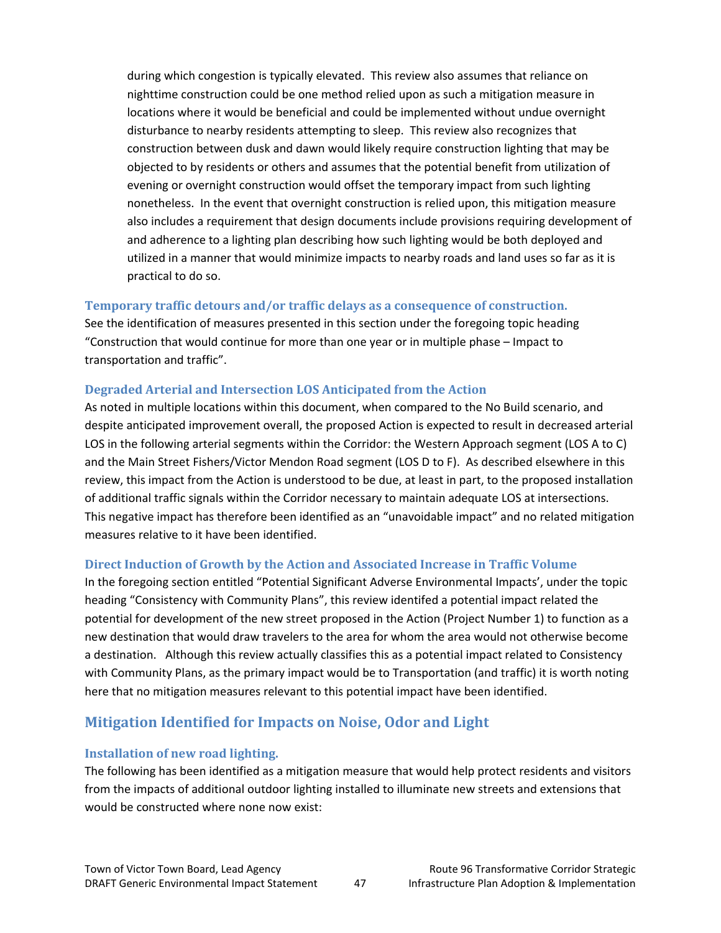during which congestion is typically elevated. This review also assumes that reliance on nighttime construction could be one method relied upon as such a mitigation measure in locations where it would be beneficial and could be implemented without undue overnight disturbance to nearby residents attempting to sleep. This review also recognizes that construction between dusk and dawn would likely require construction lighting that may be objected to by residents or others and assumes that the potential benefit from utilization of evening or overnight construction would offset the temporary impact from such lighting nonetheless. In the event that overnight construction is relied upon, this mitigation measure also includes a requirement that design documents include provisions requiring development of and adherence to a lighting plan describing how such lighting would be both deployed and utilized in a manner that would minimize impacts to nearby roads and land uses so far as it is practical to do so.

#### **Temporary traffic detours and/or traffic delays as a consequence of construction.**

See the identification of measures presented in this section under the foregoing topic heading "Construction that would continue for more than one year or in multiple phase – Impact to transportation and traffic".

#### **Degraded Arterial and Intersection LOS Anticipated from the Action**

As noted in multiple locations within this document, when compared to the No Build scenario, and despite anticipated improvement overall, the proposed Action is expected to result in decreased arterial LOS in the following arterial segments within the Corridor: the Western Approach segment (LOS A to C) and the Main Street Fishers/Victor Mendon Road segment (LOS D to F). As described elsewhere in this review, this impact from the Action is understood to be due, at least in part, to the proposed installation of additional traffic signals within the Corridor necessary to maintain adequate LOS at intersections. This negative impact has therefore been identified as an "unavoidable impact" and no related mitigation measures relative to it have been identified.

#### **Direct Induction of Growth by the Action and Associated Increase in Traffic Volume**

In the foregoing section entitled "Potential Significant Adverse Environmental Impacts', under the topic heading "Consistency with Community Plans", this review identifed a potential impact related the potential for development of the new street proposed in the Action (Project Number 1) to function as a new destination that would draw travelers to the area for whom the area would not otherwise become a destination. Although this review actually classifies this as a potential impact related to Consistency with Community Plans, as the primary impact would be to Transportation (and traffic) it is worth noting here that no mitigation measures relevant to this potential impact have been identified.

### **Mitigation Identified for Impacts on Noise, Odor and Light**

#### **Installation of new road lighting.**

The following has been identified as a mitigation measure that would help protect residents and visitors from the impacts of additional outdoor lighting installed to illuminate new streets and extensions that would be constructed where none now exist: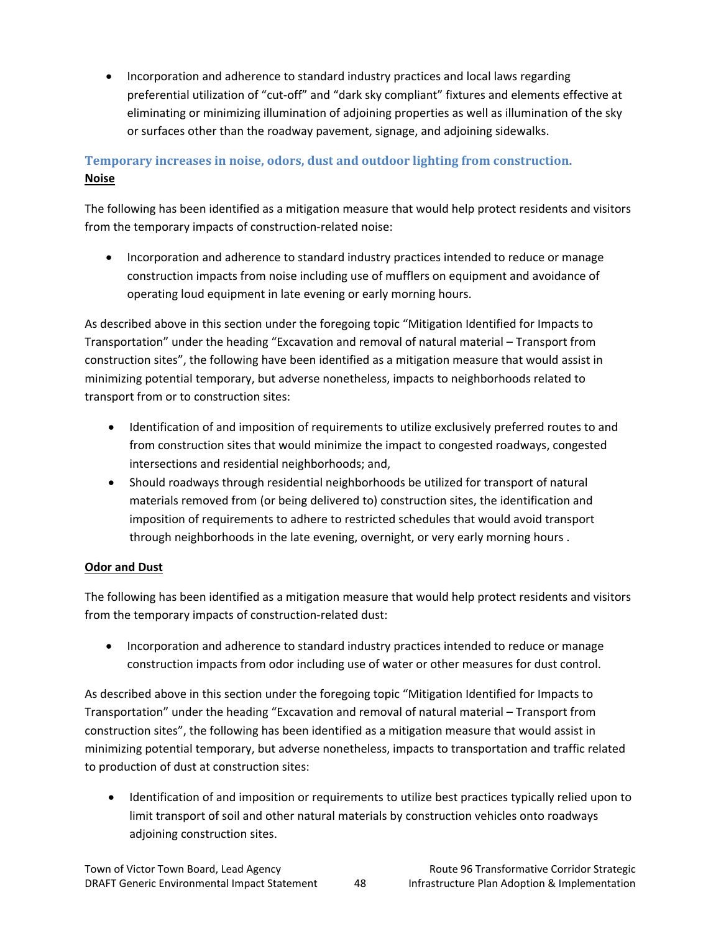• Incorporation and adherence to standard industry practices and local laws regarding preferential utilization of "cut-off" and "dark sky compliant" fixtures and elements effective at eliminating or minimizing illumination of adjoining properties as well as illumination of the sky or surfaces other than the roadway pavement, signage, and adjoining sidewalks.

### **Temporary increases in noise, odors, dust and outdoor lighting from construction. Noise**

The following has been identified as a mitigation measure that would help protect residents and visitors from the temporary impacts of construction-related noise:

• Incorporation and adherence to standard industry practices intended to reduce or manage construction impacts from noise including use of mufflers on equipment and avoidance of operating loud equipment in late evening or early morning hours.

As described above in this section under the foregoing topic "Mitigation Identified for Impacts to Transportation" under the heading "Excavation and removal of natural material – Transport from construction sites", the following have been identified as a mitigation measure that would assist in minimizing potential temporary, but adverse nonetheless, impacts to neighborhoods related to transport from or to construction sites:

- Identification of and imposition of requirements to utilize exclusively preferred routes to and from construction sites that would minimize the impact to congested roadways, congested intersections and residential neighborhoods; and,
- Should roadways through residential neighborhoods be utilized for transport of natural materials removed from (or being delivered to) construction sites, the identification and imposition of requirements to adhere to restricted schedules that would avoid transport through neighborhoods in the late evening, overnight, or very early morning hours .

#### **Odor and Dust**

The following has been identified as a mitigation measure that would help protect residents and visitors from the temporary impacts of construction-related dust:

• Incorporation and adherence to standard industry practices intended to reduce or manage construction impacts from odor including use of water or other measures for dust control.

As described above in this section under the foregoing topic "Mitigation Identified for Impacts to Transportation" under the heading "Excavation and removal of natural material – Transport from construction sites", the following has been identified as a mitigation measure that would assist in minimizing potential temporary, but adverse nonetheless, impacts to transportation and traffic related to production of dust at construction sites:

• Identification of and imposition or requirements to utilize best practices typically relied upon to limit transport of soil and other natural materials by construction vehicles onto roadways adjoining construction sites.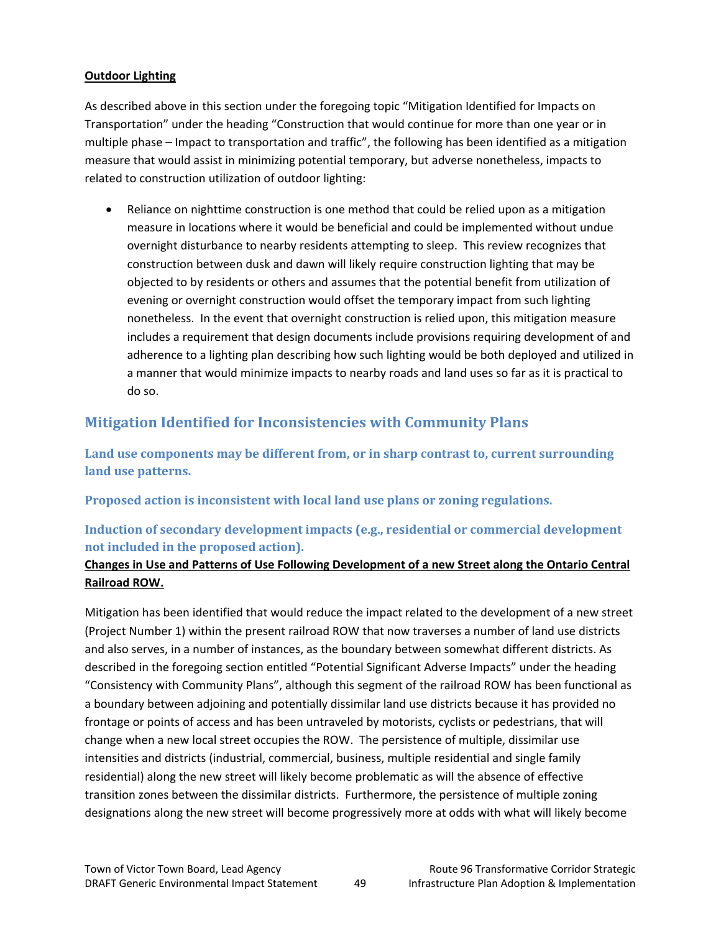#### **Outdoor Lighting**

As described above in this section under the foregoing topic "Mitigation Identified for Impacts on Transportation" under the heading "Construction that would continue for more than one year or in multiple phase – Impact to transportation and traffic", the following has been identified as a mitigation measure that would assist in minimizing potential temporary, but adverse nonetheless, impacts to related to construction utilization of outdoor lighting:

• Reliance on nighttime construction is one method that could be relied upon as a mitigation measure in locations where it would be beneficial and could be implemented without undue overnight disturbance to nearby residents attempting to sleep. This review recognizes that construction between dusk and dawn will likely require construction lighting that may be objected to by residents or others and assumes that the potential benefit from utilization of evening or overnight construction would offset the temporary impact from such lighting nonetheless. In the event that overnight construction is relied upon, this mitigation measure includes a requirement that design documents include provisions requiring development of and adherence to a lighting plan describing how such lighting would be both deployed and utilized in a manner that would minimize impacts to nearby roads and land uses so far as it is practical to do so.

### **Mitigation Identified for Inconsistencies with Community Plans**

**Land use components may be different from, or in sharp contrast to, current surrounding land use patterns.**

**Proposed action is inconsistent with local land use plans or zoning regulations.**

### **Induction of secondary development impacts (e.g., residential or commercial development not included in the proposed action).**

#### **Changes in Use and Patterns of Use Following Development of a new Street along the Ontario Central Railroad ROW.**

Mitigation has been identified that would reduce the impact related to the development of a new street (Project Number 1) within the present railroad ROW that now traverses a number of land use districts and also serves, in a number of instances, as the boundary between somewhat different districts. As described in the foregoing section entitled "Potential Significant Adverse Impacts" under the heading "Consistency with Community Plans", although this segment of the railroad ROW has been functional as a boundary between adjoining and potentially dissimilar land use districts because it has provided no frontage or points of access and has been untraveled by motorists, cyclists or pedestrians, that will change when a new local street occupies the ROW. The persistence of multiple, dissimilar use intensities and districts (industrial, commercial, business, multiple residential and single family residential) along the new street will likely become problematic as will the absence of effective transition zones between the dissimilar districts. Furthermore, the persistence of multiple zoning designations along the new street will become progressively more at odds with what will likely become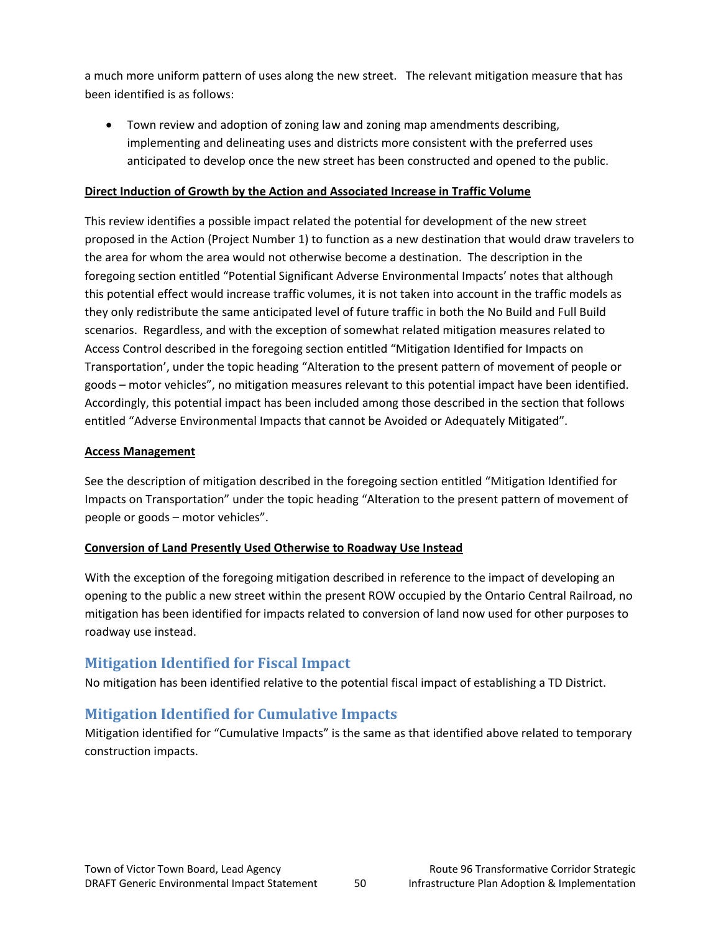a much more uniform pattern of uses along the new street. The relevant mitigation measure that has been identified is as follows:

• Town review and adoption of zoning law and zoning map amendments describing, implementing and delineating uses and districts more consistent with the preferred uses anticipated to develop once the new street has been constructed and opened to the public.

#### **Direct Induction of Growth by the Action and Associated Increase in Traffic Volume**

This review identifies a possible impact related the potential for development of the new street proposed in the Action (Project Number 1) to function as a new destination that would draw travelers to the area for whom the area would not otherwise become a destination. The description in the foregoing section entitled "Potential Significant Adverse Environmental Impacts' notes that although this potential effect would increase traffic volumes, it is not taken into account in the traffic models as they only redistribute the same anticipated level of future traffic in both the No Build and Full Build scenarios. Regardless, and with the exception of somewhat related mitigation measures related to Access Control described in the foregoing section entitled "Mitigation Identified for Impacts on Transportation', under the topic heading "Alteration to the present pattern of movement of people or goods – motor vehicles", no mitigation measures relevant to this potential impact have been identified. Accordingly, this potential impact has been included among those described in the section that follows entitled "Adverse Environmental Impacts that cannot be Avoided or Adequately Mitigated".

#### **Access Management**

See the description of mitigation described in the foregoing section entitled "Mitigation Identified for Impacts on Transportation" under the topic heading "Alteration to the present pattern of movement of people or goods – motor vehicles".

#### **Conversion of Land Presently Used Otherwise to Roadway Use Instead**

With the exception of the foregoing mitigation described in reference to the impact of developing an opening to the public a new street within the present ROW occupied by the Ontario Central Railroad, no mitigation has been identified for impacts related to conversion of land now used for other purposes to roadway use instead.

#### **Mitigation Identified for Fiscal Impact**

No mitigation has been identified relative to the potential fiscal impact of establishing a TD District.

### **Mitigation Identified for Cumulative Impacts**

Mitigation identified for "Cumulative Impacts" is the same as that identified above related to temporary construction impacts.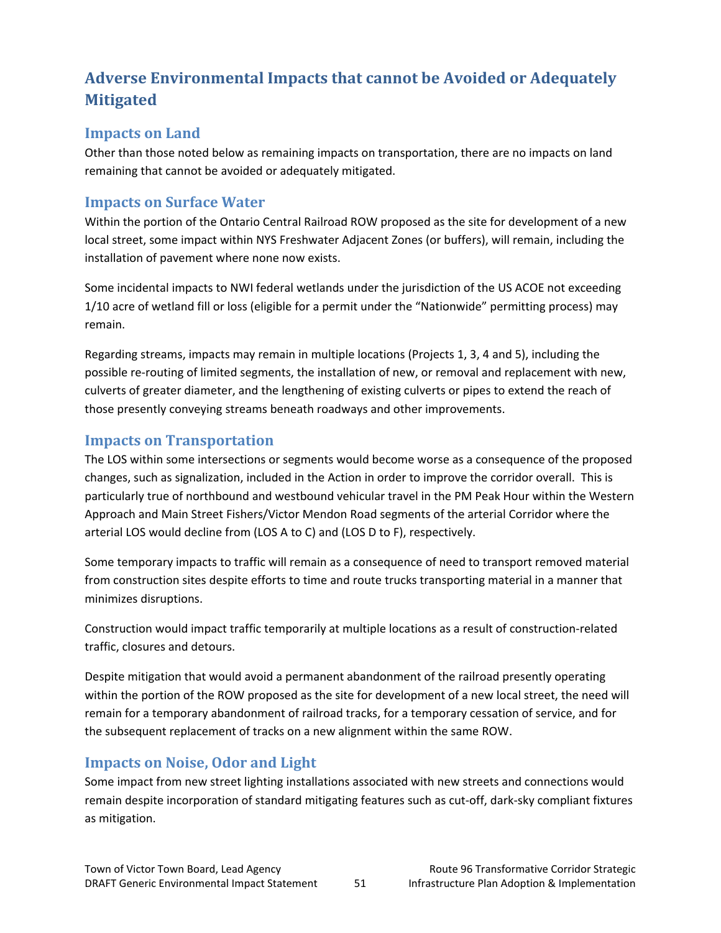# **Adverse Environmental Impacts that cannot be Avoided or Adequately Mitigated**

### **Impacts on Land**

Other than those noted below as remaining impacts on transportation, there are no impacts on land remaining that cannot be avoided or adequately mitigated.

### **Impacts on Surface Water**

Within the portion of the Ontario Central Railroad ROW proposed as the site for development of a new local street, some impact within NYS Freshwater Adjacent Zones (or buffers), will remain, including the installation of pavement where none now exists.

Some incidental impacts to NWI federal wetlands under the jurisdiction of the US ACOE not exceeding 1/10 acre of wetland fill or loss (eligible for a permit under the "Nationwide" permitting process) may remain.

Regarding streams, impacts may remain in multiple locations (Projects 1, 3, 4 and 5), including the possible re-routing of limited segments, the installation of new, or removal and replacement with new, culverts of greater diameter, and the lengthening of existing culverts or pipes to extend the reach of those presently conveying streams beneath roadways and other improvements.

### **Impacts on Transportation**

The LOS within some intersections or segments would become worse as a consequence of the proposed changes, such as signalization, included in the Action in order to improve the corridor overall. This is particularly true of northbound and westbound vehicular travel in the PM Peak Hour within the Western Approach and Main Street Fishers/Victor Mendon Road segments of the arterial Corridor where the arterial LOS would decline from (LOS A to C) and (LOS D to F), respectively.

Some temporary impacts to traffic will remain as a consequence of need to transport removed material from construction sites despite efforts to time and route trucks transporting material in a manner that minimizes disruptions.

Construction would impact traffic temporarily at multiple locations as a result of construction‐related traffic, closures and detours.

Despite mitigation that would avoid a permanent abandonment of the railroad presently operating within the portion of the ROW proposed as the site for development of a new local street, the need will remain for a temporary abandonment of railroad tracks, for a temporary cessation of service, and for the subsequent replacement of tracks on a new alignment within the same ROW.

### **Impacts on Noise, Odor and Light**

Some impact from new street lighting installations associated with new streets and connections would remain despite incorporation of standard mitigating features such as cut‐off, dark‐sky compliant fixtures as mitigation.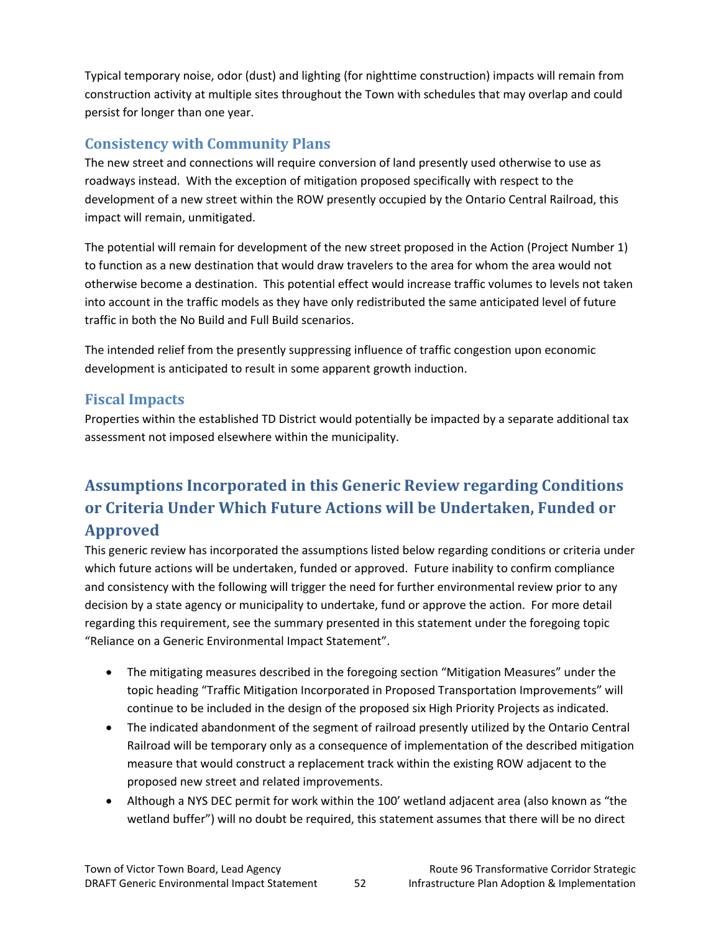Typical temporary noise, odor (dust) and lighting (for nighttime construction) impacts will remain from construction activity at multiple sites throughout the Town with schedules that may overlap and could persist for longer than one year.

# **Consistency with Community Plans**

The new street and connections will require conversion of land presently used otherwise to use as roadways instead. With the exception of mitigation proposed specifically with respect to the development of a new street within the ROW presently occupied by the Ontario Central Railroad, this impact will remain, unmitigated.

The potential will remain for development of the new street proposed in the Action (Project Number 1) to function as a new destination that would draw travelers to the area for whom the area would not otherwise become a destination. This potential effect would increase traffic volumes to levels not taken into account in the traffic models as they have only redistributed the same anticipated level of future traffic in both the No Build and Full Build scenarios.

The intended relief from the presently suppressing influence of traffic congestion upon economic development is anticipated to result in some apparent growth induction.

### **Fiscal Impacts**

Properties within the established TD District would potentially be impacted by a separate additional tax assessment not imposed elsewhere within the municipality.

# **Assumptions Incorporated in this Generic Review regarding Conditions or Criteria Under Which Future Actions will be Undertaken, Funded or Approved**

This generic review has incorporated the assumptions listed below regarding conditions or criteria under which future actions will be undertaken, funded or approved. Future inability to confirm compliance and consistency with the following will trigger the need for further environmental review prior to any decision by a state agency or municipality to undertake, fund or approve the action. For more detail regarding this requirement, see the summary presented in this statement under the foregoing topic "Reliance on a Generic Environmental Impact Statement".

- The mitigating measures described in the foregoing section "Mitigation Measures" under the topic heading "Traffic Mitigation Incorporated in Proposed Transportation Improvements" will continue to be included in the design of the proposed six High Priority Projects as indicated.
- The indicated abandonment of the segment of railroad presently utilized by the Ontario Central Railroad will be temporary only as a consequence of implementation of the described mitigation measure that would construct a replacement track within the existing ROW adjacent to the proposed new street and related improvements.
- Although a NYS DEC permit for work within the 100' wetland adjacent area (also known as "the wetland buffer") will no doubt be required, this statement assumes that there will be no direct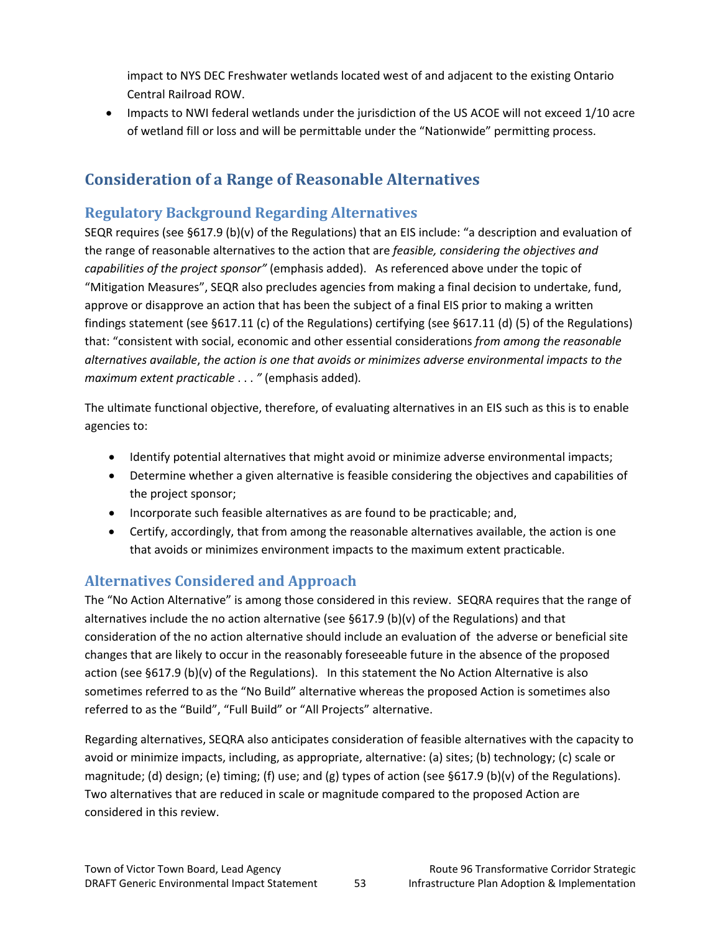impact to NYS DEC Freshwater wetlands located west of and adjacent to the existing Ontario Central Railroad ROW.

• Impacts to NWI federal wetlands under the jurisdiction of the US ACOE will not exceed 1/10 acre of wetland fill or loss and will be permittable under the "Nationwide" permitting process.

# **Consideration of a Range of Reasonable Alternatives**

# **Regulatory Background Regarding Alternatives**

SEQR requires (see §617.9 (b)(v) of the Regulations) that an EIS include: "a description and evaluation of the range of reasonable alternatives to the action that are *feasible, considering the objectives and capabilities of the project sponsor"* (emphasis added). As referenced above under the topic of "Mitigation Measures", SEQR also precludes agencies from making a final decision to undertake, fund, approve or disapprove an action that has been the subject of a final EIS prior to making a written findings statement (see §617.11 (c) of the Regulations) certifying (see §617.11 (d) (5) of the Regulations) that: "consistent with social, economic and other essential considerations *from among the reasonable alternatives available*, *the action is one that avoids or minimizes adverse environmental impacts to the maximum extent practicable* . . . *"* (emphasis added)*.*

The ultimate functional objective, therefore, of evaluating alternatives in an EIS such as this is to enable agencies to:

- Identify potential alternatives that might avoid or minimize adverse environmental impacts;
- Determine whether a given alternative is feasible considering the objectives and capabilities of the project sponsor;
- Incorporate such feasible alternatives as are found to be practicable; and,
- Certify, accordingly, that from among the reasonable alternatives available, the action is one that avoids or minimizes environment impacts to the maximum extent practicable.

### **Alternatives Considered and Approach**

The "No Action Alternative" is among those considered in this review. SEQRA requires that the range of alternatives include the no action alternative (see  $\S617.9$  (b)(v) of the Regulations) and that consideration of the no action alternative should include an evaluation of the adverse or beneficial site changes that are likely to occur in the reasonably foreseeable future in the absence of the proposed action (see §617.9 (b)(v) of the Regulations). In this statement the No Action Alternative is also sometimes referred to as the "No Build" alternative whereas the proposed Action is sometimes also referred to as the "Build", "Full Build" or "All Projects" alternative.

Regarding alternatives, SEQRA also anticipates consideration of feasible alternatives with the capacity to avoid or minimize impacts, including, as appropriate, alternative: (a) sites; (b) technology; (c) scale or magnitude; (d) design; (e) timing; (f) use; and (g) types of action (see §617.9 (b)(v) of the Regulations). Two alternatives that are reduced in scale or magnitude compared to the proposed Action are considered in this review.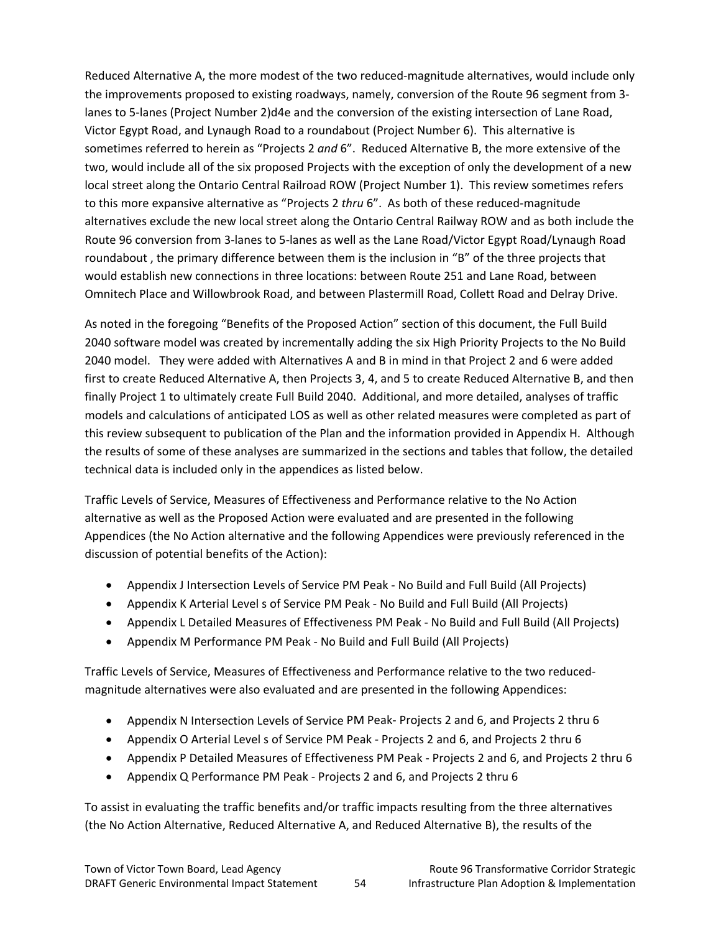Reduced Alternative A, the more modest of the two reduced-magnitude alternatives, would include only the improvements proposed to existing roadways, namely, conversion of the Route 96 segment from 3‐ lanes to 5‐lanes (Project Number 2)d4e and the conversion of the existing intersection of Lane Road, Victor Egypt Road, and Lynaugh Road to a roundabout (Project Number 6). This alternative is sometimes referred to herein as "Projects 2 *and* 6". Reduced Alternative B, the more extensive of the two, would include all of the six proposed Projects with the exception of only the development of a new local street along the Ontario Central Railroad ROW (Project Number 1). This review sometimes refers to this more expansive alternative as "Projects 2 *thru* 6". As both of these reduced-magnitude alternatives exclude the new local street along the Ontario Central Railway ROW and as both include the Route 96 conversion from 3‐lanes to 5‐lanes as well as the Lane Road/Victor Egypt Road/Lynaugh Road roundabout , the primary difference between them is the inclusion in "B" of the three projects that would establish new connections in three locations: between Route 251 and Lane Road, between Omnitech Place and Willowbrook Road, and between Plastermill Road, Collett Road and Delray Drive.

As noted in the foregoing "Benefits of the Proposed Action" section of this document, the Full Build 2040 software model was created by incrementally adding the six High Priority Projects to the No Build 2040 model. They were added with Alternatives A and B in mind in that Project 2 and 6 were added first to create Reduced Alternative A, then Projects 3, 4, and 5 to create Reduced Alternative B, and then finally Project 1 to ultimately create Full Build 2040. Additional, and more detailed, analyses of traffic models and calculations of anticipated LOS as well as other related measures were completed as part of this review subsequent to publication of the Plan and the information provided in Appendix H. Although the results of some of these analyses are summarized in the sections and tables that follow, the detailed technical data is included only in the appendices as listed below.

Traffic Levels of Service, Measures of Effectiveness and Performance relative to the No Action alternative as well as the Proposed Action were evaluated and are presented in the following Appendices (the No Action alternative and the following Appendices were previously referenced in the discussion of potential benefits of the Action):

- Appendix J Intersection Levels of Service PM Peak ‐ No Build and Full Build (All Projects)
- Appendix K Arterial Level s of Service PM Peak ‐ No Build and Full Build (All Projects)
- Appendix L Detailed Measures of Effectiveness PM Peak ‐ No Build and Full Build (All Projects)
- Appendix M Performance PM Peak ‐ No Build and Full Build (All Projects)

Traffic Levels of Service, Measures of Effectiveness and Performance relative to the two reduced‐ magnitude alternatives were also evaluated and are presented in the following Appendices:

- Appendix N Intersection Levels of Service PM Peak‐ Projects 2 and 6, and Projects 2 thru 6
- Appendix O Arterial Level s of Service PM Peak Projects 2 and 6, and Projects 2 thru 6
- Appendix P Detailed Measures of Effectiveness PM Peak Projects 2 and 6, and Projects 2 thru 6
- Appendix Q Performance PM Peak ‐ Projects 2 and 6, and Projects 2 thru 6

To assist in evaluating the traffic benefits and/or traffic impacts resulting from the three alternatives (the No Action Alternative, Reduced Alternative A, and Reduced Alternative B), the results of the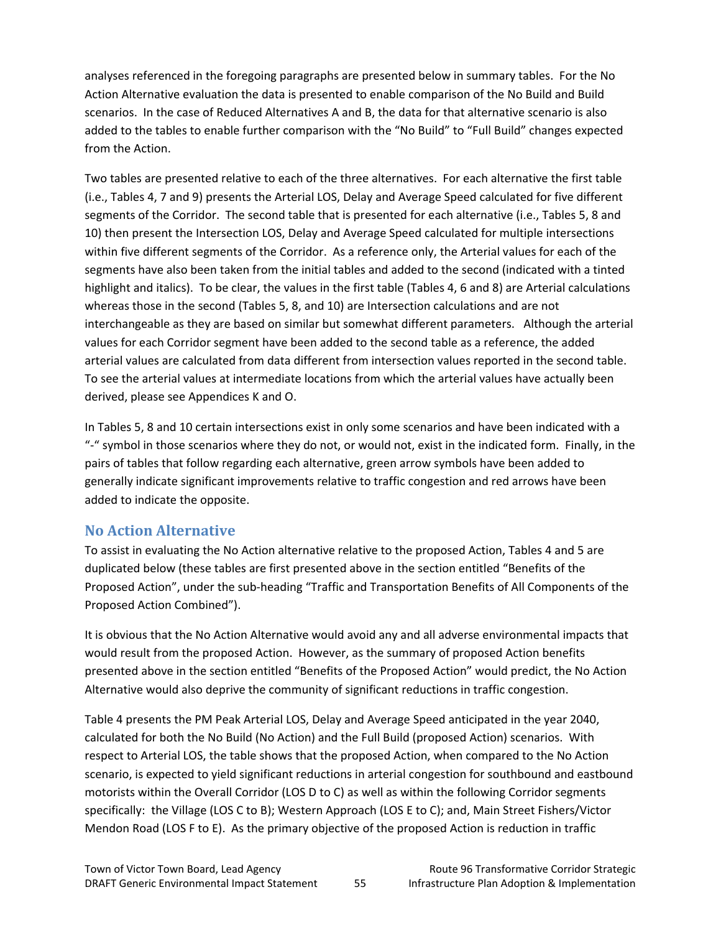analyses referenced in the foregoing paragraphs are presented below in summary tables. For the No Action Alternative evaluation the data is presented to enable comparison of the No Build and Build scenarios. In the case of Reduced Alternatives A and B, the data for that alternative scenario is also added to the tables to enable further comparison with the "No Build" to "Full Build" changes expected from the Action.

Two tables are presented relative to each of the three alternatives. For each alternative the first table (i.e., Tables 4, 7 and 9) presents the Arterial LOS, Delay and Average Speed calculated for five different segments of the Corridor. The second table that is presented for each alternative (i.e., Tables 5, 8 and 10) then present the Intersection LOS, Delay and Average Speed calculated for multiple intersections within five different segments of the Corridor. As a reference only, the Arterial values for each of the segments have also been taken from the initial tables and added to the second (indicated with a tinted highlight and italics). To be clear, the values in the first table (Tables 4, 6 and 8) are Arterial calculations whereas those in the second (Tables 5, 8, and 10) are Intersection calculations and are not interchangeable as they are based on similar but somewhat different parameters. Although the arterial values for each Corridor segment have been added to the second table as a reference, the added arterial values are calculated from data different from intersection values reported in the second table. To see the arterial values at intermediate locations from which the arterial values have actually been derived, please see Appendices K and O.

In Tables 5, 8 and 10 certain intersections exist in only some scenarios and have been indicated with a "‐" symbol in those scenarios where they do not, or would not, exist in the indicated form. Finally, in the pairs of tables that follow regarding each alternative, green arrow symbols have been added to generally indicate significant improvements relative to traffic congestion and red arrows have been added to indicate the opposite.

### **No Action Alternative**

To assist in evaluating the No Action alternative relative to the proposed Action, Tables 4 and 5 are duplicated below (these tables are first presented above in the section entitled "Benefits of the Proposed Action", under the sub‐heading "Traffic and Transportation Benefits of All Components of the Proposed Action Combined").

It is obvious that the No Action Alternative would avoid any and all adverse environmental impacts that would result from the proposed Action. However, as the summary of proposed Action benefits presented above in the section entitled "Benefits of the Proposed Action" would predict, the No Action Alternative would also deprive the community of significant reductions in traffic congestion.

Table 4 presents the PM Peak Arterial LOS, Delay and Average Speed anticipated in the year 2040, calculated for both the No Build (No Action) and the Full Build (proposed Action) scenarios. With respect to Arterial LOS, the table shows that the proposed Action, when compared to the No Action scenario, is expected to yield significant reductions in arterial congestion for southbound and eastbound motorists within the Overall Corridor (LOS D to C) as well as within the following Corridor segments specifically: the Village (LOS C to B); Western Approach (LOS E to C); and, Main Street Fishers/Victor Mendon Road (LOS F to E). As the primary objective of the proposed Action is reduction in traffic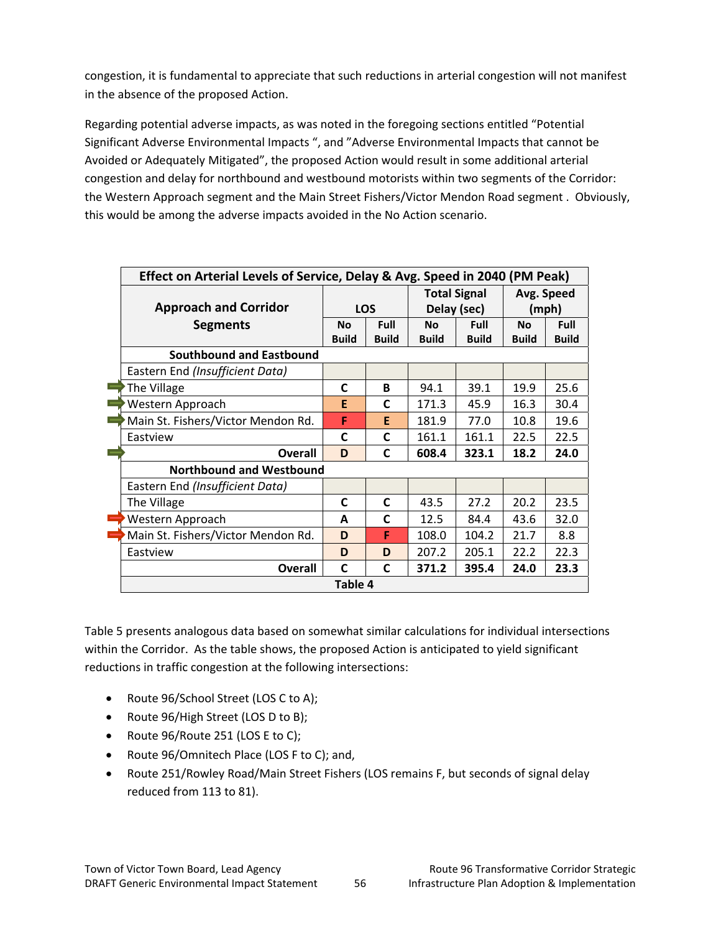congestion, it is fundamental to appreciate that such reductions in arterial congestion will not manifest in the absence of the proposed Action.

Regarding potential adverse impacts, as was noted in the foregoing sections entitled "Potential Significant Adverse Environmental Impacts ", and "Adverse Environmental Impacts that cannot be Avoided or Adequately Mitigated", the proposed Action would result in some additional arterial congestion and delay for northbound and westbound motorists within two segments of the Corridor: the Western Approach segment and the Main Street Fishers/Victor Mendon Road segment . Obviously, this would be among the adverse impacts avoided in the No Action scenario.

| Effect on Arterial Levels of Service, Delay & Avg. Speed in 2040 (PM Peak) |              |              |              |                     |              |              |
|----------------------------------------------------------------------------|--------------|--------------|--------------|---------------------|--------------|--------------|
|                                                                            |              |              |              | <b>Total Signal</b> | Avg. Speed   |              |
| <b>Approach and Corridor</b>                                               |              | <b>LOS</b>   |              | Delay (sec)         |              | (mph)        |
| <b>Segments</b>                                                            | <b>No</b>    | Full         | <b>No</b>    | Full                | <b>No</b>    | Full         |
|                                                                            | <b>Build</b> | <b>Build</b> | <b>Build</b> | <b>Build</b>        | <b>Build</b> | <b>Build</b> |
| Southbound and Eastbound                                                   |              |              |              |                     |              |              |
| Eastern End (Insufficient Data)                                            |              |              |              |                     |              |              |
| The Village                                                                | C            | B            | 94.1         | 39.1                | 19.9         | 25.6         |
| Western Approach                                                           | E            | C            | 171.3        | 45.9                | 16.3         | 30.4         |
| Main St. Fishers/Victor Mendon Rd.                                         | F            | E            | 181.9        | 77.0                | 10.8         | 19.6         |
| Eastview                                                                   | $\mathsf{C}$ | C            | 161.1        | 161.1               | 22.5         | 22.5         |
| <b>Overall</b>                                                             | D            | C            | 608.4        | 323.1               | 18.2         | 24.0         |
| <b>Northbound and Westbound</b>                                            |              |              |              |                     |              |              |
| Eastern End (Insufficient Data)                                            |              |              |              |                     |              |              |
| The Village                                                                | $\mathbf C$  | C            | 43.5         | 27.2                | 20.2         | 23.5         |
| Western Approach                                                           | A            | C            | 12.5         | 84.4                | 43.6         | 32.0         |
| Main St. Fishers/Victor Mendon Rd.                                         | D            | F            | 108.0        | 104.2               | 21.7         | 8.8          |
| Eastview                                                                   | D            | D            | 207.2        | 205.1               | 22.2         | 22.3         |
| <b>Overall</b>                                                             | C            | C            | 371.2        | 395.4               | 24.0         | 23.3         |
|                                                                            | Table 4      |              |              |                     |              |              |

Table 5 presents analogous data based on somewhat similar calculations for individual intersections within the Corridor. As the table shows, the proposed Action is anticipated to yield significant reductions in traffic congestion at the following intersections:

- Route 96/School Street (LOS C to A);
- Route 96/High Street (LOS D to B);
- Route 96/Route 251 (LOS E to C);
- Route 96/Omnitech Place (LOS F to C); and,
- Route 251/Rowley Road/Main Street Fishers (LOS remains F, but seconds of signal delay reduced from 113 to 81).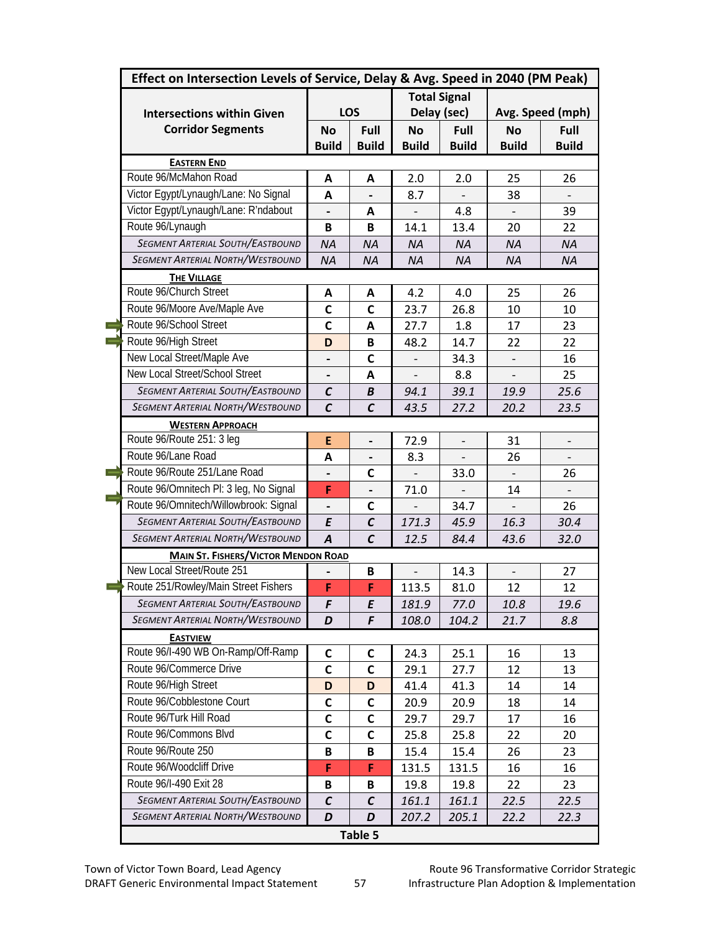| Effect on Intersection Levels of Service, Delay & Avg. Speed in 2040 (PM Peak) |                          |                |                          |                          |              |                          |
|--------------------------------------------------------------------------------|--------------------------|----------------|--------------------------|--------------------------|--------------|--------------------------|
|                                                                                |                          |                |                          | <b>Total Signal</b>      |              |                          |
| <b>Intersections within Given</b>                                              |                          | LOS            |                          | Delay (sec)              |              | Avg. Speed (mph)         |
| <b>Corridor Segments</b>                                                       | <b>No</b>                | Full           | <b>No</b>                | Full                     | <b>No</b>    | Full                     |
|                                                                                | <b>Build</b>             | <b>Build</b>   | <b>Build</b>             | <b>Build</b>             | <b>Build</b> | <b>Build</b>             |
| <b>EASTERN END</b>                                                             |                          |                |                          |                          |              |                          |
| Route 96/McMahon Road                                                          | A                        | A              | 2.0                      | 2.0                      | 25           | 26                       |
| Victor Egypt/Lynaugh/Lane: No Signal                                           | A                        |                | 8.7                      |                          | 38           |                          |
| Victor Egypt/Lynaugh/Lane: R'ndabout                                           | $\overline{\phantom{0}}$ | A              | $\overline{\phantom{0}}$ | 4.8                      |              | 39                       |
| Route 96/Lynaugh                                                               | B                        | B              | 14.1                     | 13.4                     | 20           | 22                       |
| <b>SEGMENT ARTERIAL SOUTH/EASTBOUND</b>                                        | <b>NA</b>                | <b>NA</b>      | <b>NA</b>                | <b>NA</b>                | <b>NA</b>    | <b>NA</b>                |
| <b>SEGMENT ARTERIAL NORTH/WESTBOUND</b>                                        | <b>NA</b>                | <b>NA</b>      | <b>NA</b>                | <b>NA</b>                | <b>NA</b>    | <b>NA</b>                |
| <b>THE VILLAGE</b>                                                             |                          |                |                          |                          |              |                          |
| Route 96/Church Street                                                         | A                        | A              | 4.2                      | 4.0                      | 25           | 26                       |
| Route 96/Moore Ave/Maple Ave                                                   | $\mathsf{C}$             | C              | 23.7                     | 26.8                     | 10           | 10                       |
| Route 96/School Street                                                         | $\mathsf{C}$             | A              | 27.7                     | 1.8                      | 17           | 23                       |
| Route 96/High Street                                                           | D                        | B              | 48.2                     | 14.7                     | 22           | 22                       |
| New Local Street/Maple Ave                                                     |                          | C              |                          | 34.3                     |              | 16                       |
| New Local Street/School Street                                                 |                          | А              |                          | 8.8                      |              | 25                       |
| SEGMENT ARTERIAL SOUTH/EASTBOUND                                               | $\mathcal{C}$            | B              | 94.1                     | 39.1                     | 19.9         | 25.6                     |
| <b>SEGMENT ARTERIAL NORTH/WESTBOUND</b>                                        | $\mathcal{C}$            | $\mathcal{C}$  | 43.5                     | 27.2                     | 20.2         | 23.5                     |
| <b>WESTERN APPROACH</b>                                                        |                          |                |                          |                          |              |                          |
| Route 96/Route 251: 3 leg                                                      | E                        | $\overline{a}$ | 72.9                     | $\overline{\phantom{m}}$ | 31           | $\overline{\phantom{a}}$ |
| Route 96/Lane Road                                                             | A                        |                | 8.3                      |                          | 26           |                          |
| Route 96/Route 251/Lane Road                                                   |                          | C              |                          | 33.0                     |              | 26                       |
| Route 96/Omnitech Pl: 3 leg, No Signal                                         | F                        |                | 71.0                     |                          | 14           |                          |
| Route 96/Omnitech/Willowbrook: Signal                                          |                          | C              |                          | 34.7                     |              | 26                       |
| <b>SEGMENT ARTERIAL SOUTH/EASTBOUND</b>                                        | E                        | $\mathcal{C}$  | 171.3                    | 45.9                     | 16.3         | 30.4                     |
| <b>SEGMENT ARTERIAL NORTH/WESTBOUND</b>                                        | $\overline{A}$           | $\mathcal{C}$  | 12.5                     | 84.4                     | 43.6         | 32.0                     |
| <b>MAIN ST. FISHERS/VICTOR MENDON ROAD</b>                                     |                          |                |                          |                          |              |                          |
| New Local Street/Route 251                                                     |                          | B              |                          | 14.3                     |              | 27                       |
| Route 251/Rowley/Main Street Fishers                                           | F                        | F              | 113.5                    | 81.0                     | 12           | 12                       |
| <b>SEGMENT ARTERIAL SOUTH/EASTBOUND</b>                                        | F                        | E              | 181.9                    | 77.0                     | 10.8         | 19.6                     |
| SEGMENT ARTERIAL NORTH/WESTBOUND                                               | D                        | F              | 108.0                    | 104.2                    | 21.7         | 8.8                      |
| <b>EASTVIEW</b>                                                                |                          |                |                          |                          |              |                          |
| Route 96/I-490 WB On-Ramp/Off-Ramp                                             | C                        | C              | 24.3                     | 25.1                     | 16           | 13                       |
| Route 96/Commerce Drive                                                        | $\mathsf{C}$             | C              | 29.1                     | 27.7                     | 12           | 13                       |
| Route 96/High Street                                                           | D                        | D              | 41.4                     | 41.3                     | 14           | 14                       |
| Route 96/Cobblestone Court                                                     | $\mathsf{C}$             | C              | 20.9                     | 20.9                     | 18           | 14                       |
| Route 96/Turk Hill Road                                                        | $\mathsf{C}$             | C              | 29.7                     | 29.7                     | 17           | 16                       |
| Route 96/Commons Blvd                                                          | C                        | С              | 25.8                     | 25.8                     | 22           | 20                       |
| Route 96/Route 250                                                             | B                        | В              | 15.4                     | 15.4                     | 26           | 23                       |
| Route 96/Woodcliff Drive                                                       | F                        | F              | 131.5                    | 131.5                    | 16           | 16                       |
| Route 96/I-490 Exit 28                                                         | B                        | В              | 19.8                     | 19.8                     | 22           | 23                       |
| <b>SEGMENT ARTERIAL SOUTH/EASTBOUND</b>                                        | $\mathcal C$             | C              | 161.1                    | 161.1                    | 22.5         | 22.5                     |
| <b>SEGMENT ARTERIAL NORTH/WESTBOUND</b>                                        | D                        | D              | 207.2                    | 205.1                    | 22.2         | 22.3                     |
|                                                                                |                          | Table 5        |                          |                          |              |                          |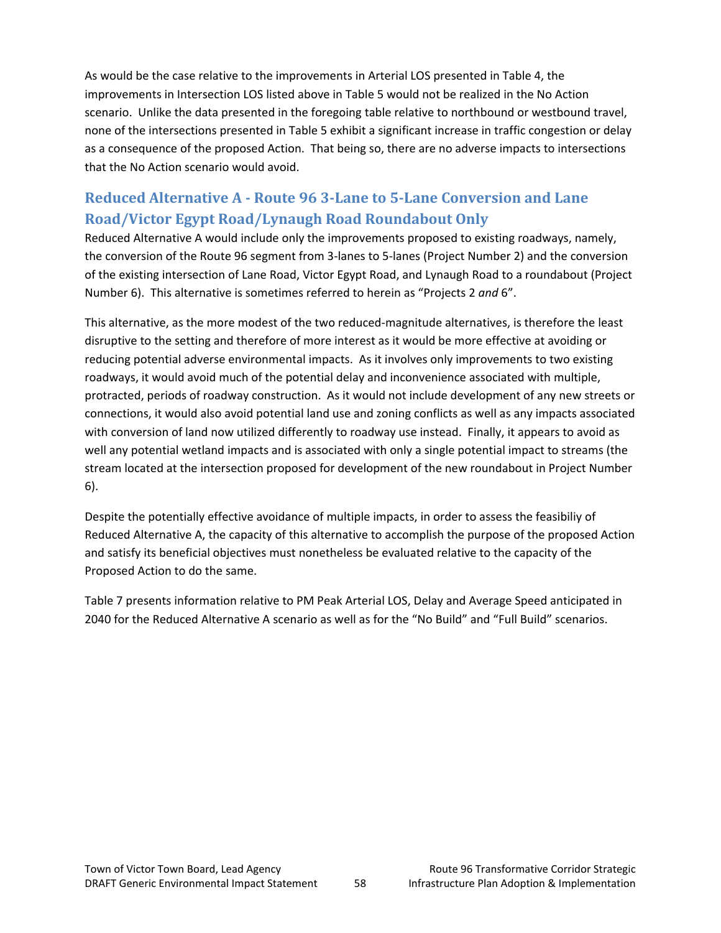As would be the case relative to the improvements in Arterial LOS presented in Table 4, the improvements in Intersection LOS listed above in Table 5 would not be realized in the No Action scenario. Unlike the data presented in the foregoing table relative to northbound or westbound travel, none of the intersections presented in Table 5 exhibit a significant increase in traffic congestion or delay as a consequence of the proposed Action. That being so, there are no adverse impacts to intersections that the No Action scenario would avoid.

# **Reduced Alternative A ‐ Route 96 3‐Lane to 5‐Lane Conversion and Lane Road/Victor Egypt Road/Lynaugh Road Roundabout Only**

Reduced Alternative A would include only the improvements proposed to existing roadways, namely, the conversion of the Route 96 segment from 3‐lanes to 5‐lanes (Project Number 2) and the conversion of the existing intersection of Lane Road, Victor Egypt Road, and Lynaugh Road to a roundabout (Project Number 6). This alternative is sometimes referred to herein as "Projects 2 *and* 6".

This alternative, as the more modest of the two reduced‐magnitude alternatives, is therefore the least disruptive to the setting and therefore of more interest as it would be more effective at avoiding or reducing potential adverse environmental impacts. As it involves only improvements to two existing roadways, it would avoid much of the potential delay and inconvenience associated with multiple, protracted, periods of roadway construction. As it would not include development of any new streets or connections, it would also avoid potential land use and zoning conflicts as well as any impacts associated with conversion of land now utilized differently to roadway use instead. Finally, it appears to avoid as well any potential wetland impacts and is associated with only a single potential impact to streams (the stream located at the intersection proposed for development of the new roundabout in Project Number 6).

Despite the potentially effective avoidance of multiple impacts, in order to assess the feasibiliy of Reduced Alternative A, the capacity of this alternative to accomplish the purpose of the proposed Action and satisfy its beneficial objectives must nonetheless be evaluated relative to the capacity of the Proposed Action to do the same.

Table 7 presents information relative to PM Peak Arterial LOS, Delay and Average Speed anticipated in 2040 for the Reduced Alternative A scenario as well as for the "No Build" and "Full Build" scenarios.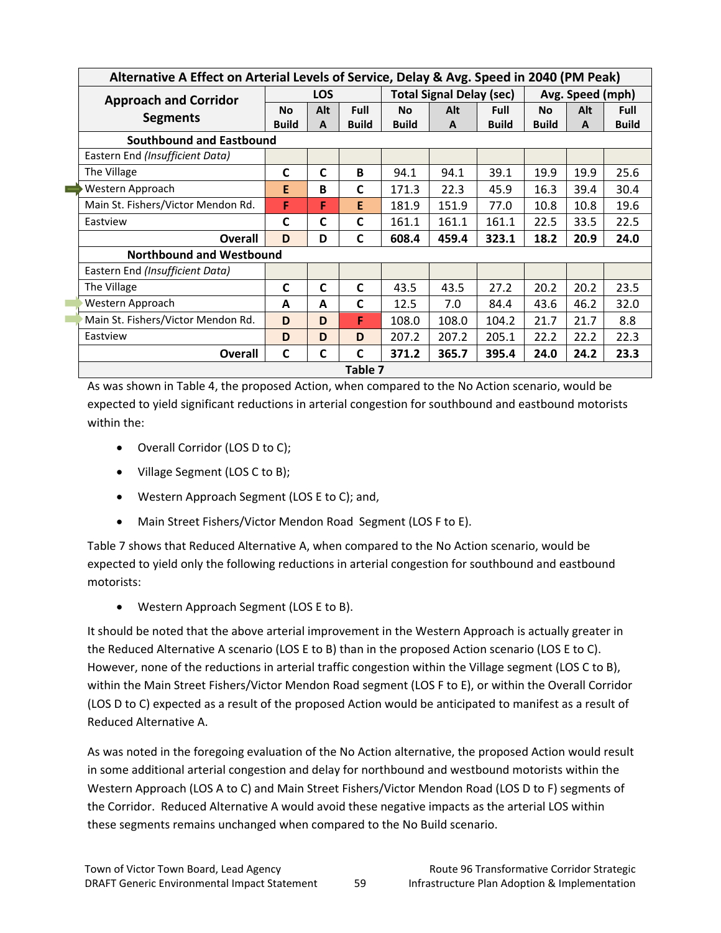| Alternative A Effect on Arterial Levels of Service, Delay & Avg. Speed in 2040 (PM Peak) |              |            |              |              |                                 |              |              |                  |              |
|------------------------------------------------------------------------------------------|--------------|------------|--------------|--------------|---------------------------------|--------------|--------------|------------------|--------------|
| <b>Approach and Corridor</b>                                                             |              | <b>LOS</b> |              |              | <b>Total Signal Delay (sec)</b> |              |              | Avg. Speed (mph) |              |
| <b>Segments</b>                                                                          | <b>No</b>    | Alt        | Full         | <b>No</b>    | Alt                             | <b>Full</b>  | <b>No</b>    | Alt              | <b>Full</b>  |
|                                                                                          | <b>Build</b> | A          | <b>Build</b> | <b>Build</b> | A                               | <b>Build</b> | <b>Build</b> | A                | <b>Build</b> |
| Southbound and Eastbound                                                                 |              |            |              |              |                                 |              |              |                  |              |
| Eastern End (Insufficient Data)                                                          |              |            |              |              |                                 |              |              |                  |              |
| The Village                                                                              | C            | C          | B            | 94.1         | 94.1                            | 39.1         | 19.9         | 19.9             | 25.6         |
| $\equiv$<br>Western Approach                                                             | Е            | B          | C            | 171.3        | 22.3                            | 45.9         | 16.3         | 39.4             | 30.4         |
| Main St. Fishers/Victor Mendon Rd.                                                       | F            | F          | E            | 181.9        | 151.9                           | 77.0         | 10.8         | 10.8             | 19.6         |
| Eastview                                                                                 | C            | C          | C            | 161.1        | 161.1                           | 161.1        | 22.5         | 33.5             | 22.5         |
| <b>Overall</b>                                                                           | D            | D          | C            | 608.4        | 459.4                           | 323.1        | 18.2         | 20.9             | 24.0         |
| <b>Northbound and Westbound</b>                                                          |              |            |              |              |                                 |              |              |                  |              |
| Eastern End (Insufficient Data)                                                          |              |            |              |              |                                 |              |              |                  |              |
| The Village                                                                              | C            | C          | C            | 43.5         | 43.5                            | 27.2         | 20.2         | 20.2             | 23.5         |
| Western Approach                                                                         | A            | A          | C            | 12.5         | 7.0                             | 84.4         | 43.6         | 46.2             | 32.0         |
| Main St. Fishers/Victor Mendon Rd.                                                       | D            | D          | F            | 108.0        | 108.0                           | 104.2        | 21.7         | 21.7             | 8.8          |
| Eastview                                                                                 | D            | D          | D            | 207.2        | 207.2                           | 205.1        | 22.2         | 22.2             | 22.3         |
| Overall                                                                                  | C            | C          | $\mathsf{C}$ | 371.2        | 365.7                           | 395.4        | 24.0         | 24.2             | 23.3         |
|                                                                                          |              |            | Table 7      |              |                                 |              |              |                  |              |

As was shown in Table 4, the proposed Action, when compared to the No Action scenario, would be expected to yield significant reductions in arterial congestion for southbound and eastbound motorists within the:

- Overall Corridor (LOS D to C);
- Village Segment (LOS C to B);
- Western Approach Segment (LOS E to C); and,
- Main Street Fishers/Victor Mendon Road Segment (LOS F to E).

Table 7 shows that Reduced Alternative A, when compared to the No Action scenario, would be expected to yield only the following reductions in arterial congestion for southbound and eastbound motorists:

• Western Approach Segment (LOS E to B).

It should be noted that the above arterial improvement in the Western Approach is actually greater in the Reduced Alternative A scenario (LOS E to B) than in the proposed Action scenario (LOS E to C). However, none of the reductions in arterial traffic congestion within the Village segment (LOS C to B), within the Main Street Fishers/Victor Mendon Road segment (LOS F to E), or within the Overall Corridor (LOS D to C) expected as a result of the proposed Action would be anticipated to manifest as a result of Reduced Alternative A.

As was noted in the foregoing evaluation of the No Action alternative, the proposed Action would result in some additional arterial congestion and delay for northbound and westbound motorists within the Western Approach (LOS A to C) and Main Street Fishers/Victor Mendon Road (LOS D to F) segments of the Corridor. Reduced Alternative A would avoid these negative impacts as the arterial LOS within these segments remains unchanged when compared to the No Build scenario.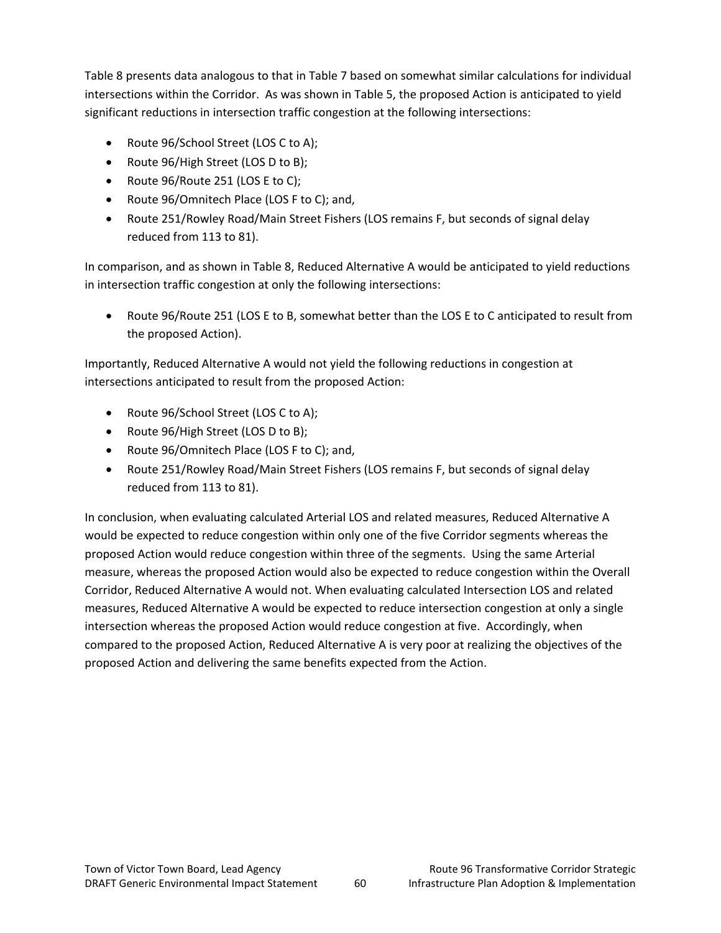Table 8 presents data analogous to that in Table 7 based on somewhat similar calculations for individual intersections within the Corridor. As was shown in Table 5, the proposed Action is anticipated to yield significant reductions in intersection traffic congestion at the following intersections:

- Route 96/School Street (LOS C to A);
- Route 96/High Street (LOS D to B);
- Route 96/Route 251 (LOS E to C);
- Route 96/Omnitech Place (LOS F to C); and,
- Route 251/Rowley Road/Main Street Fishers (LOS remains F, but seconds of signal delay reduced from 113 to 81).

In comparison, and as shown in Table 8, Reduced Alternative A would be anticipated to yield reductions in intersection traffic congestion at only the following intersections:

• Route 96/Route 251 (LOS E to B, somewhat better than the LOS E to C anticipated to result from the proposed Action).

Importantly, Reduced Alternative A would not yield the following reductions in congestion at intersections anticipated to result from the proposed Action:

- Route 96/School Street (LOS C to A);
- Route 96/High Street (LOS D to B);
- Route 96/Omnitech Place (LOS F to C); and,
- Route 251/Rowley Road/Main Street Fishers (LOS remains F, but seconds of signal delay reduced from 113 to 81).

In conclusion, when evaluating calculated Arterial LOS and related measures, Reduced Alternative A would be expected to reduce congestion within only one of the five Corridor segments whereas the proposed Action would reduce congestion within three of the segments. Using the same Arterial measure, whereas the proposed Action would also be expected to reduce congestion within the Overall Corridor, Reduced Alternative A would not. When evaluating calculated Intersection LOS and related measures, Reduced Alternative A would be expected to reduce intersection congestion at only a single intersection whereas the proposed Action would reduce congestion at five. Accordingly, when compared to the proposed Action, Reduced Alternative A is very poor at realizing the objectives of the proposed Action and delivering the same benefits expected from the Action.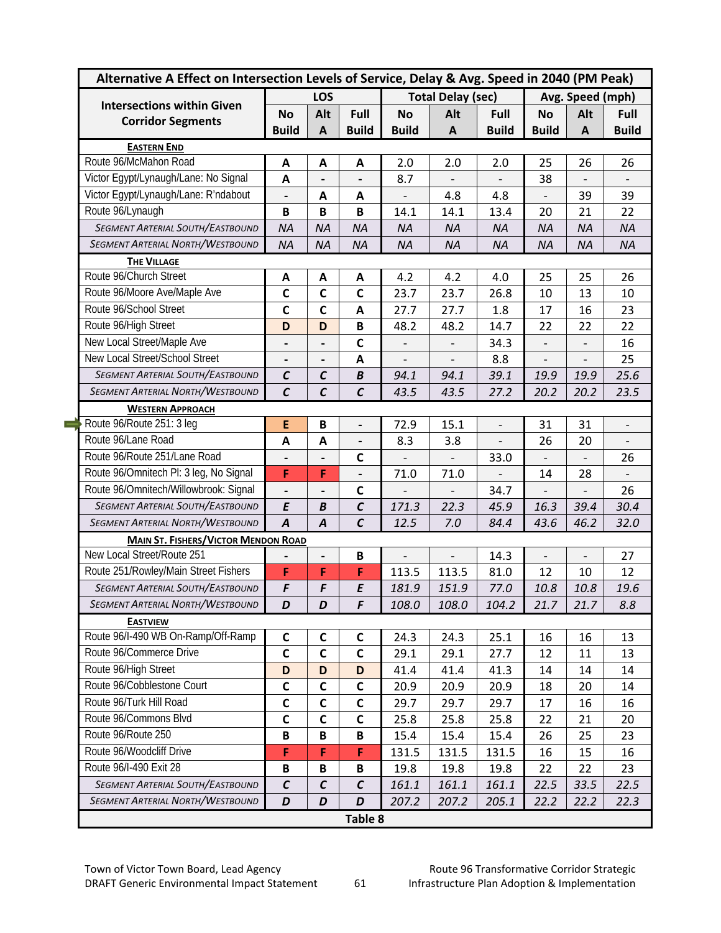| Alternative A Effect on Intersection Levels of Service, Delay & Avg. Speed in 2040 (PM Peak) |                          |                          |                              |                          |                          |                          |                              |                          |                          |
|----------------------------------------------------------------------------------------------|--------------------------|--------------------------|------------------------------|--------------------------|--------------------------|--------------------------|------------------------------|--------------------------|--------------------------|
| <b>Intersections within Given</b>                                                            | LOS                      |                          |                              | <b>Total Delay (sec)</b> |                          |                          | Avg. Speed (mph)             |                          |                          |
| <b>Corridor Segments</b>                                                                     | <b>No</b>                | Alt                      | Full                         | <b>No</b>                | Alt                      | Full                     | <b>No</b>                    | Alt                      | Full                     |
|                                                                                              | <b>Build</b>             | $\mathbf{A}$             | <b>Build</b>                 | <b>Build</b>             | $\mathbf{A}$             | <b>Build</b>             | <b>Build</b>                 | A                        | <b>Build</b>             |
| <b>EASTERN END</b>                                                                           |                          |                          |                              |                          |                          |                          |                              |                          |                          |
| Route 96/McMahon Road                                                                        | A                        | A                        | A                            | 2.0                      | 2.0                      | 2.0                      | 25                           | 26                       | 26                       |
| Victor Egypt/Lynaugh/Lane: No Signal                                                         | $\mathbf{A}$             |                          |                              | 8.7                      |                          |                          | 38                           | $\overline{a}$           |                          |
| Victor Egypt/Lynaugh/Lane: R'ndabout                                                         | $\overline{\phantom{a}}$ | A                        | A                            |                          | 4.8                      | 4.8                      | $\qquad \qquad \blacksquare$ | 39                       | 39                       |
| Route 96/Lynaugh                                                                             | B                        | $\, {\bf B}$             | $\, {\bf B}$                 | 14.1                     | 14.1                     | 13.4                     | 20                           | 21                       | 22                       |
| <b>SEGMENT ARTERIAL SOUTH/EASTBOUND</b>                                                      | <b>NA</b>                | <b>NA</b>                | <b>NA</b>                    | <b>NA</b>                | <b>NA</b>                | <b>NA</b>                | <b>NA</b>                    | <b>NA</b>                | <b>NA</b>                |
| <b>SEGMENT ARTERIAL NORTH/WESTBOUND</b>                                                      | <b>NA</b>                | <b>NA</b>                | <b>NA</b>                    | <b>NA</b>                | <b>NA</b>                | <b>NA</b>                | <b>NA</b>                    | <b>NA</b>                | <b>NA</b>                |
| <b>THE VILLAGE</b>                                                                           |                          |                          |                              |                          |                          |                          |                              |                          |                          |
| Route 96/Church Street                                                                       | Α                        | A                        | A                            | 4.2                      | 4.2                      | 4.0                      | 25                           | 25                       | 26                       |
| Route 96/Moore Ave/Maple Ave                                                                 | $\mathsf{C}$             | $\mathbf c$              | $\mathbf c$                  | 23.7                     | 23.7                     | 26.8                     | 10                           | 13                       | 10                       |
| Route 96/School Street                                                                       | $\mathbf C$              | $\mathbf c$              | A                            | 27.7                     | 27.7                     | 1.8                      | 17                           | 16                       | 23                       |
| Route 96/High Street                                                                         | D                        | D                        | $\, {\bf B}$                 | 48.2                     | 48.2                     | 14.7                     | 22                           | 22                       | 22                       |
| New Local Street/Maple Ave                                                                   | $\overline{\phantom{a}}$ | $\overline{\phantom{a}}$ | $\mathbf c$                  | $\overline{a}$           | $\overline{\phantom{m}}$ | 34.3                     | $\frac{1}{2}$                | $\overline{\phantom{0}}$ | 16                       |
| New Local Street/School Street                                                               | $\overline{\phantom{a}}$ |                          | A                            |                          |                          | 8.8                      |                              |                          | 25                       |
| <b>SEGMENT ARTERIAL SOUTH/EASTBOUND</b>                                                      | $\mathcal C$             | $\mathcal C$             | B                            | 94.1                     | 94.1                     | 39.1                     | 19.9                         | 19.9                     | 25.6                     |
| <b>SEGMENT ARTERIAL NORTH/WESTBOUND</b>                                                      | $\mathcal{C}$            | $\mathcal{C}$            | $\mathcal{C}$                | 43.5                     | 43.5                     | 27.2                     | 20.2                         | 20.2                     | 23.5                     |
| <b>WESTERN APPROACH</b>                                                                      |                          |                          |                              |                          |                          |                          |                              |                          |                          |
| Route 96/Route 251: 3 leg                                                                    | E                        | $\mathbf B$              | $\qquad \qquad \blacksquare$ | 72.9                     | 15.1                     | $\overline{\phantom{a}}$ | 31                           | 31                       | $\overline{\phantom{a}}$ |
| Route 96/Lane Road                                                                           | A                        | $\mathbf{A}$             | $\overline{a}$               | 8.3                      | 3.8                      |                          | 26                           | 20                       |                          |
| Route 96/Route 251/Lane Road                                                                 |                          |                          | $\mathbf c$                  |                          |                          | 33.0                     | $\overline{\phantom{0}}$     |                          | 26                       |
| Route 96/Omnitech Pl: 3 leg, No Signal                                                       | F                        | F                        | $\qquad \qquad \blacksquare$ | 71.0                     | 71.0                     |                          | 14                           | 28                       |                          |
| Route 96/Omnitech/Willowbrook: Signal                                                        | $\overline{a}$           |                          | $\mathsf{C}$                 |                          | $\overline{a}$           | 34.7                     | $\frac{1}{2}$                | $\overline{\phantom{0}}$ | 26                       |
| <b>SEGMENT ARTERIAL SOUTH/EASTBOUND</b>                                                      | E                        | B                        | $\mathcal{C}$                | 171.3                    | 22.3                     | 45.9                     | 16.3                         | 39.4                     | 30.4                     |
| <b>SEGMENT ARTERIAL NORTH/WESTBOUND</b>                                                      | $\overline{A}$           | $\boldsymbol{A}$         | $\mathcal{C}_{0}$            | 12.5                     | 7.0                      | 84.4                     | 43.6                         | 46.2                     | 32.0                     |
| <b>MAIN ST. FISHERS/VICTOR MENDON ROAD</b>                                                   |                          |                          |                              |                          |                          |                          |                              |                          |                          |
| New Local Street/Route 251                                                                   |                          | $\overline{\phantom{a}}$ | $\, {\bf B}$                 |                          | $\overline{a}$           | 14.3                     |                              |                          | 27                       |
| Route 251/Rowley/Main Street Fishers                                                         | F                        | F                        | F                            | 113.5                    | 113.5                    | 81.0                     | 12                           | 10                       | 12                       |
| <b>SEGMENT ARTERIAL SOUTH/EASTBOUND</b>                                                      | F                        | F                        | $\pmb{E}$                    | 181.9                    | 151.9                    | 77.0                     | 10.8                         | 10.8                     | 19.6                     |
| SEGMENT ARTERIAL NORTH/WESTBOUND                                                             | D                        | D                        | F                            | 108.0                    | 108.0                    | 104.2                    | 21.7                         | 21.7                     | 8.8                      |
| <b>EASTVIEW</b>                                                                              |                          |                          |                              |                          |                          |                          |                              |                          |                          |
| Route 96/I-490 WB On-Ramp/Off-Ramp                                                           | C                        | C                        | C                            | 24.3                     | 24.3                     | 25.1                     | 16                           | 16                       | 13                       |
| Route 96/Commerce Drive                                                                      | $\mathsf{C}$             | $\mathsf{C}$             | $\mathbf c$                  | 29.1                     | 29.1                     | 27.7                     | 12                           | 11                       | 13                       |
| Route 96/High Street                                                                         | D                        | D                        | D                            | 41.4                     | 41.4                     | 41.3                     | 14                           | 14                       | 14                       |
| Route 96/Cobblestone Court                                                                   | $\mathsf{C}$             | $\mathsf{C}$             | $\mathsf C$                  | 20.9                     | 20.9                     | 20.9                     | 18                           | 20                       | 14                       |
| Route 96/Turk Hill Road                                                                      | $\mathsf{C}$             | $\mathsf{C}$             | $\mathsf{C}$                 | 29.7                     | 29.7                     | 29.7                     | 17                           | 16                       | 16                       |
| Route 96/Commons Blvd                                                                        | $\mathsf c$              | $\mathsf{C}$             | $\mathsf C$                  | 25.8                     | 25.8                     | 25.8                     | 22                           | 21                       | 20                       |
| Route 96/Route 250                                                                           | B                        | $\, {\bf B}$             | $\, {\bf B}$                 | 15.4                     | 15.4                     | 15.4                     | 26                           | 25                       | 23                       |
|                                                                                              | F                        | F                        | F                            | 131.5                    | 131.5                    | 131.5                    | 16                           | 15                       | 16                       |
|                                                                                              |                          |                          |                              |                          |                          |                          |                              |                          |                          |
| Route 96/Woodcliff Drive                                                                     |                          |                          |                              |                          |                          |                          |                              |                          |                          |
| Route 96/I-490 Exit 28<br><b>SEGMENT ARTERIAL SOUTH/EASTBOUND</b>                            | B<br>$\pmb{C}$           | B<br>$\pmb{\mathcal{C}}$ | B<br>$\pmb{\mathcal{C}}$     | 19.8<br>161.1            | 19.8<br>161.1            | 19.8<br>161.1            | 22<br>22.5                   | 22<br>33.5               | 23<br>22.5               |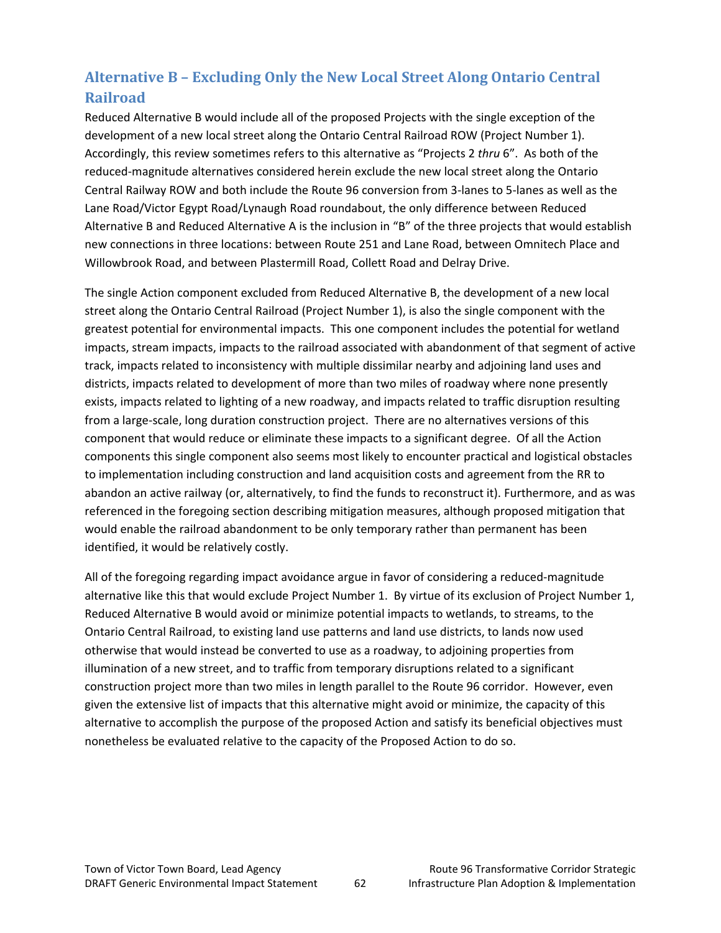# **Alternative B – Excluding Only the New Local Street Along Ontario Central Railroad**

Reduced Alternative B would include all of the proposed Projects with the single exception of the development of a new local street along the Ontario Central Railroad ROW (Project Number 1). Accordingly, this review sometimes refers to this alternative as "Projects 2 *thru* 6". As both of the reduced‐magnitude alternatives considered herein exclude the new local street along the Ontario Central Railway ROW and both include the Route 96 conversion from 3‐lanes to 5‐lanes as well as the Lane Road/Victor Egypt Road/Lynaugh Road roundabout, the only difference between Reduced Alternative B and Reduced Alternative A is the inclusion in "B" of the three projects that would establish new connections in three locations: between Route 251 and Lane Road, between Omnitech Place and Willowbrook Road, and between Plastermill Road, Collett Road and Delray Drive.

The single Action component excluded from Reduced Alternative B, the development of a new local street along the Ontario Central Railroad (Project Number 1), is also the single component with the greatest potential for environmental impacts. This one component includes the potential for wetland impacts, stream impacts, impacts to the railroad associated with abandonment of that segment of active track, impacts related to inconsistency with multiple dissimilar nearby and adjoining land uses and districts, impacts related to development of more than two miles of roadway where none presently exists, impacts related to lighting of a new roadway, and impacts related to traffic disruption resulting from a large-scale, long duration construction project. There are no alternatives versions of this component that would reduce or eliminate these impacts to a significant degree. Of all the Action components this single component also seems most likely to encounter practical and logistical obstacles to implementation including construction and land acquisition costs and agreement from the RR to abandon an active railway (or, alternatively, to find the funds to reconstruct it). Furthermore, and as was referenced in the foregoing section describing mitigation measures, although proposed mitigation that would enable the railroad abandonment to be only temporary rather than permanent has been identified, it would be relatively costly.

All of the foregoing regarding impact avoidance argue in favor of considering a reduced-magnitude alternative like this that would exclude Project Number 1. By virtue of its exclusion of Project Number 1, Reduced Alternative B would avoid or minimize potential impacts to wetlands, to streams, to the Ontario Central Railroad, to existing land use patterns and land use districts, to lands now used otherwise that would instead be converted to use as a roadway, to adjoining properties from illumination of a new street, and to traffic from temporary disruptions related to a significant construction project more than two miles in length parallel to the Route 96 corridor. However, even given the extensive list of impacts that this alternative might avoid or minimize, the capacity of this alternative to accomplish the purpose of the proposed Action and satisfy its beneficial objectives must nonetheless be evaluated relative to the capacity of the Proposed Action to do so.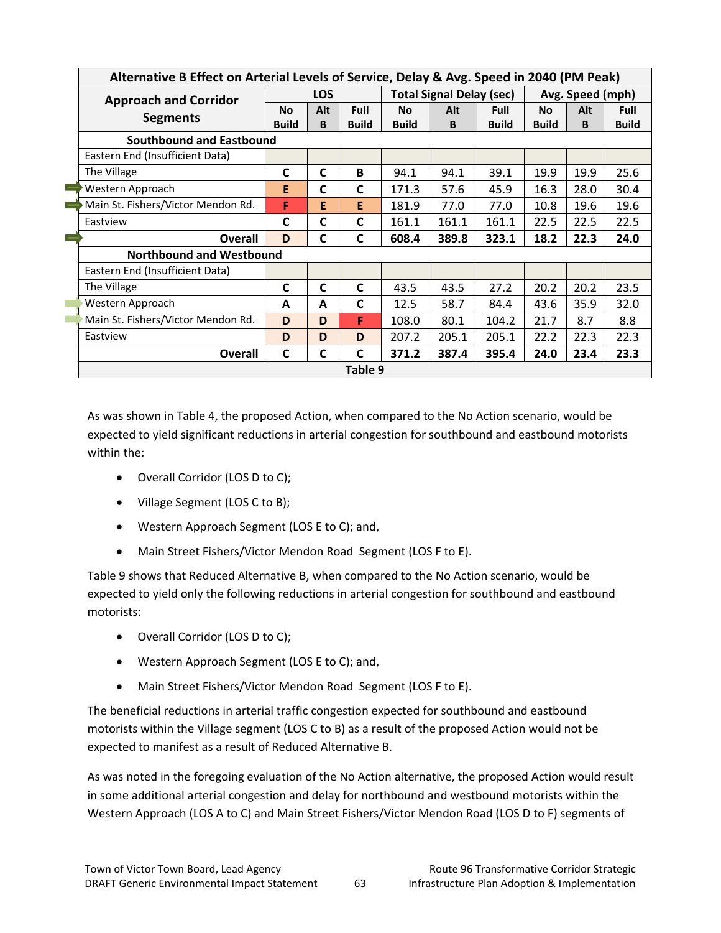|  | Alternative B Effect on Arterial Levels of Service, Delay & Avg. Speed in 2040 (PM Peak) |                                 |             |              |                                 |       |              |                  |      |              |  |  |  |
|--|------------------------------------------------------------------------------------------|---------------------------------|-------------|--------------|---------------------------------|-------|--------------|------------------|------|--------------|--|--|--|
|  | <b>Approach and Corridor</b>                                                             | <b>LOS</b>                      |             |              | <b>Total Signal Delay (sec)</b> |       |              | Avg. Speed (mph) |      |              |  |  |  |
|  | <b>Segments</b>                                                                          | <b>No</b>                       | Alt         | Full         | <b>No</b>                       | Alt   | <b>Full</b>  | <b>No</b>        | Alt  | <b>Full</b>  |  |  |  |
|  |                                                                                          | <b>Build</b>                    | B           | <b>Build</b> | <b>Build</b>                    | B     | <b>Build</b> | <b>Build</b>     | B    | <b>Build</b> |  |  |  |
|  | Southbound and Eastbound                                                                 |                                 |             |              |                                 |       |              |                  |      |              |  |  |  |
|  | Eastern End (Insufficient Data)                                                          |                                 |             |              |                                 |       |              |                  |      |              |  |  |  |
|  | The Village                                                                              | C                               | C           | B            | 94.1                            | 94.1  | 39.1         | 19.9             | 19.9 | 25.6         |  |  |  |
|  | Western Approach                                                                         | E                               | C           | C            | 171.3                           | 57.6  | 45.9         | 16.3             | 28.0 | 30.4         |  |  |  |
|  | Main St. Fishers/Victor Mendon Rd.                                                       | F                               | E           | E            | 181.9                           | 77.0  | 77.0         | 10.8             | 19.6 | 19.6         |  |  |  |
|  | Eastview                                                                                 | C                               | C           | C            | 161.1                           | 161.1 | 161.1        | 22.5             | 22.5 | 22.5         |  |  |  |
|  | <b>Overall</b>                                                                           | D                               | $\mathbf C$ | C            | 608.4                           | 389.8 | 323.1        | 18.2             | 22.3 | 24.0         |  |  |  |
|  |                                                                                          | <b>Northbound and Westbound</b> |             |              |                                 |       |              |                  |      |              |  |  |  |
|  | Eastern End (Insufficient Data)                                                          |                                 |             |              |                                 |       |              |                  |      |              |  |  |  |
|  | The Village                                                                              | C                               | $\mathbf C$ | C            | 43.5                            | 43.5  | 27.2         | 20.2             | 20.2 | 23.5         |  |  |  |
|  | Western Approach                                                                         | A                               | A           | C            | 12.5                            | 58.7  | 84.4         | 43.6             | 35.9 | 32.0         |  |  |  |
|  | Main St. Fishers/Victor Mendon Rd.                                                       | D                               | D           | F            | 108.0                           | 80.1  | 104.2        | 21.7             | 8.7  | 8.8          |  |  |  |
|  | Eastview                                                                                 | D                               | D           | D            | 207.2                           | 205.1 | 205.1        | 22.2             | 22.3 | 22.3         |  |  |  |
|  | <b>Overall</b>                                                                           | C                               | C           | C            | 371.2                           | 387.4 | 395.4        | 24.0             | 23.4 | 23.3         |  |  |  |
|  | Table 9                                                                                  |                                 |             |              |                                 |       |              |                  |      |              |  |  |  |

As was shown in Table 4, the proposed Action, when compared to the No Action scenario, would be expected to yield significant reductions in arterial congestion for southbound and eastbound motorists within the:

- Overall Corridor (LOS D to C);
- Village Segment (LOS C to B);
- Western Approach Segment (LOS E to C); and,
- Main Street Fishers/Victor Mendon Road Segment (LOS F to E).

Table 9 shows that Reduced Alternative B, when compared to the No Action scenario, would be expected to yield only the following reductions in arterial congestion for southbound and eastbound motorists:

- Overall Corridor (LOS D to C);
- Western Approach Segment (LOS E to C); and,
- Main Street Fishers/Victor Mendon Road Segment (LOS F to E).

The beneficial reductions in arterial traffic congestion expected for southbound and eastbound motorists within the Village segment (LOS C to B) as a result of the proposed Action would not be expected to manifest as a result of Reduced Alternative B.

As was noted in the foregoing evaluation of the No Action alternative, the proposed Action would result in some additional arterial congestion and delay for northbound and westbound motorists within the Western Approach (LOS A to C) and Main Street Fishers/Victor Mendon Road (LOS D to F) segments of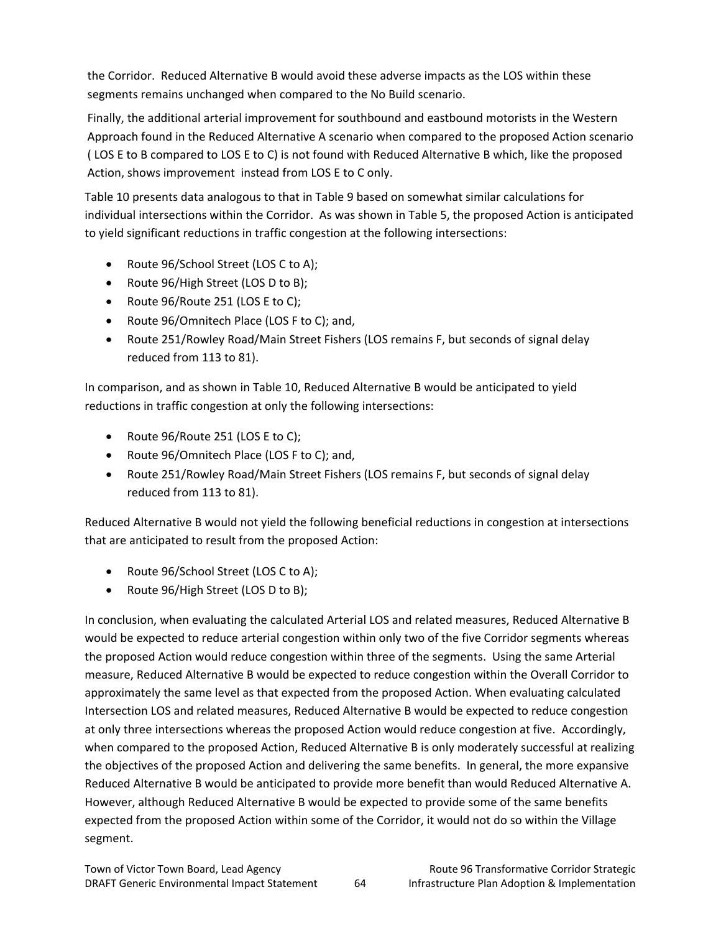the Corridor. Reduced Alternative B would avoid these adverse impacts as the LOS within these segments remains unchanged when compared to the No Build scenario.

Finally, the additional arterial improvement for southbound and eastbound motorists in the Western Approach found in the Reduced Alternative A scenario when compared to the proposed Action scenario ( LOS E to B compared to LOS E to C) is not found with Reduced Alternative B which, like the proposed Action, shows improvement instead from LOS E to C only.

Table 10 presents data analogous to that in Table 9 based on somewhat similar calculations for individual intersections within the Corridor. As was shown in Table 5, the proposed Action is anticipated to yield significant reductions in traffic congestion at the following intersections:

- Route 96/School Street (LOS C to A);
- Route 96/High Street (LOS D to B);
- Route 96/Route 251 (LOS E to C);
- Route 96/Omnitech Place (LOS F to C); and,
- Route 251/Rowley Road/Main Street Fishers (LOS remains F, but seconds of signal delay reduced from 113 to 81).

In comparison, and as shown in Table 10, Reduced Alternative B would be anticipated to yield reductions in traffic congestion at only the following intersections:

- Route 96/Route 251 (LOS E to C);
- Route 96/Omnitech Place (LOS F to C); and,
- Route 251/Rowley Road/Main Street Fishers (LOS remains F, but seconds of signal delay reduced from 113 to 81).

Reduced Alternative B would not yield the following beneficial reductions in congestion at intersections that are anticipated to result from the proposed Action:

- Route 96/School Street (LOS C to A);
- Route 96/High Street (LOS D to B);

In conclusion, when evaluating the calculated Arterial LOS and related measures, Reduced Alternative B would be expected to reduce arterial congestion within only two of the five Corridor segments whereas the proposed Action would reduce congestion within three of the segments. Using the same Arterial measure, Reduced Alternative B would be expected to reduce congestion within the Overall Corridor to approximately the same level as that expected from the proposed Action. When evaluating calculated Intersection LOS and related measures, Reduced Alternative B would be expected to reduce congestion at only three intersections whereas the proposed Action would reduce congestion at five. Accordingly, when compared to the proposed Action, Reduced Alternative B is only moderately successful at realizing the objectives of the proposed Action and delivering the same benefits. In general, the more expansive Reduced Alternative B would be anticipated to provide more benefit than would Reduced Alternative A. However, although Reduced Alternative B would be expected to provide some of the same benefits expected from the proposed Action within some of the Corridor, it would not do so within the Village segment.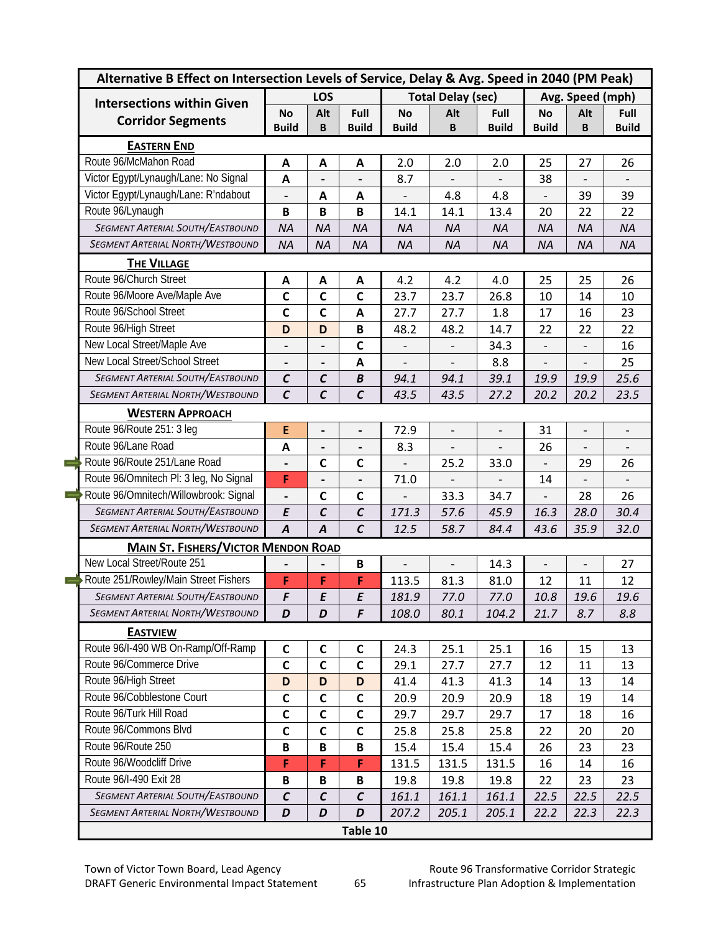| Alternative B Effect on Intersection Levels of Service, Delay & Avg. Speed in 2040 (PM Peak) |                              |                   |                              |                |                          |              |                              |                          |              |  |
|----------------------------------------------------------------------------------------------|------------------------------|-------------------|------------------------------|----------------|--------------------------|--------------|------------------------------|--------------------------|--------------|--|
| <b>Intersections within Given</b>                                                            |                              | LOS               |                              |                | <b>Total Delay (sec)</b> |              |                              | Avg. Speed (mph)         |              |  |
| <b>Corridor Segments</b>                                                                     | No                           | Alt               | Full                         | <b>No</b>      | Alt                      | Full         | <b>No</b>                    | Alt                      | Full         |  |
|                                                                                              | <b>Build</b>                 | B                 | <b>Build</b>                 | <b>Build</b>   | B                        | <b>Build</b> | <b>Build</b>                 | B                        | <b>Build</b> |  |
| <b>EASTERN END</b>                                                                           |                              |                   |                              |                |                          |              |                              |                          |              |  |
| Route 96/McMahon Road                                                                        | A                            | A                 | A                            | 2.0            | 2.0                      | 2.0          | 25                           | 27                       | 26           |  |
| Victor Egypt/Lynaugh/Lane: No Signal                                                         | $\mathbf{A}$                 |                   |                              | 8.7            |                          |              | 38                           | $\overline{a}$           |              |  |
| Victor Egypt/Lynaugh/Lane: R'ndabout                                                         |                              | $\mathbf{A}$      | $\mathbf{A}$                 |                | 4.8                      | 4.8          |                              | 39                       | 39           |  |
| Route 96/Lynaugh                                                                             | B                            | B                 | B                            | 14.1           | 14.1                     | 13.4         | 20                           | 22                       | 22           |  |
| <b>SEGMENT ARTERIAL SOUTH/EASTBOUND</b>                                                      | <b>NA</b>                    | <b>NA</b>         | <b>NA</b>                    | <b>NA</b>      | <b>NA</b>                | <b>NA</b>    | <b>NA</b>                    | <b>NA</b>                | <b>NA</b>    |  |
| <b>SEGMENT ARTERIAL NORTH/WESTBOUND</b>                                                      | <b>NA</b>                    | <b>NA</b>         | <b>NA</b>                    | <b>NA</b>      | <b>NA</b>                | <b>NA</b>    | <b>NA</b>                    | <b>NA</b>                | <b>NA</b>    |  |
| <b>THE VILLAGE</b>                                                                           |                              |                   |                              |                |                          |              |                              |                          |              |  |
| Route 96/Church Street                                                                       | A                            | A                 | A                            | 4.2            | 4.2                      | 4.0          | 25                           | 25                       | 26           |  |
| Route 96/Moore Ave/Maple Ave                                                                 | $\mathbf C$                  | $\mathbf c$       | $\mathbf c$                  | 23.7           | 23.7                     | 26.8         | 10                           | 14                       | 10           |  |
| Route 96/School Street                                                                       | $\mathsf{C}$                 | $\mathbf c$       | A                            | 27.7           | 27.7                     | 1.8          | 17                           | 16                       | 23           |  |
| Route 96/High Street                                                                         | D                            | D                 | B                            | 48.2           | 48.2                     | 14.7         | 22                           | 22                       | 22           |  |
| New Local Street/Maple Ave                                                                   | $\qquad \qquad \blacksquare$ |                   | $\mathsf{C}$                 |                |                          | 34.3         |                              |                          | 16           |  |
| New Local Street/School Street                                                               |                              |                   | A                            |                |                          | 8.8          | $\overline{\phantom{a}}$     |                          | 25           |  |
| <b>SEGMENT ARTERIAL SOUTH/EASTBOUND</b>                                                      | $\mathcal{C}$                | $\mathcal{C}$     | $\boldsymbol{B}$             | 94.1           | 94.1                     | 39.1         | 19.9                         | 19.9                     | 25.6         |  |
| <b>SEGMENT ARTERIAL NORTH/WESTBOUND</b>                                                      | $\mathcal{C}$                | $\mathcal{C}$     | $\mathcal{C}$                | 43.5           | 43.5                     | 27.2         | 20.2                         | 20.2                     | 23.5         |  |
| <b>WESTERN APPROACH</b>                                                                      |                              |                   |                              |                |                          |              |                              |                          |              |  |
| Route 96/Route 251: 3 leg                                                                    | E                            | -                 | -                            | 72.9           |                          |              | 31                           |                          |              |  |
| Route 96/Lane Road                                                                           | A                            |                   | $\qquad \qquad \blacksquare$ | 8.3            |                          |              | 26                           | $\overline{\phantom{0}}$ |              |  |
| Route 96/Route 251/Lane Road                                                                 |                              | $\mathbf c$       | $\mathbf c$                  | $\overline{a}$ | 25.2                     | 33.0         | $\overline{\phantom{0}}$     | 29                       | 26           |  |
| Route 96/Omnitech Pl: 3 leg, No Signal                                                       | F                            |                   |                              | 71.0           |                          |              | 14                           |                          |              |  |
| Route 96/Omnitech/Willowbrook: Signal                                                        | $\blacksquare$               | $\mathbf c$       | $\mathbf c$                  |                | 33.3                     | 34.7         | $\qquad \qquad \blacksquare$ | 28                       | 26           |  |
| <b>SEGMENT ARTERIAL SOUTH/EASTBOUND</b>                                                      | E                            | $\mathcal{C}_{0}$ | $\mathcal{C}$                | 171.3          | 57.6                     | 45.9         | 16.3                         | 28.0                     | 30.4         |  |
| <b>SEGMENT ARTERIAL NORTH/WESTBOUND</b>                                                      | $\overline{A}$               | $\overline{A}$    | $\mathcal{C}$                | 12.5           | 58.7                     | 84.4         | 43.6                         | 35.9                     | 32.0         |  |
| <b>MAIN ST. FISHERS/VICTOR MENDON ROAD</b>                                                   |                              |                   |                              |                |                          |              |                              |                          |              |  |
| New Local Street/Route 251                                                                   |                              |                   | B                            |                |                          | 14.3         | $\overline{\phantom{a}}$     | $\overline{\phantom{0}}$ | 27           |  |
| Route 251/Rowley/Main Street Fishers                                                         | F                            | F                 | F                            | 113.5          | 81.3                     | 81.0         | 12                           | 11                       | 12           |  |
| SEGMENT ARTERIAL SOUTH/EASTBOUND                                                             | F                            | E                 | E                            | 181.9          | 77.0                     | 77.0         | 10.8                         | 19.6                     | 19.6         |  |
| SEGMENT ARTERIAL NORTH/WESTBOUND                                                             | D                            | D                 | F                            | 108.0          | 80.1                     | 104.2        | 21.7                         | 8.7                      | 8.8          |  |
| <b>EASTVIEW</b>                                                                              |                              |                   |                              |                |                          |              |                              |                          |              |  |
| Route 96/I-490 WB On-Ramp/Off-Ramp                                                           | $\mathsf{C}$                 | $\mathsf{C}$      | $\mathsf{C}$                 | 24.3           | 25.1                     | 25.1         | 16                           | 15                       | 13           |  |
| Route 96/Commerce Drive                                                                      | C                            | $\mathsf{C}$      | C                            | 29.1           | 27.7                     | 27.7         | 12                           | 11                       | 13           |  |
| Route 96/High Street                                                                         | D                            | D                 | D                            | 41.4           | 41.3                     | 41.3         | 14                           | 13                       | 14           |  |
| Route 96/Cobblestone Court                                                                   | C                            | $\mathsf{C}$      | C                            | 20.9           | 20.9                     | 20.9         | 18                           | 19                       | 14           |  |
| Route 96/Turk Hill Road                                                                      | C                            | $\mathsf{C}$      | $\mathsf{C}$                 | 29.7           | 29.7                     | 29.7         | 17                           | 18                       | 16           |  |
| Route 96/Commons Blvd                                                                        | $\mathsf{C}$                 | $\mathsf{C}$      | $\mathsf{C}$                 | 25.8           | 25.8                     | 25.8         | 22                           | 20                       | 20           |  |
| Route 96/Route 250                                                                           | B                            | $\mathbf B$       | B                            | 15.4           | 15.4                     | 15.4         | 26                           | 23                       | 23           |  |
| Route 96/Woodcliff Drive                                                                     | F                            | F                 | F                            | 131.5          | 131.5                    | 131.5        | 16                           | 14                       | 16           |  |
| Route 96/I-490 Exit 28                                                                       | B                            | $\, {\bf B}$      | B                            | 19.8           | 19.8                     | 19.8         | 22                           | 23                       | 23           |  |
| <b>SEGMENT ARTERIAL SOUTH/EASTBOUND</b>                                                      | $\mathcal{C}$                | $\mathcal{C}$     | $\pmb{\mathcal{C}}$          | 161.1          | 161.1                    | 161.1        | 22.5                         | 22.5                     | 22.5         |  |
| <b>SEGMENT ARTERIAL NORTH/WESTBOUND</b>                                                      | D                            | D                 | D                            | 207.2          | 205.1                    | 205.1        | 22.2                         | 22.3                     | 22.3         |  |
|                                                                                              |                              |                   | Table 10                     |                |                          |              |                              |                          |              |  |